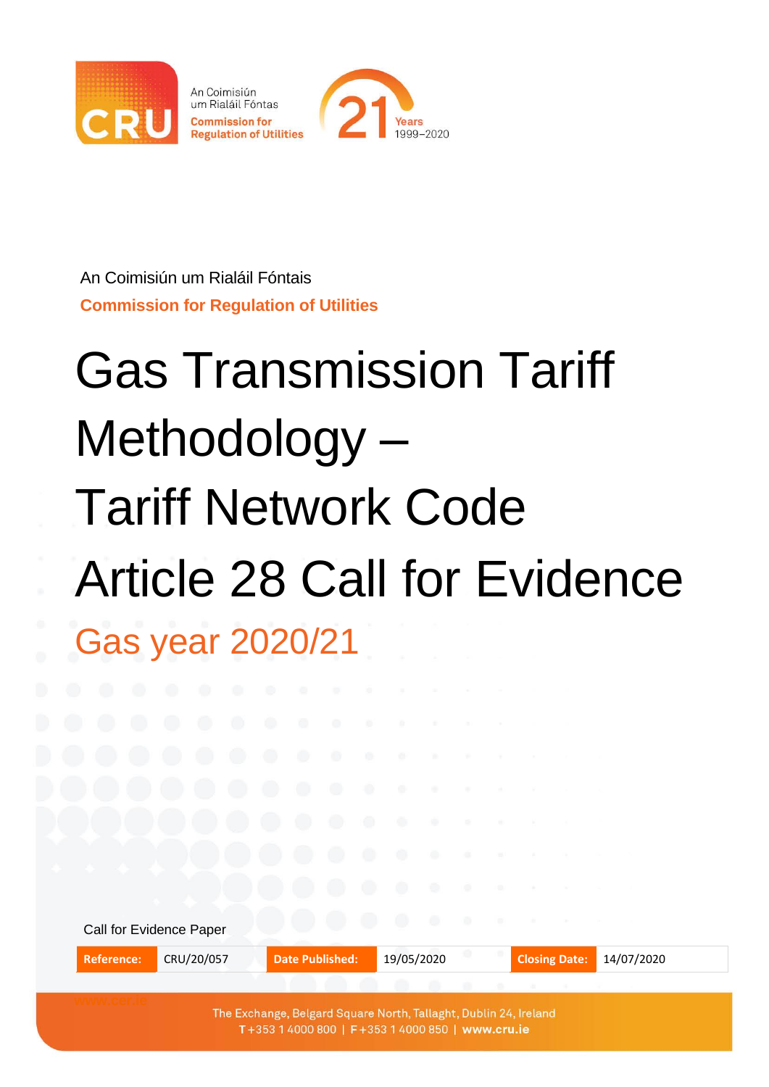

An Coimisiún um Rialáil Fóntais **Commission for Regulation of Utilities**

# Gas Transmission Tariff Methodology – Tariff Network Code Article 28 Call for Evidence Gas year 2020/21

|                   | Call for Evidence Paper |                                                                                                                      | - 0 -<br>$\bullet$ |                      |            |  |
|-------------------|-------------------------|----------------------------------------------------------------------------------------------------------------------|--------------------|----------------------|------------|--|
| <b>Reference:</b> | CRU/20/057              | <b>Date Published:</b>                                                                                               | 19/05/2020         | <b>Closing Date:</b> | 14/07/2020 |  |
|                   |                         |                                                                                                                      |                    |                      |            |  |
|                   |                         | The Exchange, Belgard Square North, Tallaght, Dublin 24, Ireland<br>T+353 1 4000 800   F+353 1 4000 850   www.cru.ie |                    |                      |            |  |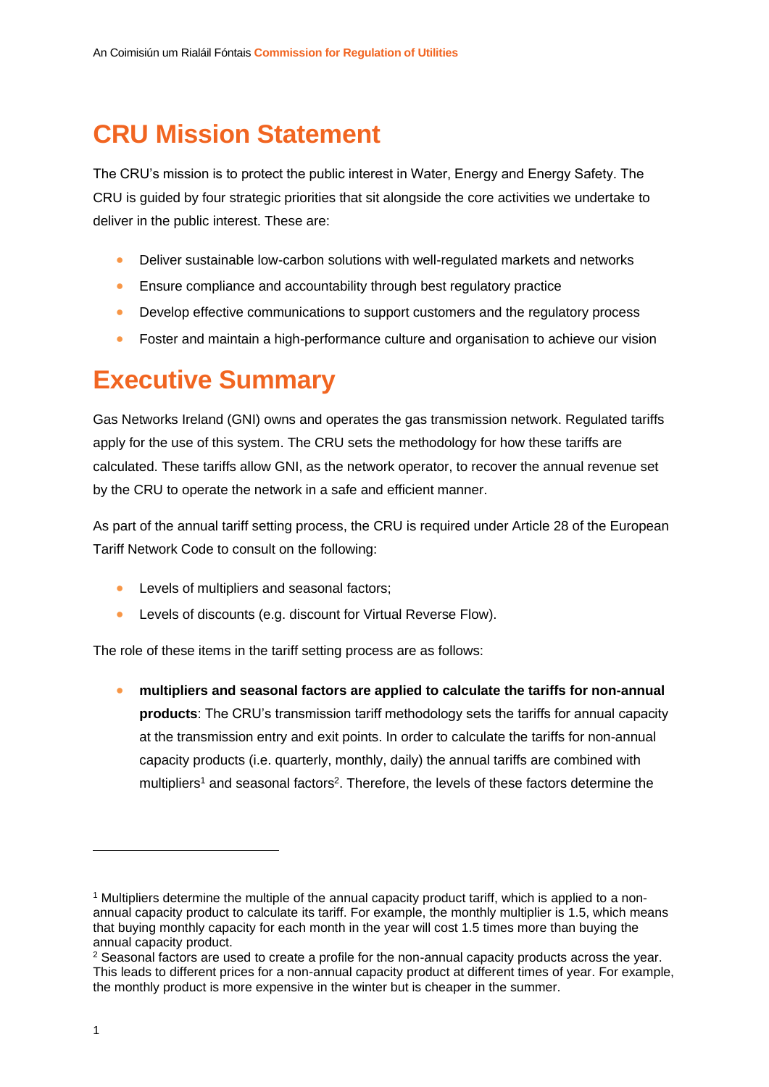## **CRU Mission Statement**

The CRU's mission is to protect the public interest in Water, Energy and Energy Safety. The CRU is guided by four strategic priorities that sit alongside the core activities we undertake to deliver in the public interest. These are:

- Deliver sustainable low-carbon solutions with well-regulated markets and networks
- Ensure compliance and accountability through best regulatory practice
- Develop effective communications to support customers and the regulatory process
- Foster and maintain a high-performance culture and organisation to achieve our vision

## **Executive Summary**

Gas Networks Ireland (GNI) owns and operates the gas transmission network. Regulated tariffs apply for the use of this system. The CRU sets the methodology for how these tariffs are calculated. These tariffs allow GNI, as the network operator, to recover the annual revenue set by the CRU to operate the network in a safe and efficient manner.

As part of the annual tariff setting process, the CRU is required under Article 28 of the European Tariff Network Code to consult on the following:

- Levels of multipliers and seasonal factors;
- Levels of discounts (e.g. discount for Virtual Reverse Flow).

The role of these items in the tariff setting process are as follows:

• **multipliers and seasonal factors are applied to calculate the tariffs for non-annual products**: The CRU's transmission tariff methodology sets the tariffs for annual capacity at the transmission entry and exit points. In order to calculate the tariffs for non-annual capacity products (i.e. quarterly, monthly, daily) the annual tariffs are combined with multipliers<sup>1</sup> and seasonal factors<sup>2</sup>. Therefore, the levels of these factors determine the

<sup>1</sup> Multipliers determine the multiple of the annual capacity product tariff, which is applied to a nonannual capacity product to calculate its tariff. For example, the monthly multiplier is 1.5, which means that buying monthly capacity for each month in the year will cost 1.5 times more than buying the annual capacity product.

 $2$  Seasonal factors are used to create a profile for the non-annual capacity products across the year. This leads to different prices for a non-annual capacity product at different times of year. For example, the monthly product is more expensive in the winter but is cheaper in the summer.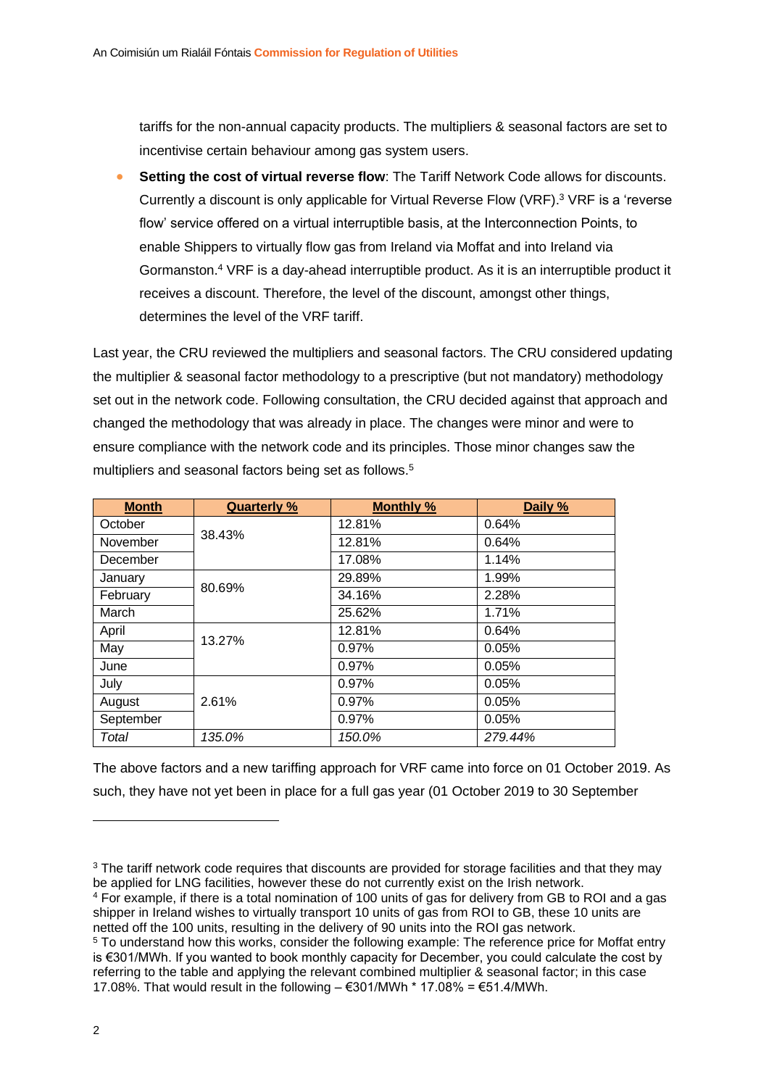tariffs for the non-annual capacity products. The multipliers & seasonal factors are set to incentivise certain behaviour among gas system users.

• **Setting the cost of virtual reverse flow**: The Tariff Network Code allows for discounts. Currently a discount is only applicable for Virtual Reverse Flow (VRF). <sup>3</sup> VRF is a 'reverse flow' service offered on a virtual interruptible basis, at the Interconnection Points, to enable Shippers to virtually flow gas from Ireland via Moffat and into Ireland via Gormanston.<sup>4</sup> VRF is a day-ahead interruptible product. As it is an interruptible product it receives a discount. Therefore, the level of the discount, amongst other things, determines the level of the VRF tariff.

Last year, the CRU reviewed the multipliers and seasonal factors. The CRU considered updating the multiplier & seasonal factor methodology to a prescriptive (but not mandatory) methodology set out in the network code. Following consultation, the CRU decided against that approach and changed the methodology that was already in place. The changes were minor and were to ensure compliance with the network code and its principles. Those minor changes saw the multipliers and seasonal factors being set as follows.<sup>5</sup>

| <b>Month</b> | <b>Quarterly %</b> | <b>Monthly %</b> | Daily % |
|--------------|--------------------|------------------|---------|
| October      |                    | 12.81%           | 0.64%   |
| November     | 38.43%             | 12.81%           | 0.64%   |
| December     |                    | 17.08%           | 1.14%   |
| January      |                    | 29.89%           | 1.99%   |
| February     | 80.69%             | 34.16%           | 2.28%   |
| March        |                    | 25.62%           | 1.71%   |
| April        |                    | 12.81%           | 0.64%   |
| May          | 13.27%             | 0.97%            | 0.05%   |
| June         |                    | 0.97%            | 0.05%   |
| July         |                    | 0.97%            | 0.05%   |
| August       | 2.61%              | 0.97%            | 0.05%   |
| September    |                    | 0.97%            | 0.05%   |
| Total        | 135.0%             | 150.0%           | 279.44% |

The above factors and a new tariffing approach for VRF came into force on 01 October 2019. As such, they have not yet been in place for a full gas year (01 October 2019 to 30 September

<sup>&</sup>lt;sup>3</sup> The tariff network code requires that discounts are provided for storage facilities and that they may be applied for LNG facilities, however these do not currently exist on the Irish network.

<sup>4</sup> For example, if there is a total nomination of 100 units of gas for delivery from GB to ROI and a gas shipper in Ireland wishes to virtually transport 10 units of gas from ROI to GB, these 10 units are netted off the 100 units, resulting in the delivery of 90 units into the ROI gas network.

<sup>5</sup> To understand how this works, consider the following example: The reference price for Moffat entry is €301/MWh. If you wanted to book monthly capacity for December, you could calculate the cost by referring to the table and applying the relevant combined multiplier & seasonal factor; in this case 17.08%. That would result in the following  $-$  €301/MWh  $*$  17.08% = €51.4/MWh.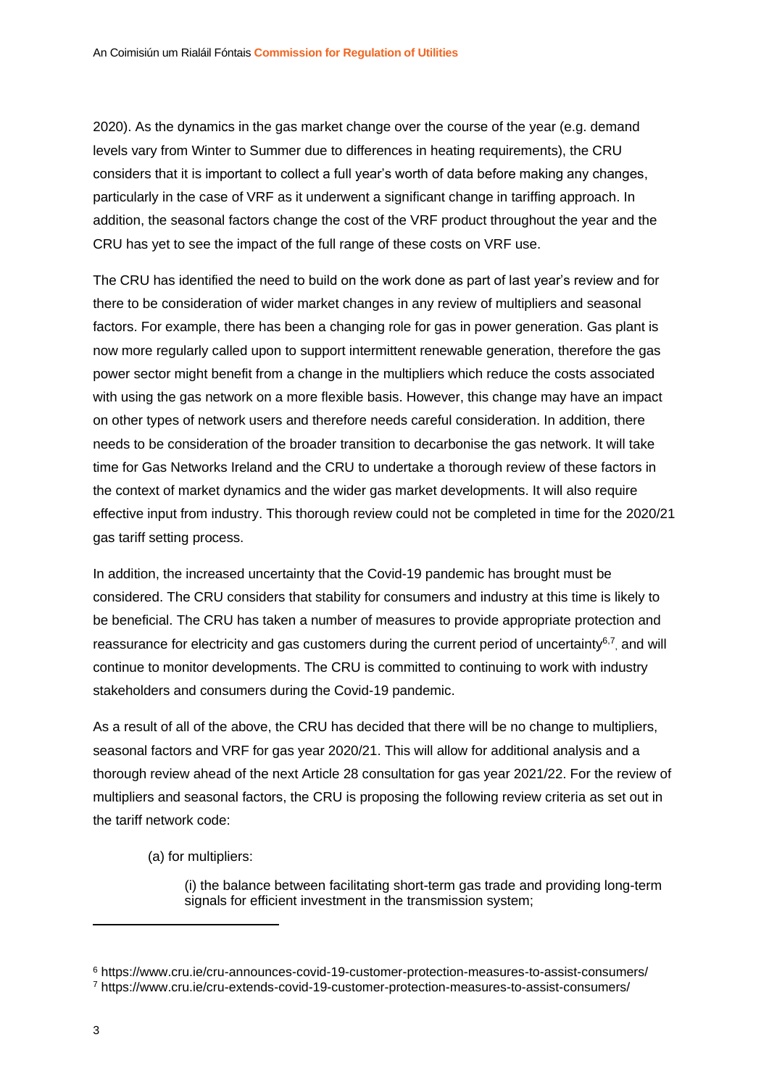2020). As the dynamics in the gas market change over the course of the year (e.g. demand levels vary from Winter to Summer due to differences in heating requirements), the CRU considers that it is important to collect a full year's worth of data before making any changes, particularly in the case of VRF as it underwent a significant change in tariffing approach. In addition, the seasonal factors change the cost of the VRF product throughout the year and the CRU has yet to see the impact of the full range of these costs on VRF use.

The CRU has identified the need to build on the work done as part of last year's review and for there to be consideration of wider market changes in any review of multipliers and seasonal factors. For example, there has been a changing role for gas in power generation. Gas plant is now more regularly called upon to support intermittent renewable generation, therefore the gas power sector might benefit from a change in the multipliers which reduce the costs associated with using the gas network on a more flexible basis. However, this change may have an impact on other types of network users and therefore needs careful consideration. In addition, there needs to be consideration of the broader transition to decarbonise the gas network. It will take time for Gas Networks Ireland and the CRU to undertake a thorough review of these factors in the context of market dynamics and the wider gas market developments. It will also require effective input from industry. This thorough review could not be completed in time for the 2020/21 gas tariff setting process.

In addition, the increased uncertainty that the Covid-19 pandemic has brought must be considered. The CRU considers that stability for consumers and industry at this time is likely to be beneficial. The CRU has taken a number of measures to provide appropriate protection and reassurance for electricity and gas customers during the current period of uncertainty<sup>6,7</sup>, and will continue to monitor developments. The CRU is committed to continuing to work with industry stakeholders and consumers during the Covid-19 pandemic.

As a result of all of the above, the CRU has decided that there will be no change to multipliers, seasonal factors and VRF for gas year 2020/21. This will allow for additional analysis and a thorough review ahead of the next Article 28 consultation for gas year 2021/22. For the review of multipliers and seasonal factors, the CRU is proposing the following review criteria as set out in the tariff network code:

(a) for multipliers:

(i) the balance between facilitating short-term gas trade and providing long-term signals for efficient investment in the transmission system;

<sup>6</sup> https://www.cru.ie/cru-announces-covid-19-customer-protection-measures-to-assist-consumers/ <sup>7</sup> https://www.cru.ie/cru-extends-covid-19-customer-protection-measures-to-assist-consumers/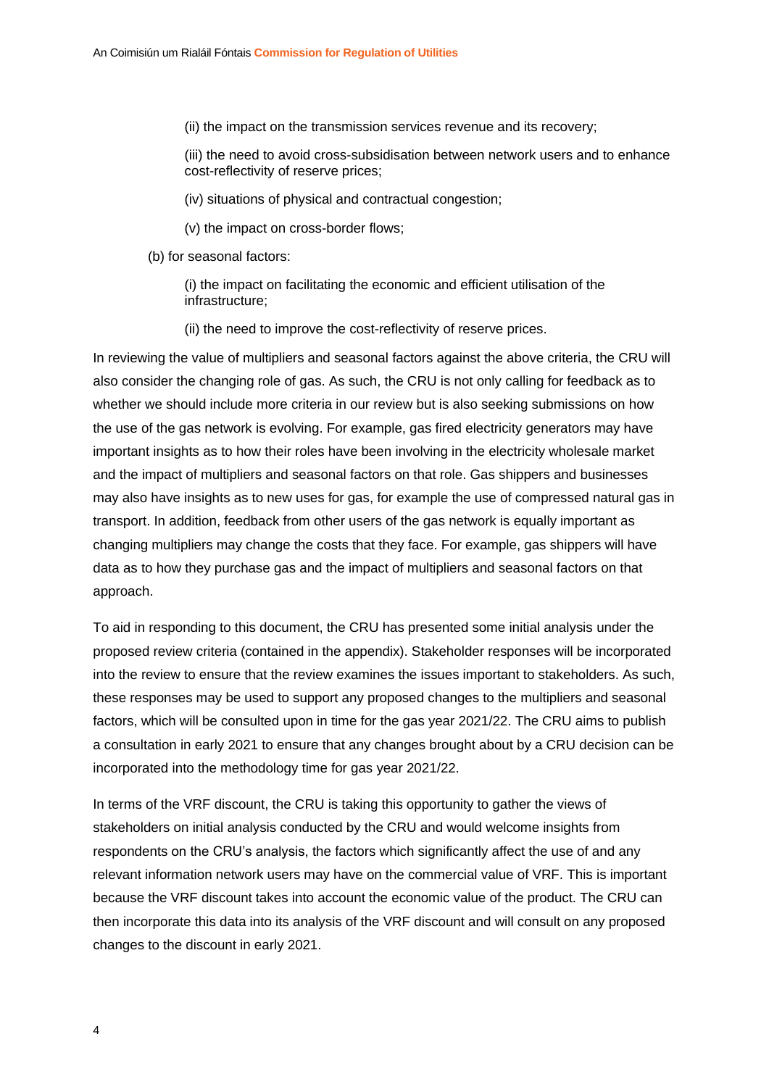(ii) the impact on the transmission services revenue and its recovery;

(iii) the need to avoid cross-subsidisation between network users and to enhance cost-reflectivity of reserve prices;

(iv) situations of physical and contractual congestion;

(v) the impact on cross-border flows;

(b) for seasonal factors:

(i) the impact on facilitating the economic and efficient utilisation of the infrastructure;

(ii) the need to improve the cost-reflectivity of reserve prices.

In reviewing the value of multipliers and seasonal factors against the above criteria, the CRU will also consider the changing role of gas. As such, the CRU is not only calling for feedback as to whether we should include more criteria in our review but is also seeking submissions on how the use of the gas network is evolving. For example, gas fired electricity generators may have important insights as to how their roles have been involving in the electricity wholesale market and the impact of multipliers and seasonal factors on that role. Gas shippers and businesses may also have insights as to new uses for gas, for example the use of compressed natural gas in transport. In addition, feedback from other users of the gas network is equally important as changing multipliers may change the costs that they face. For example, gas shippers will have data as to how they purchase gas and the impact of multipliers and seasonal factors on that approach.

To aid in responding to this document, the CRU has presented some initial analysis under the proposed review criteria (contained in the appendix). Stakeholder responses will be incorporated into the review to ensure that the review examines the issues important to stakeholders. As such, these responses may be used to support any proposed changes to the multipliers and seasonal factors, which will be consulted upon in time for the gas year 2021/22. The CRU aims to publish a consultation in early 2021 to ensure that any changes brought about by a CRU decision can be incorporated into the methodology time for gas year 2021/22.

In terms of the VRF discount, the CRU is taking this opportunity to gather the views of stakeholders on initial analysis conducted by the CRU and would welcome insights from respondents on the CRU's analysis, the factors which significantly affect the use of and any relevant information network users may have on the commercial value of VRF. This is important because the VRF discount takes into account the economic value of the product. The CRU can then incorporate this data into its analysis of the VRF discount and will consult on any proposed changes to the discount in early 2021.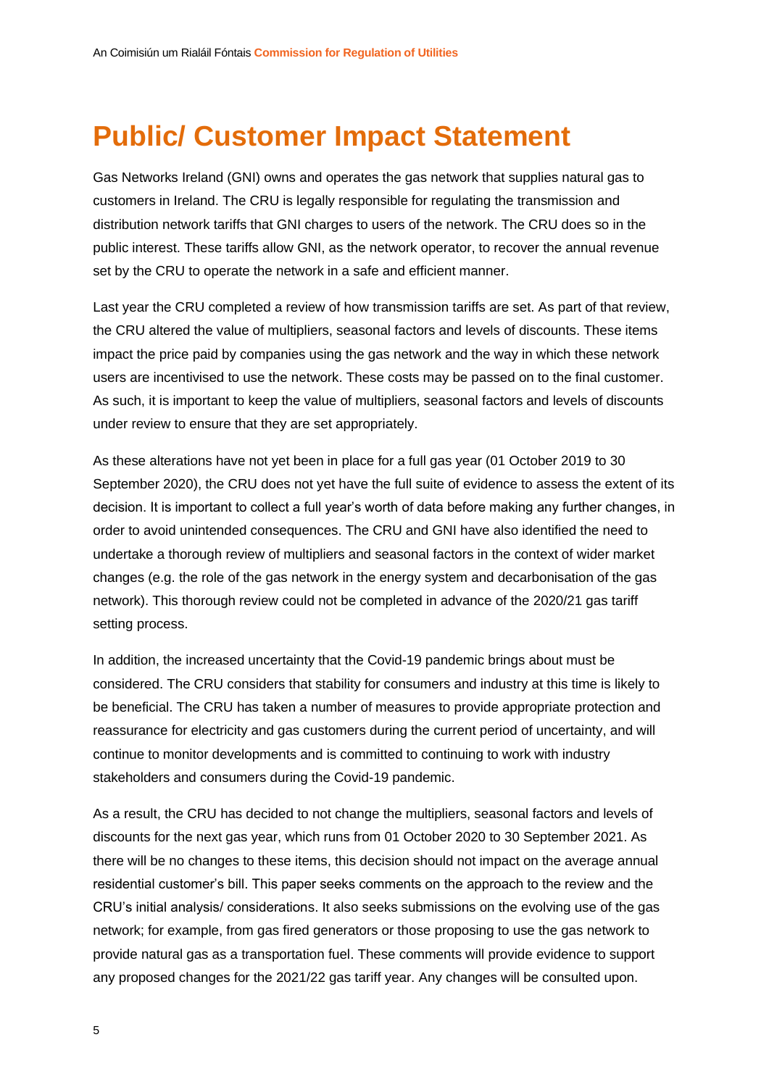## **Public/ Customer Impact Statement**

Gas Networks Ireland (GNI) owns and operates the gas network that supplies natural gas to customers in Ireland. The CRU is legally responsible for regulating the transmission and distribution network tariffs that GNI charges to users of the network. The CRU does so in the public interest. These tariffs allow GNI, as the network operator, to recover the annual revenue set by the CRU to operate the network in a safe and efficient manner.

Last year the CRU completed a review of how transmission tariffs are set. As part of that review, the CRU altered the value of multipliers, seasonal factors and levels of discounts. These items impact the price paid by companies using the gas network and the way in which these network users are incentivised to use the network. These costs may be passed on to the final customer. As such, it is important to keep the value of multipliers, seasonal factors and levels of discounts under review to ensure that they are set appropriately.

As these alterations have not yet been in place for a full gas year (01 October 2019 to 30 September 2020), the CRU does not yet have the full suite of evidence to assess the extent of its decision. It is important to collect a full year's worth of data before making any further changes, in order to avoid unintended consequences. The CRU and GNI have also identified the need to undertake a thorough review of multipliers and seasonal factors in the context of wider market changes (e.g. the role of the gas network in the energy system and decarbonisation of the gas network). This thorough review could not be completed in advance of the 2020/21 gas tariff setting process.

In addition, the increased uncertainty that the Covid-19 pandemic brings about must be considered. The CRU considers that stability for consumers and industry at this time is likely to be beneficial. The CRU has taken a number of measures to provide appropriate protection and reassurance for electricity and gas customers during the current period of uncertainty, and will continue to monitor developments and is committed to continuing to work with industry stakeholders and consumers during the Covid-19 pandemic.

As a result, the CRU has decided to not change the multipliers, seasonal factors and levels of discounts for the next gas year, which runs from 01 October 2020 to 30 September 2021. As there will be no changes to these items, this decision should not impact on the average annual residential customer's bill. This paper seeks comments on the approach to the review and the CRU's initial analysis/ considerations. It also seeks submissions on the evolving use of the gas network; for example, from gas fired generators or those proposing to use the gas network to provide natural gas as a transportation fuel. These comments will provide evidence to support any proposed changes for the 2021/22 gas tariff year. Any changes will be consulted upon.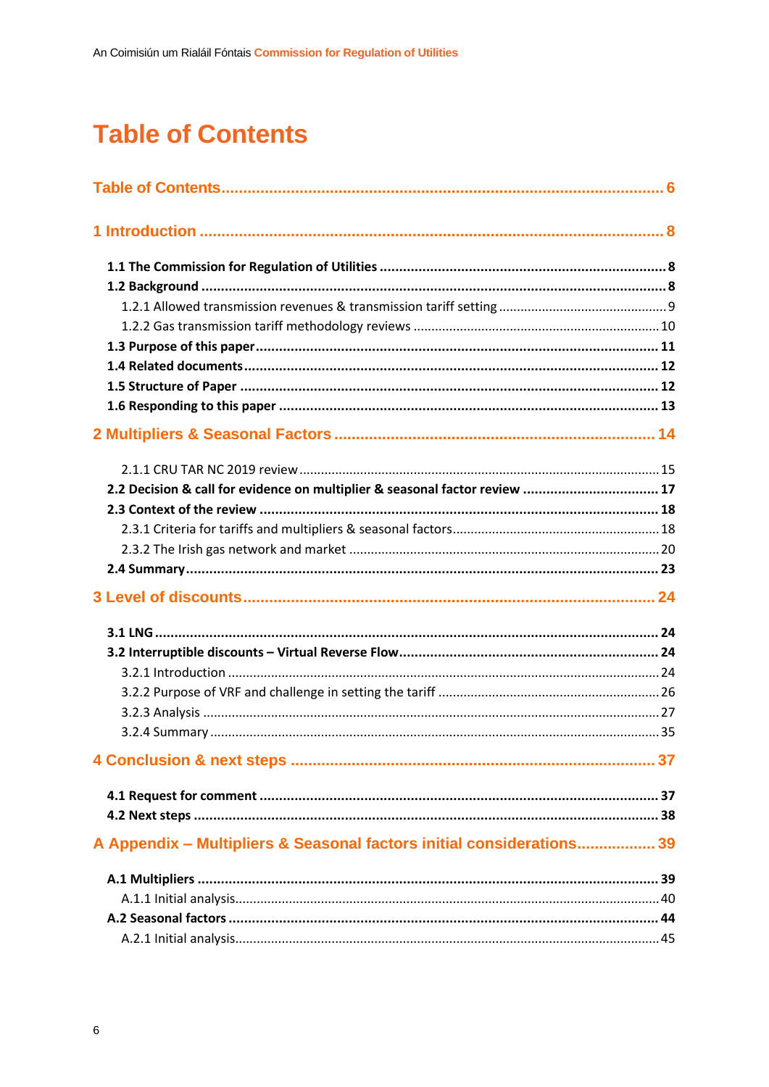## <span id="page-6-0"></span>**Table of Contents**

| 2.2 Decision & call for evidence on multiplier & seasonal factor review  17 |  |
|-----------------------------------------------------------------------------|--|
|                                                                             |  |
|                                                                             |  |
|                                                                             |  |
|                                                                             |  |
|                                                                             |  |
|                                                                             |  |
|                                                                             |  |
|                                                                             |  |
|                                                                             |  |
|                                                                             |  |
|                                                                             |  |
|                                                                             |  |
|                                                                             |  |
|                                                                             |  |
| A Appendix - Multipliers & Seasonal factors initial considerations 39       |  |
|                                                                             |  |
|                                                                             |  |
|                                                                             |  |
|                                                                             |  |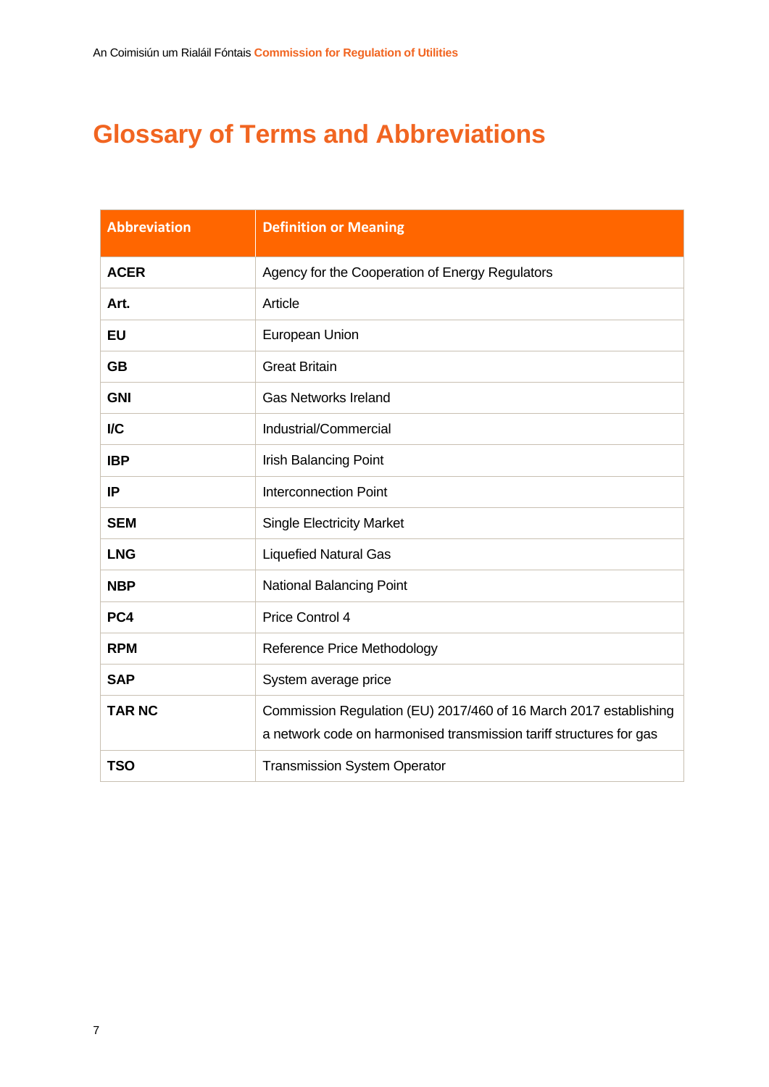## **Glossary of Terms and Abbreviations**

| <b>Abbreviation</b> | <b>Definition or Meaning</b>                                                                                                             |
|---------------------|------------------------------------------------------------------------------------------------------------------------------------------|
| <b>ACER</b>         | Agency for the Cooperation of Energy Regulators                                                                                          |
| Art.                | Article                                                                                                                                  |
| EU                  | European Union                                                                                                                           |
| <b>GB</b>           | <b>Great Britain</b>                                                                                                                     |
| <b>GNI</b>          | <b>Gas Networks Ireland</b>                                                                                                              |
| I/C                 | Industrial/Commercial                                                                                                                    |
| <b>IBP</b>          | <b>Irish Balancing Point</b>                                                                                                             |
| IP                  | <b>Interconnection Point</b>                                                                                                             |
| <b>SEM</b>          | <b>Single Electricity Market</b>                                                                                                         |
| <b>LNG</b>          | <b>Liquefied Natural Gas</b>                                                                                                             |
| <b>NBP</b>          | <b>National Balancing Point</b>                                                                                                          |
| PC4                 | Price Control 4                                                                                                                          |
| <b>RPM</b>          | Reference Price Methodology                                                                                                              |
| <b>SAP</b>          | System average price                                                                                                                     |
| <b>TAR NC</b>       | Commission Regulation (EU) 2017/460 of 16 March 2017 establishing<br>a network code on harmonised transmission tariff structures for gas |
| <b>TSO</b>          | <b>Transmission System Operator</b>                                                                                                      |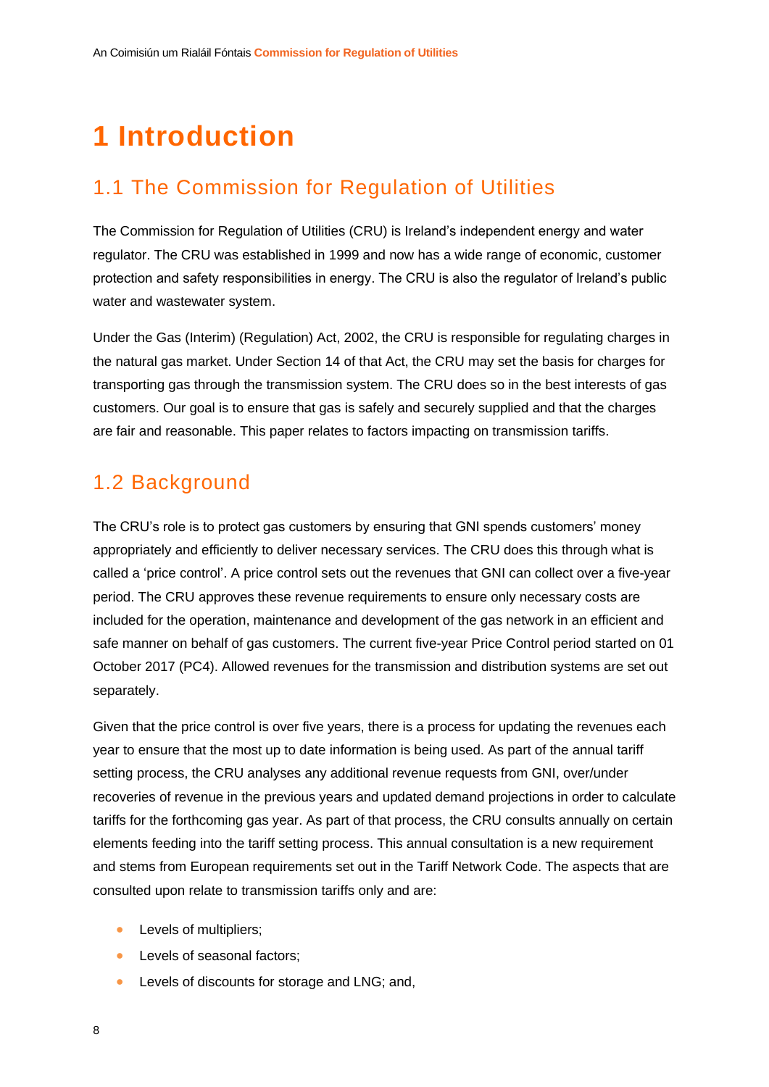## <span id="page-8-0"></span>**1 Introduction**

## <span id="page-8-1"></span>1.1 The Commission for Regulation of Utilities

The Commission for Regulation of Utilities (CRU) is Ireland's independent energy and water regulator. The CRU was established in 1999 and now has a wide range of economic, customer protection and safety responsibilities in energy. The CRU is also the regulator of Ireland's public water and wastewater system.

Under the Gas (Interim) (Regulation) Act, 2002, the CRU is responsible for regulating charges in the natural gas market. Under Section 14 of that Act, the CRU may set the basis for charges for transporting gas through the transmission system. The CRU does so in the best interests of gas customers. Our goal is to ensure that gas is safely and securely supplied and that the charges are fair and reasonable. This paper relates to factors impacting on transmission tariffs.

### <span id="page-8-2"></span>1.2 Background

The CRU's role is to protect gas customers by ensuring that GNI spends customers' money appropriately and efficiently to deliver necessary services. The CRU does this through what is called a 'price control'. A price control sets out the revenues that GNI can collect over a five-year period. The CRU approves these revenue requirements to ensure only necessary costs are included for the operation, maintenance and development of the gas network in an efficient and safe manner on behalf of gas customers. The current five-year Price Control period started on 01 October 2017 (PC4). Allowed revenues for the transmission and distribution systems are set out separately.

Given that the price control is over five years, there is a process for updating the revenues each year to ensure that the most up to date information is being used. As part of the annual tariff setting process, the CRU analyses any additional revenue requests from GNI, over/under recoveries of revenue in the previous years and updated demand projections in order to calculate tariffs for the forthcoming gas year. As part of that process, the CRU consults annually on certain elements feeding into the tariff setting process. This annual consultation is a new requirement and stems from European requirements set out in the Tariff Network Code. The aspects that are consulted upon relate to transmission tariffs only and are:

- Levels of multipliers;
- Levels of seasonal factors:
- Levels of discounts for storage and LNG; and,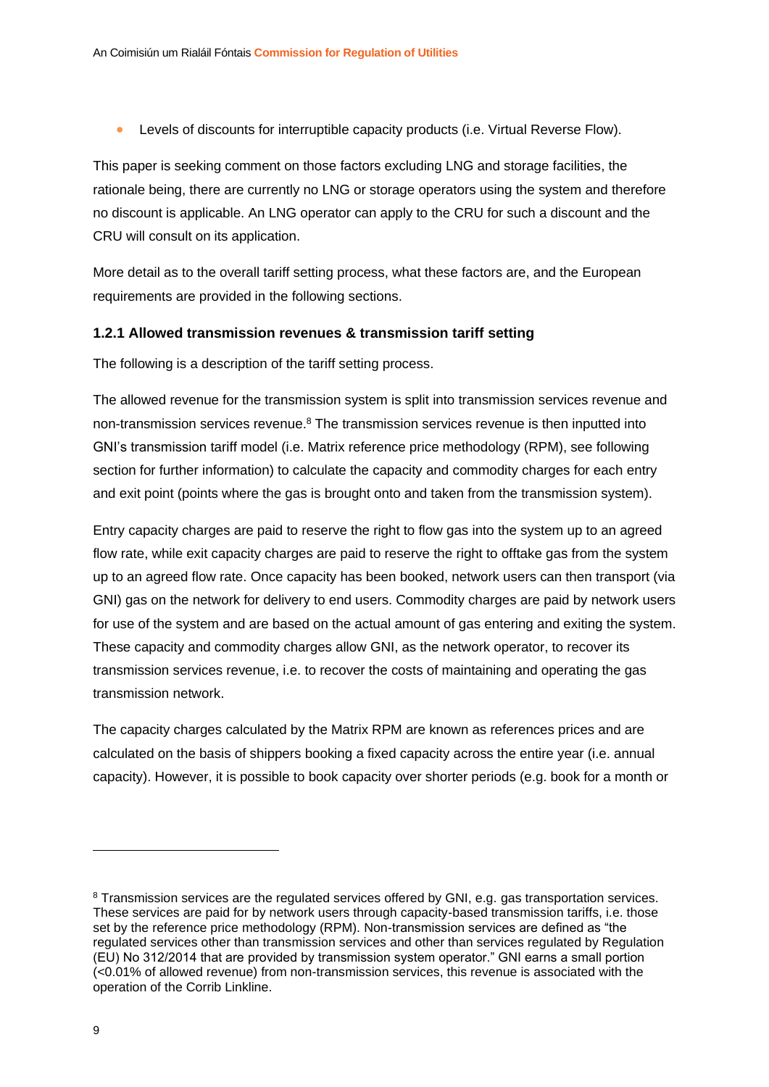• Levels of discounts for interruptible capacity products (i.e. Virtual Reverse Flow).

This paper is seeking comment on those factors excluding LNG and storage facilities, the rationale being, there are currently no LNG or storage operators using the system and therefore no discount is applicable. An LNG operator can apply to the CRU for such a discount and the CRU will consult on its application.

More detail as to the overall tariff setting process, what these factors are, and the European requirements are provided in the following sections.

#### <span id="page-9-0"></span>**1.2.1 Allowed transmission revenues & transmission tariff setting**

The following is a description of the tariff setting process.

The allowed revenue for the transmission system is split into transmission services revenue and non-transmission services revenue.<sup>8</sup> The transmission services revenue is then inputted into GNI's transmission tariff model (i.e. Matrix reference price methodology (RPM), see following section for further information) to calculate the capacity and commodity charges for each entry and exit point (points where the gas is brought onto and taken from the transmission system).

Entry capacity charges are paid to reserve the right to flow gas into the system up to an agreed flow rate, while exit capacity charges are paid to reserve the right to offtake gas from the system up to an agreed flow rate. Once capacity has been booked, network users can then transport (via GNI) gas on the network for delivery to end users. Commodity charges are paid by network users for use of the system and are based on the actual amount of gas entering and exiting the system. These capacity and commodity charges allow GNI, as the network operator, to recover its transmission services revenue, i.e. to recover the costs of maintaining and operating the gas transmission network.

The capacity charges calculated by the Matrix RPM are known as references prices and are calculated on the basis of shippers booking a fixed capacity across the entire year (i.e. annual capacity). However, it is possible to book capacity over shorter periods (e.g. book for a month or

<sup>8</sup> Transmission services are the regulated services offered by GNI, e.g. gas transportation services. These services are paid for by network users through capacity-based transmission tariffs, i.e. those set by the reference price methodology (RPM). Non-transmission services are defined as "the regulated services other than transmission services and other than services regulated by Regulation (EU) No 312/2014 that are provided by transmission system operator." GNI earns a small portion  $\left($  <0.01% of allowed revenue) from non-transmission services, this revenue is associated with the operation of the Corrib Linkline.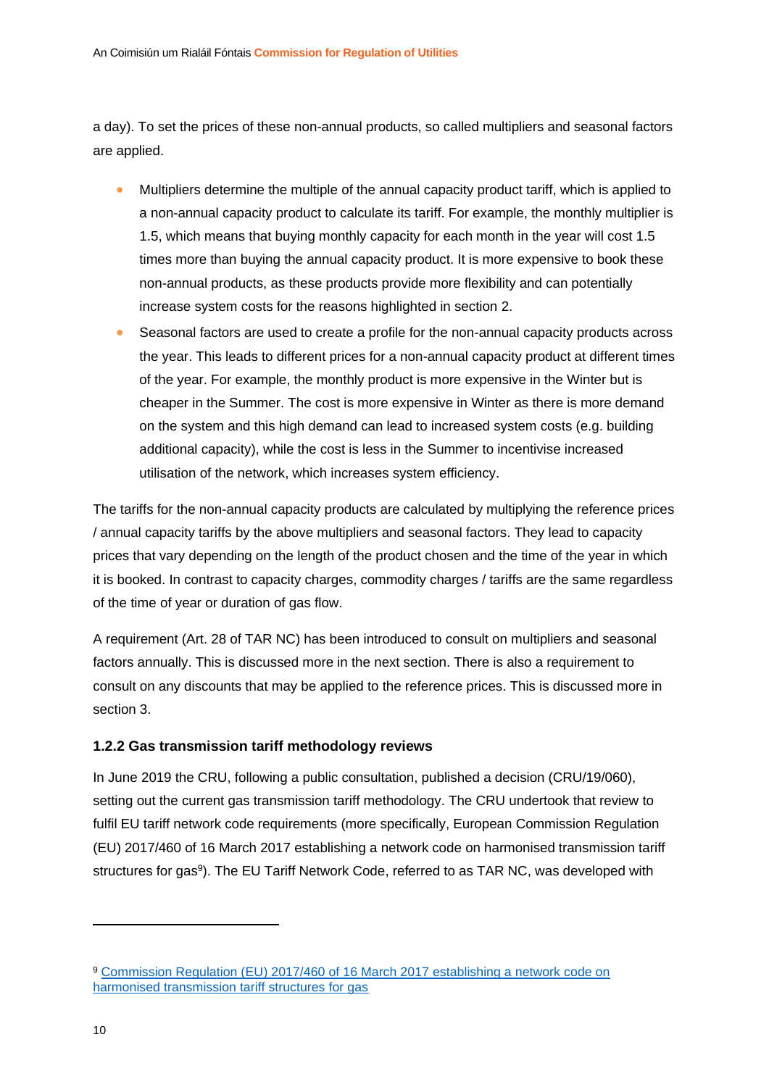a day). To set the prices of these non-annual products, so called multipliers and seasonal factors are applied.

- Multipliers determine the multiple of the annual capacity product tariff, which is applied to a non-annual capacity product to calculate its tariff. For example, the monthly multiplier is 1.5, which means that buying monthly capacity for each month in the year will cost 1.5 times more than buying the annual capacity product. It is more expensive to book these non-annual products, as these products provide more flexibility and can potentially increase system costs for the reasons highlighted in section [2.](#page-14-0)
- Seasonal factors are used to create a profile for the non-annual capacity products across the year. This leads to different prices for a non-annual capacity product at different times of the year. For example, the monthly product is more expensive in the Winter but is cheaper in the Summer. The cost is more expensive in Winter as there is more demand on the system and this high demand can lead to increased system costs (e.g. building additional capacity), while the cost is less in the Summer to incentivise increased utilisation of the network, which increases system efficiency.

The tariffs for the non-annual capacity products are calculated by multiplying the reference prices / annual capacity tariffs by the above multipliers and seasonal factors. They lead to capacity prices that vary depending on the length of the product chosen and the time of the year in which it is booked. In contrast to capacity charges, commodity charges / tariffs are the same regardless of the time of year or duration of gas flow.

A requirement (Art. 28 of TAR NC) has been introduced to consult on multipliers and seasonal factors annually. This is discussed more in the next section. There is also a requirement to consult on any discounts that may be applied to the reference prices. This is discussed more in section [3.](#page-24-0)

#### <span id="page-10-0"></span>**1.2.2 Gas transmission tariff methodology reviews**

In June 2019 the CRU, following a public consultation, published a decision (CRU/19/060), setting out the current gas transmission tariff methodology. The CRU undertook that review to fulfil EU tariff network code requirements (more specifically, European Commission Regulation (EU) 2017/460 of 16 March 2017 establishing a network code on harmonised transmission tariff structures for gas<sup>9</sup>). The EU Tariff Network Code, referred to as TAR NC, was developed with

<sup>9</sup> [Commission Regulation \(EU\) 2017/460 of 16 March 2017 establishing a network code on](https://eur-lex.europa.eu/legal-content/EN/TXT/PDF/?uri=CELEX:32017R0460&from=EN)  [harmonised transmission tariff structures for gas](https://eur-lex.europa.eu/legal-content/EN/TXT/PDF/?uri=CELEX:32017R0460&from=EN)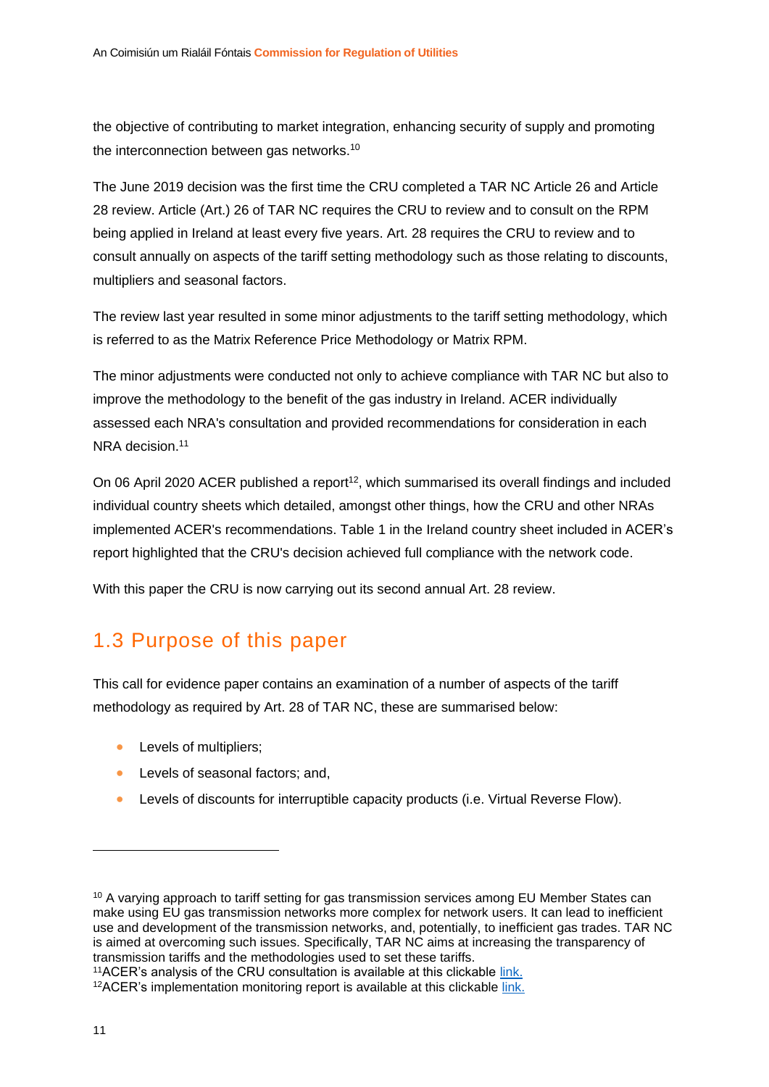the objective of contributing to market integration, enhancing security of supply and promoting the interconnection between gas networks.<sup>10</sup>

The June 2019 decision was the first time the CRU completed a TAR NC Article 26 and Article 28 review. Article (Art.) 26 of TAR NC requires the CRU to review and to consult on the RPM being applied in Ireland at least every five years. Art. 28 requires the CRU to review and to consult annually on aspects of the tariff setting methodology such as those relating to discounts, multipliers and seasonal factors.

The review last year resulted in some minor adjustments to the tariff setting methodology, which is referred to as the Matrix Reference Price Methodology or Matrix RPM.

The minor adjustments were conducted not only to achieve compliance with TAR NC but also to improve the methodology to the benefit of the gas industry in Ireland. ACER individually assessed each NRA's consultation and provided recommendations for consideration in each NRA decision.<sup>11</sup>

<span id="page-11-1"></span>On 06 April 2020 ACER published a report<sup>12</sup>, which summarised its overall findings and included individual country sheets which detailed, amongst other things, how the CRU and other NRAs implemented ACER's recommendations. Table 1 in the Ireland country sheet included in ACER's report highlighted that the CRU's decision achieved full compliance with the network code.

With this paper the CRU is now carrying out its second annual Art. 28 review.

### <span id="page-11-0"></span>1.3 Purpose of this paper

This call for evidence paper contains an examination of a number of aspects of the tariff methodology as required by Art. 28 of TAR NC, these are summarised below:

- Levels of multipliers;
- Levels of seasonal factors; and,
- Levels of discounts for interruptible capacity products (i.e. Virtual Reverse Flow).

<sup>&</sup>lt;sup>10</sup> A varying approach to tariff setting for gas transmission services among EU Member States can make using EU gas transmission networks more complex for network users. It can lead to inefficient use and development of the transmission networks, and, potentially, to inefficient gas trades. TAR NC is aimed at overcoming such issues. Specifically, TAR NC aims at increasing the transparency of transmission tariffs and the methodologies used to set these tariffs.

<sup>11</sup>ACER's analysis of the CRU consultation is available at this clickable [link.](https://acer.europa.eu/en/Gas/Framework%20guidelines_and_network%20codes/Pages/Harmonised-transmission-tariff-structures.aspx)

<sup>&</sup>lt;sup>12</sup>ACER's implementation monitoring report is available at this clickable [link.](https://acer.europa.eu/Official_documents/Acts_of_the_Agency/Publication/The%20internal%20gas%20market%20in%20Europe_The%20role%20of%20transmission%20tariffs.pdf)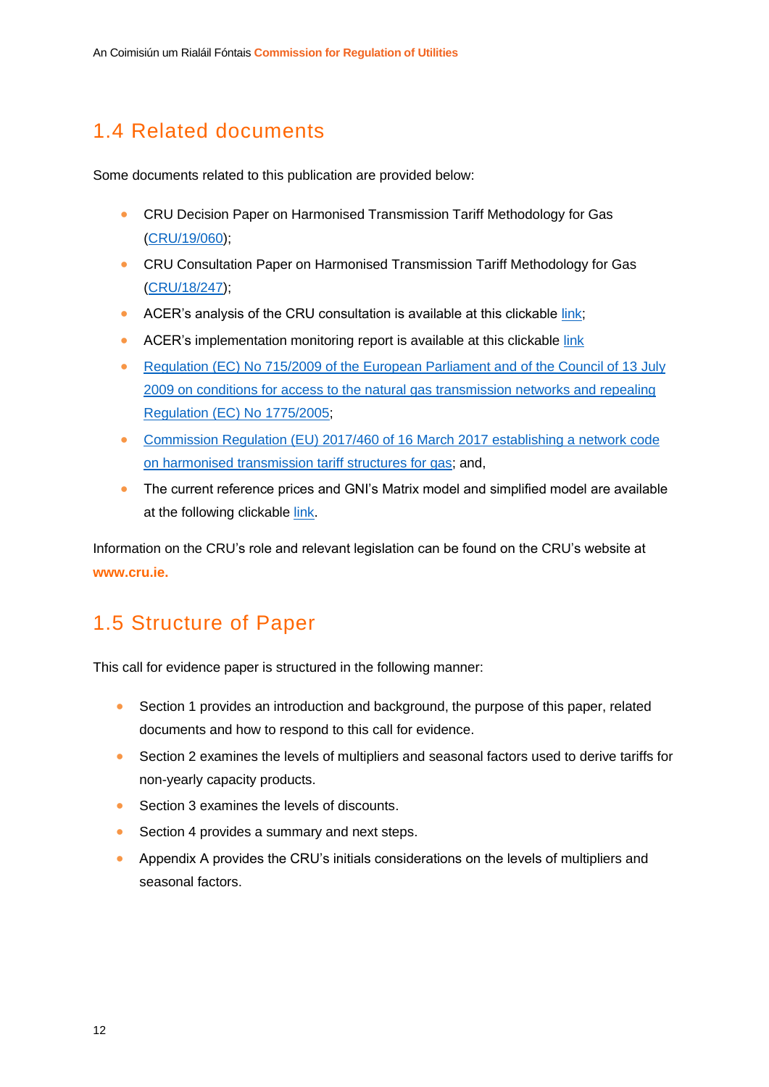## <span id="page-12-0"></span>1.4 Related documents

Some documents related to this publication are provided below:

- CRU Decision Paper on Harmonised Transmission Tariff Methodology for Gas [\(CRU/19/060\)](https://www.cru.ie/document_group/harmonised-transmission-tariff-methodology-for-gas/);
- CRU Consultation Paper on Harmonised Transmission Tariff Methodology for Gas [\(CRU/18/247\)](https://www.cru.ie/document_group/harmonised-transmission-tariff-methodology-for-gas/);
- ACER's analysis of the CRU consultation is available at this clickable [link;](https://acer.europa.eu/en/Gas/Framework%20guidelines_and_network%20codes/Pages/Harmonised-transmission-tariff-structures.aspx)
- ACER's implementation monitoring report is available at this clickable [link](https://acer.europa.eu/en/Gas/Framework%20guidelines_and_network%20codes/Pages/Harmonised-transmission-tariff-structures.aspx)
- Requlation (EC) No 715/2009 of the European Parliament and of the Council of 13 July [2009 on conditions for access to the natural gas transmission networks and repealing](https://eur-lex.europa.eu/LexUriServ/LexUriServ.do?uri=OJ:L:2009:211:0036:0054:en:PDF)  [Regulation \(EC\) No](https://eur-lex.europa.eu/LexUriServ/LexUriServ.do?uri=OJ:L:2009:211:0036:0054:en:PDF) 1775/2005;
- [Commission Regulation \(EU\) 2017/460 of 16 March 2017 establishing a network](https://eur-lex.europa.eu/legal-content/EN/TXT/PDF/?uri=CELEX:32017R0460&from=EN) code [on harmonised transmission tariff structures for gas;](https://eur-lex.europa.eu/legal-content/EN/TXT/PDF/?uri=CELEX:32017R0460&from=EN) and,
- The current reference prices and GNI's Matrix model and simplified model are available at the following clickable [link.](https://www.gasnetworks.ie/corporate/gas-regulation/tariffs/transmission-tariffs/)

Information on the CRU's role and relevant legislation can be found on the CRU's website at **www.cru.ie.**

### <span id="page-12-1"></span>1.5 Structure of Paper

This call for evidence paper is structured in the following manner:

- Section 1 provides an introduction and background, the purpose of this paper, related documents and how to respond to this call for evidence.
- Section 2 examines the levels of multipliers and seasonal factors used to derive tariffs for non-yearly capacity products.
- Section 3 examines the levels of discounts.
- Section 4 provides a summary and next steps.
- Appendix A provides the CRU's initials considerations on the levels of multipliers and seasonal factors.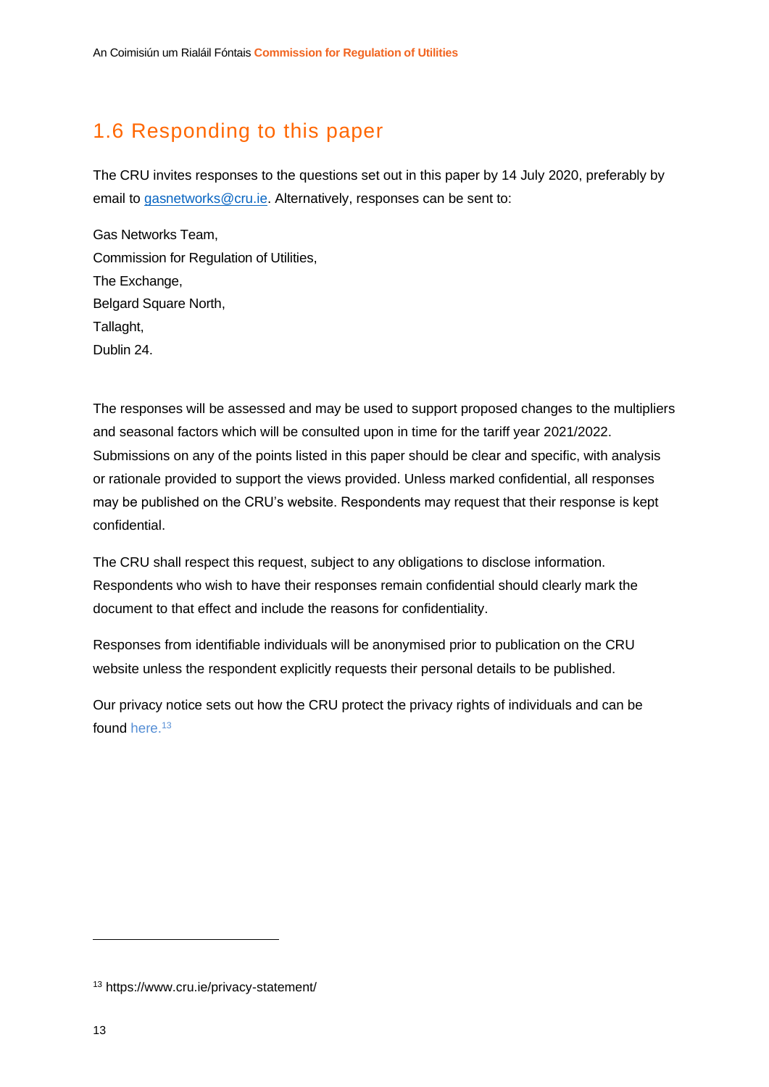## <span id="page-13-0"></span>1.6 Responding to this paper

The CRU invites responses to the questions set out in this paper by 14 July 2020, preferably by email to [gasnetworks@cru.ie.](mailto:gasnetworks@cru.ie) Alternatively, responses can be sent to:

Gas Networks Team, Commission for Regulation of Utilities, The Exchange, Belgard Square North, Tallaght, Dublin 24.

The responses will be assessed and may be used to support proposed changes to the multipliers and seasonal factors which will be consulted upon in time for the tariff year 2021/2022. Submissions on any of the points listed in this paper should be clear and specific, with analysis or rationale provided to support the views provided. Unless marked confidential, all responses may be published on the CRU's website. Respondents may request that their response is kept confidential.

The CRU shall respect this request, subject to any obligations to disclose information. Respondents who wish to have their responses remain confidential should clearly mark the document to that effect and include the reasons for confidentiality.

Responses from identifiable individuals will be anonymised prior to publication on the CRU website unless the respondent explicitly requests their personal details to be published.

Our privacy notice sets out how the CRU protect the privacy rights of individuals and can be found [here.](https://www.cru.ie/privacy-statement/)<sup>13</sup>

<sup>13</sup> https://www.cru.ie/privacy-statement/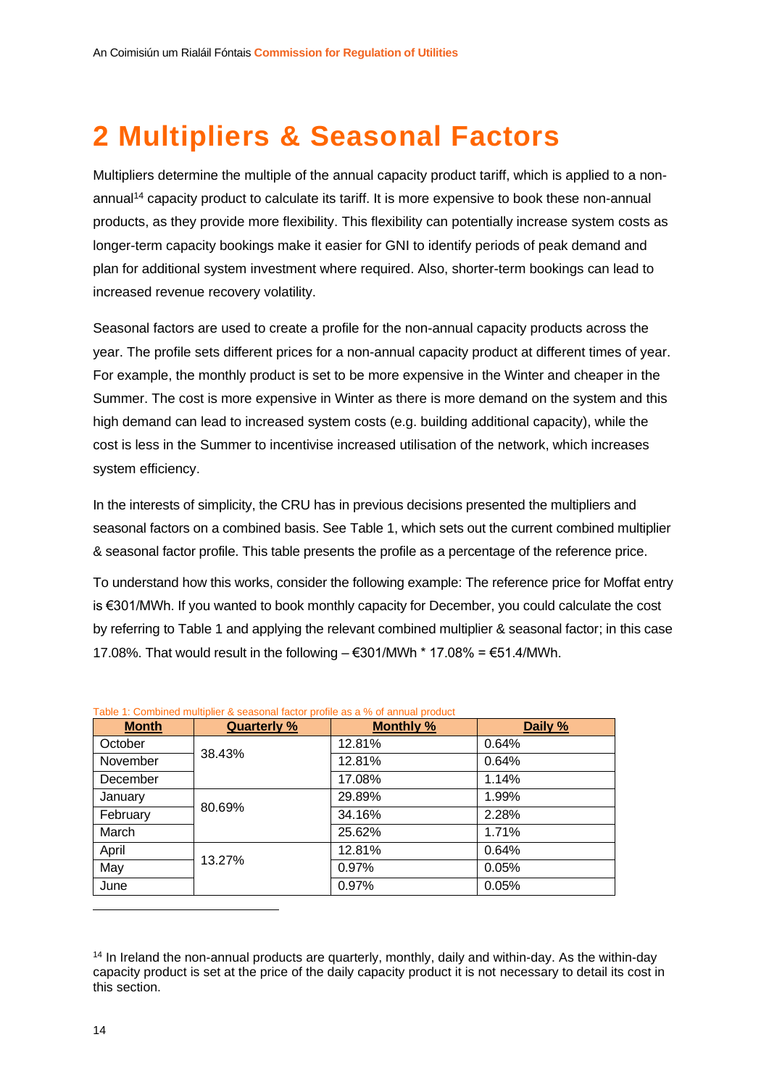## <span id="page-14-0"></span>**2 Multipliers & Seasonal Factors**

Multipliers determine the multiple of the annual capacity product tariff, which is applied to a nonannual<sup>14</sup> capacity product to calculate its tariff. It is more expensive to book these non-annual products, as they provide more flexibility. This flexibility can potentially increase system costs as longer-term capacity bookings make it easier for GNI to identify periods of peak demand and plan for additional system investment where required. Also, shorter-term bookings can lead to increased revenue recovery volatility.

Seasonal factors are used to create a profile for the non-annual capacity products across the year. The profile sets different prices for a non-annual capacity product at different times of year. For example, the monthly product is set to be more expensive in the Winter and cheaper in the Summer. The cost is more expensive in Winter as there is more demand on the system and this high demand can lead to increased system costs (e.g. building additional capacity), while the cost is less in the Summer to incentivise increased utilisation of the network, which increases system efficiency.

In the interests of simplicity, the CRU has in previous decisions presented the multipliers and seasonal factors on a combined basis. See [Table 1,](#page-14-1) which sets out the current combined multiplier & seasonal factor profile. This table presents the profile as a percentage of the reference price.

To understand how this works, consider the following example: The reference price for Moffat entry is €301/MWh. If you wanted to book monthly capacity for December, you could calculate the cost by referring to Table 1 and applying the relevant combined multiplier & seasonal factor; in this case 17.08%. That would result in the following  $-$  €301/MWh  $*$  17.08% = €51.4/MWh.

| <b>Month</b> | Quarterly % | <b>Monthly %</b> | Daily % |
|--------------|-------------|------------------|---------|
| October      |             | 12.81%           | 0.64%   |
| November     | 38.43%      | 12.81%           | 0.64%   |
| December     |             | 17.08%           | 1.14%   |
| January      |             | 29.89%           | 1.99%   |
| February     | 80.69%      | 34.16%           | 2.28%   |
| March        |             | 25.62%           | 1.71%   |
| April        |             | 12.81%           | 0.64%   |
| May          | 13.27%      | 0.97%            | 0.05%   |
| June         |             | 0.97%            | 0.05%   |

<span id="page-14-1"></span>Table 1: Combined multiplier & seasonal factor profile as a % of annual product

<sup>&</sup>lt;sup>14</sup> In Ireland the non-annual products are quarterly, monthly, daily and within-day. As the within-day capacity product is set at the price of the daily capacity product it is not necessary to detail its cost in this section.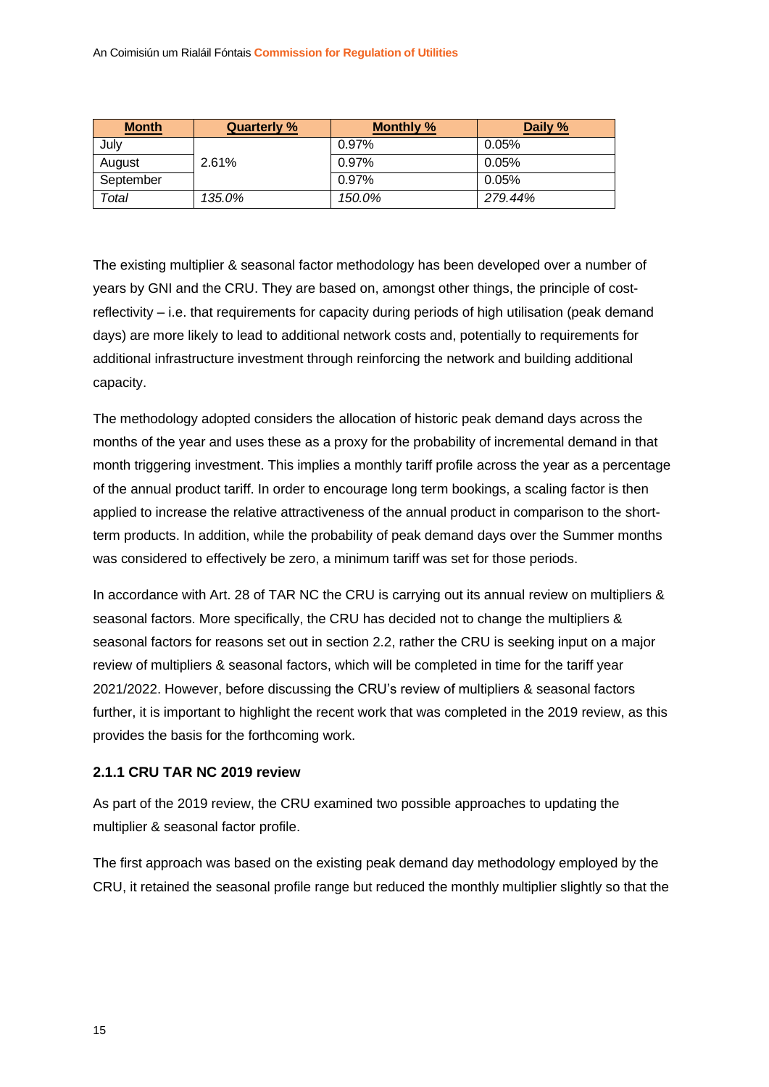| <b>Month</b> | <b>Quarterly %</b> | <b>Monthly %</b> | Daily % |
|--------------|--------------------|------------------|---------|
| July         |                    | 0.97%            | 0.05%   |
| August       | 2.61%              | 0.97%            | 0.05%   |
| September    |                    | 0.97%            | 0.05%   |
| Total        | 135.0%             | 150.0%           | 279.44% |

The existing multiplier & seasonal factor methodology has been developed over a number of years by GNI and the CRU. They are based on, amongst other things, the principle of costreflectivity – i.e. that requirements for capacity during periods of high utilisation (peak demand days) are more likely to lead to additional network costs and, potentially to requirements for additional infrastructure investment through reinforcing the network and building additional capacity.

The methodology adopted considers the allocation of historic peak demand days across the months of the year and uses these as a proxy for the probability of incremental demand in that month triggering investment. This implies a monthly tariff profile across the year as a percentage of the annual product tariff. In order to encourage long term bookings, a scaling factor is then applied to increase the relative attractiveness of the annual product in comparison to the shortterm products. In addition, while the probability of peak demand days over the Summer months was considered to effectively be zero, a minimum tariff was set for those periods.

In accordance with Art. 28 of TAR NC the CRU is carrying out its annual review on multipliers & seasonal factors. More specifically, the CRU has decided not to change the multipliers & seasonal factors for reasons set out in section [2.2,](#page-17-0) rather the CRU is seeking input on a major review of multipliers & seasonal factors, which will be completed in time for the tariff year 2021/2022. However, before discussing the CRU's review of multipliers & seasonal factors further, it is important to highlight the recent work that was completed in the 2019 review, as this provides the basis for the forthcoming work.

#### <span id="page-15-0"></span>**2.1.1 CRU TAR NC 2019 review**

As part of the 2019 review, the CRU examined two possible approaches to updating the multiplier & seasonal factor profile.

The first approach was based on the existing peak demand day methodology employed by the CRU, it retained the seasonal profile range but reduced the monthly multiplier slightly so that the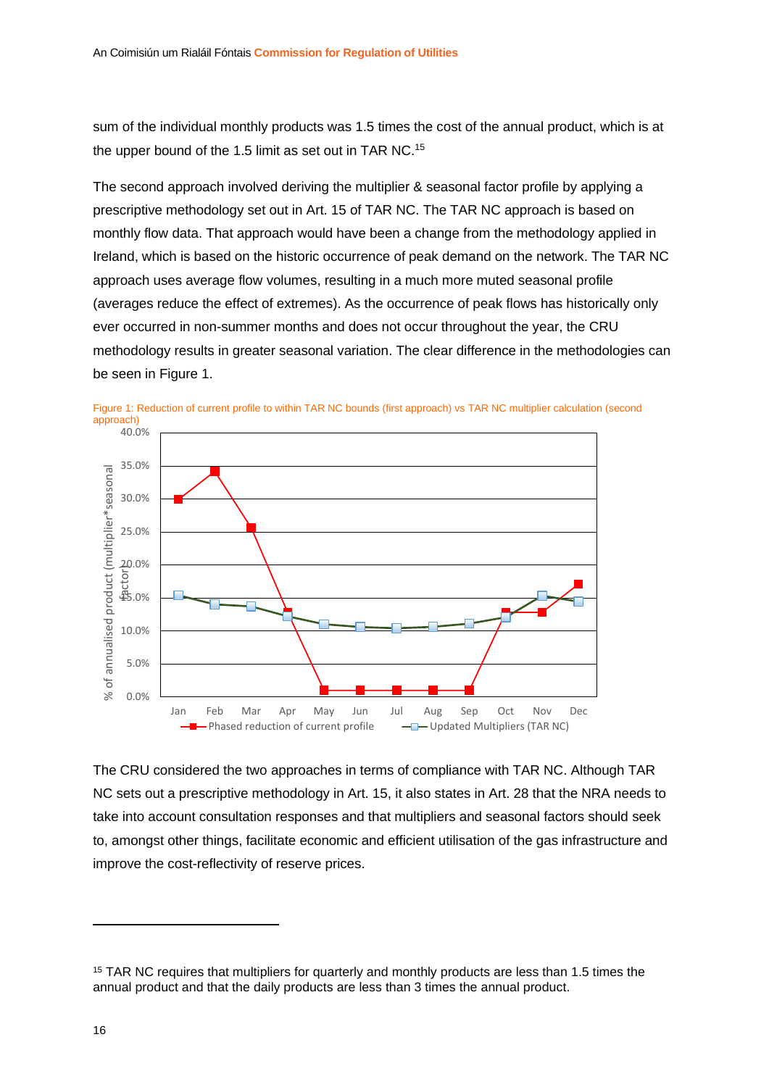sum of the individual monthly products was 1.5 times the cost of the annual product, which is at the upper bound of the 1.5 limit as set out in TAR NC.<sup>15</sup>

The second approach involved deriving the multiplier & seasonal factor profile by applying a prescriptive methodology set out in Art. 15 of TAR NC. The TAR NC approach is based on monthly flow data. That approach would have been a change from the methodology applied in Ireland, which is based on the historic occurrence of peak demand on the network. The TAR NC approach uses average flow volumes, resulting in a much more muted seasonal profile (averages reduce the effect of extremes). As the occurrence of peak flows has historically only ever occurred in non-summer months and does not occur throughout the year, the CRU methodology results in greater seasonal variation. The clear difference in the methodologies can be seen in [Figure 1.](#page-16-0)



<span id="page-16-0"></span>

The CRU considered the two approaches in terms of compliance with TAR NC. Although TAR NC sets out a prescriptive methodology in Art. 15, it also states in Art. 28 that the NRA needs to take into account consultation responses and that multipliers and seasonal factors should seek to, amongst other things, facilitate economic and efficient utilisation of the gas infrastructure and improve the cost-reflectivity of reserve prices.

<sup>&</sup>lt;sup>15</sup> TAR NC requires that multipliers for quarterly and monthly products are less than 1.5 times the annual product and that the daily products are less than 3 times the annual product.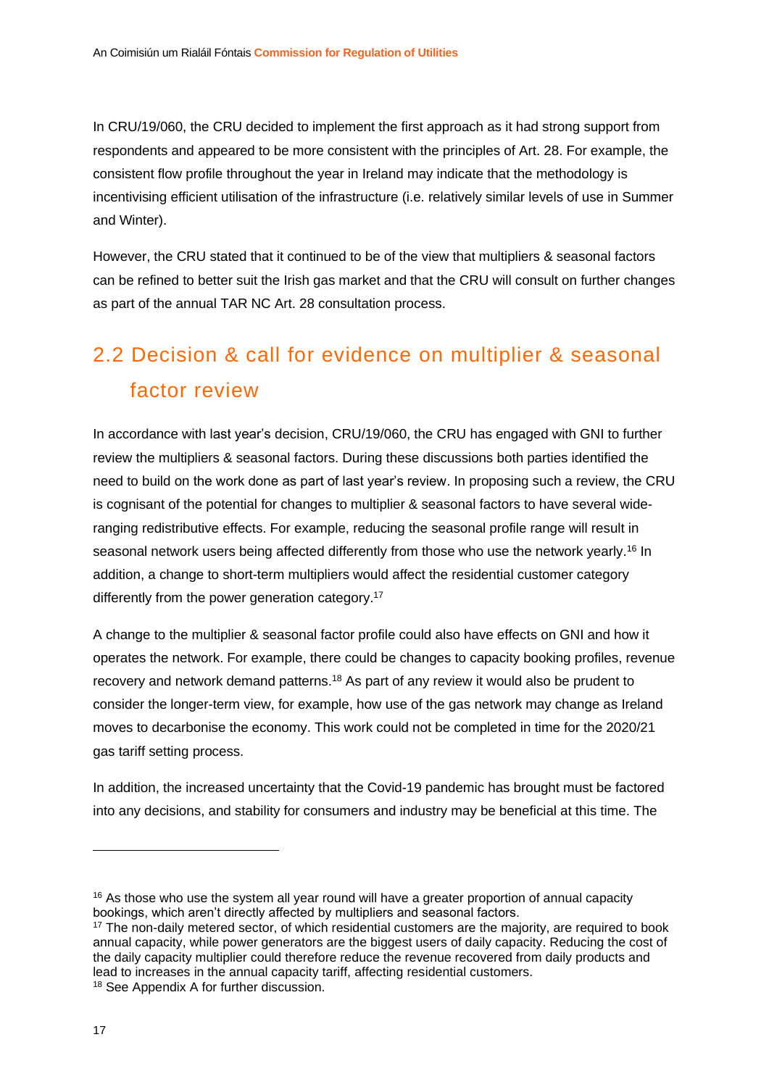In CRU/19/060, the CRU decided to implement the first approach as it had strong support from respondents and appeared to be more consistent with the principles of Art. 28. For example, the consistent flow profile throughout the year in Ireland may indicate that the methodology is incentivising efficient utilisation of the infrastructure (i.e. relatively similar levels of use in Summer and Winter).

However, the CRU stated that it continued to be of the view that multipliers & seasonal factors can be refined to better suit the Irish gas market and that the CRU will consult on further changes as part of the annual TAR NC Art. 28 consultation process.

## <span id="page-17-0"></span>2.2 Decision & call for evidence on multiplier & seasonal factor review

In accordance with last year's decision, CRU/19/060, the CRU has engaged with GNI to further review the multipliers & seasonal factors. During these discussions both parties identified the need to build on the work done as part of last year's review. In proposing such a review, the CRU is cognisant of the potential for changes to multiplier & seasonal factors to have several wideranging redistributive effects. For example, reducing the seasonal profile range will result in seasonal network users being affected differently from those who use the network yearly.<sup>16</sup> In addition, a change to short-term multipliers would affect the residential customer category differently from the power generation category.<sup>17</sup>

A change to the multiplier & seasonal factor profile could also have effects on GNI and how it operates the network. For example, there could be changes to capacity booking profiles, revenue recovery and network demand patterns.<sup>18</sup> As part of any review it would also be prudent to consider the longer-term view, for example, how use of the gas network may change as Ireland moves to decarbonise the economy. This work could not be completed in time for the 2020/21 gas tariff setting process.

In addition, the increased uncertainty that the Covid-19 pandemic has brought must be factored into any decisions, and stability for consumers and industry may be beneficial at this time. The

<sup>&</sup>lt;sup>16</sup> As those who use the system all year round will have a greater proportion of annual capacity bookings, which aren't directly affected by multipliers and seasonal factors.

<sup>&</sup>lt;sup>17</sup> The non-daily metered sector, of which residential customers are the majority, are required to book annual capacity, while power generators are the biggest users of daily capacity. Reducing the cost of the daily capacity multiplier could therefore reduce the revenue recovered from daily products and lead to increases in the annual capacity tariff, affecting residential customers. <sup>18</sup> See Appendix A for further discussion.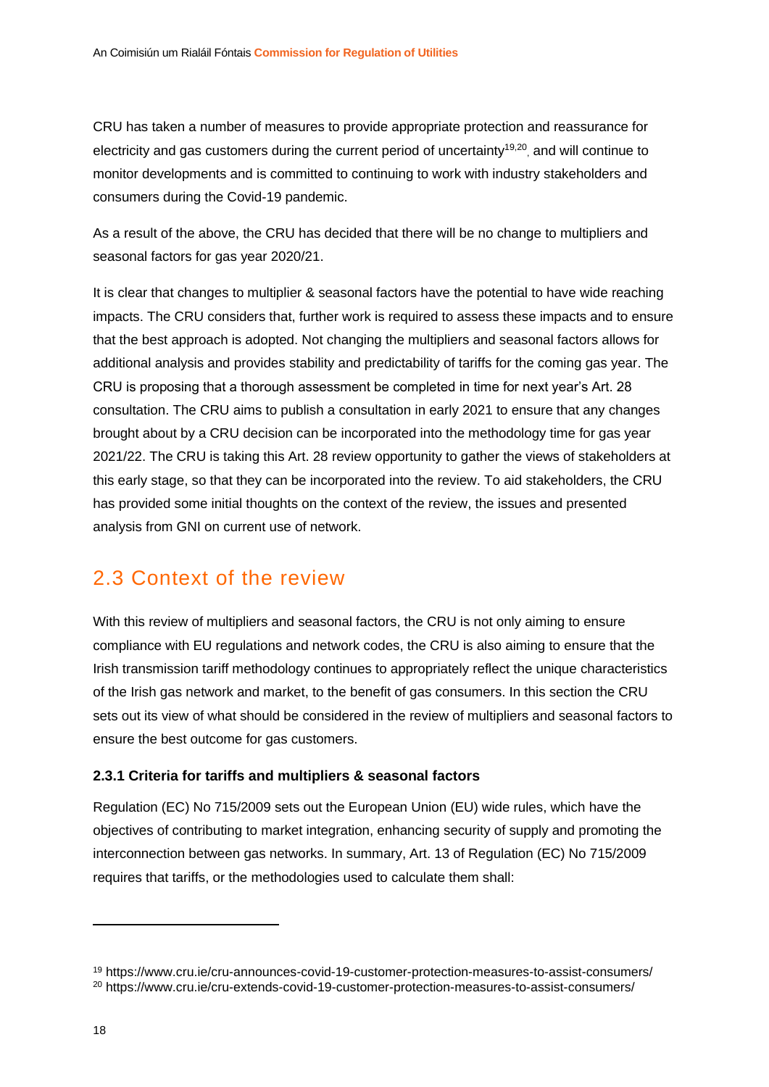CRU has taken a number of measures to provide appropriate protection and reassurance for electricity and gas customers during the current period of uncertainty<sup>19,20</sup>, and will continue to monitor developments and is committed to continuing to work with industry stakeholders and consumers during the Covid-19 pandemic.

As a result of the above, the CRU has decided that there will be no change to multipliers and seasonal factors for gas year 2020/21.

It is clear that changes to multiplier & seasonal factors have the potential to have wide reaching impacts. The CRU considers that, further work is required to assess these impacts and to ensure that the best approach is adopted. Not changing the multipliers and seasonal factors allows for additional analysis and provides stability and predictability of tariffs for the coming gas year. The CRU is proposing that a thorough assessment be completed in time for next year's Art. 28 consultation. The CRU aims to publish a consultation in early 2021 to ensure that any changes brought about by a CRU decision can be incorporated into the methodology time for gas year 2021/22. The CRU is taking this Art. 28 review opportunity to gather the views of stakeholders at this early stage, so that they can be incorporated into the review. To aid stakeholders, the CRU has provided some initial thoughts on the context of the review, the issues and presented analysis from GNI on current use of network.

### <span id="page-18-0"></span>2.3 Context of the review

With this review of multipliers and seasonal factors, the CRU is not only aiming to ensure compliance with EU regulations and network codes, the CRU is also aiming to ensure that the Irish transmission tariff methodology continues to appropriately reflect the unique characteristics of the Irish gas network and market, to the benefit of gas consumers. In this section the CRU sets out its view of what should be considered in the review of multipliers and seasonal factors to ensure the best outcome for gas customers.

#### <span id="page-18-1"></span>**2.3.1 Criteria for tariffs and multipliers & seasonal factors**

Regulation (EC) No 715/2009 sets out the European Union (EU) wide rules, which have the objectives of contributing to market integration, enhancing security of supply and promoting the interconnection between gas networks. In summary, Art. 13 of Regulation (EC) No 715/2009 requires that tariffs, or the methodologies used to calculate them shall:

<sup>19</sup> https://www.cru.ie/cru-announces-covid-19-customer-protection-measures-to-assist-consumers/ <sup>20</sup> https://www.cru.ie/cru-extends-covid-19-customer-protection-measures-to-assist-consumers/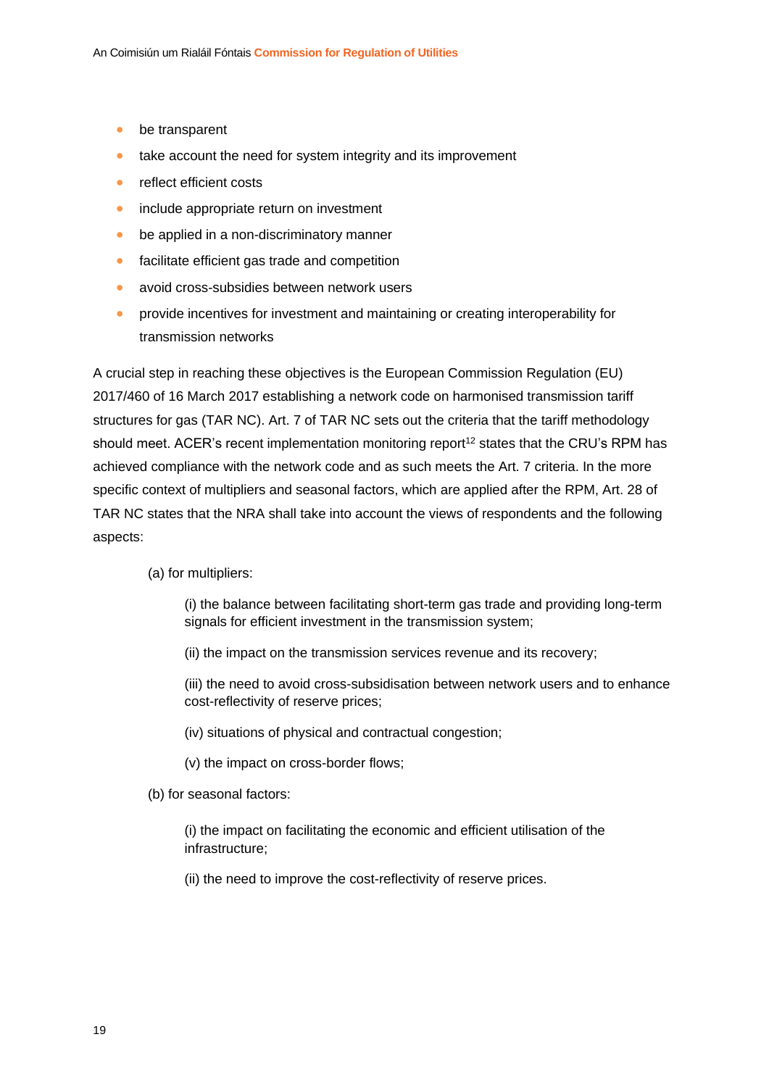- be transparent
- take account the need for system integrity and its improvement
- reflect efficient costs
- include appropriate return on investment
- be applied in a non-discriminatory manner
- facilitate efficient gas trade and competition
- avoid cross-subsidies between network users
- provide incentives for investment and maintaining or creating interoperability for transmission networks

A crucial step in reaching these objectives is the European Commission Regulation (EU) 2017/460 of 16 March 2017 establishing a network code on harmonised transmission tariff structures for gas (TAR NC). Art. 7 of TAR NC sets out the criteria that the tariff methodology should meet. ACER's recent implementation monitoring report<sup>[12](#page-11-1)</sup> states that the CRU's RPM has achieved compliance with the network code and as such meets the Art. 7 criteria. In the more specific context of multipliers and seasonal factors, which are applied after the RPM, Art. 28 of TAR NC states that the NRA shall take into account the views of respondents and the following aspects:

#### (a) for multipliers:

(i) the balance between facilitating short-term gas trade and providing long-term signals for efficient investment in the transmission system;

(ii) the impact on the transmission services revenue and its recovery;

(iii) the need to avoid cross-subsidisation between network users and to enhance cost-reflectivity of reserve prices;

- (iv) situations of physical and contractual congestion;
- (v) the impact on cross-border flows;
- (b) for seasonal factors:

(i) the impact on facilitating the economic and efficient utilisation of the infrastructure;

(ii) the need to improve the cost-reflectivity of reserve prices.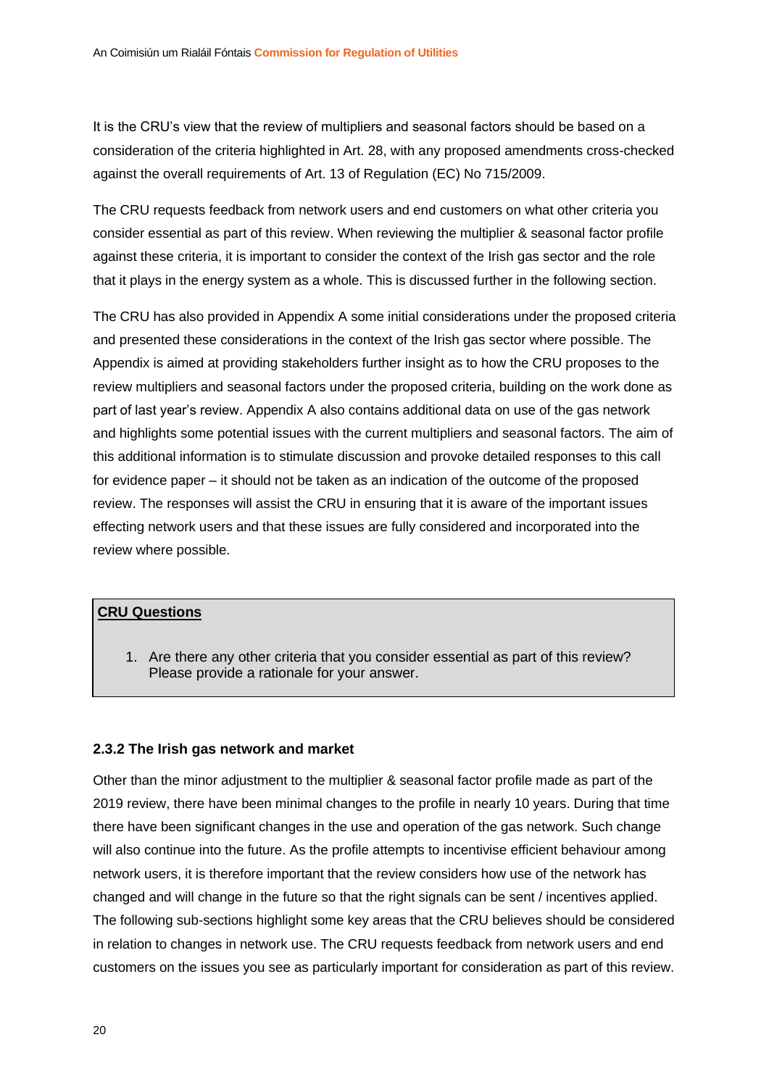It is the CRU's view that the review of multipliers and seasonal factors should be based on a consideration of the criteria highlighted in Art. 28, with any proposed amendments cross-checked against the overall requirements of Art. 13 of Regulation (EC) No 715/2009.

The CRU requests feedback from network users and end customers on what other criteria you consider essential as part of this review. When reviewing the multiplier & seasonal factor profile against these criteria, it is important to consider the context of the Irish gas sector and the role that it plays in the energy system as a whole. This is discussed further in the following section.

The CRU has also provided in Appendix A some initial considerations under the proposed criteria and presented these considerations in the context of the Irish gas sector where possible. The Appendix is aimed at providing stakeholders further insight as to how the CRU proposes to the review multipliers and seasonal factors under the proposed criteria, building on the work done as part of last year's review. Appendix A also contains additional data on use of the gas network and highlights some potential issues with the current multipliers and seasonal factors. The aim of this additional information is to stimulate discussion and provoke detailed responses to this call for evidence paper – it should not be taken as an indication of the outcome of the proposed review. The responses will assist the CRU in ensuring that it is aware of the important issues effecting network users and that these issues are fully considered and incorporated into the review where possible.

#### **CRU Questions**

1. Are there any other criteria that you consider essential as part of this review? Please provide a rationale for your answer.

#### <span id="page-20-0"></span>**2.3.2 The Irish gas network and market**

Other than the minor adjustment to the multiplier & seasonal factor profile made as part of the 2019 review, there have been minimal changes to the profile in nearly 10 years. During that time there have been significant changes in the use and operation of the gas network. Such change will also continue into the future. As the profile attempts to incentivise efficient behaviour among network users, it is therefore important that the review considers how use of the network has changed and will change in the future so that the right signals can be sent / incentives applied. The following sub-sections highlight some key areas that the CRU believes should be considered in relation to changes in network use. The CRU requests feedback from network users and end customers on the issues you see as particularly important for consideration as part of this review.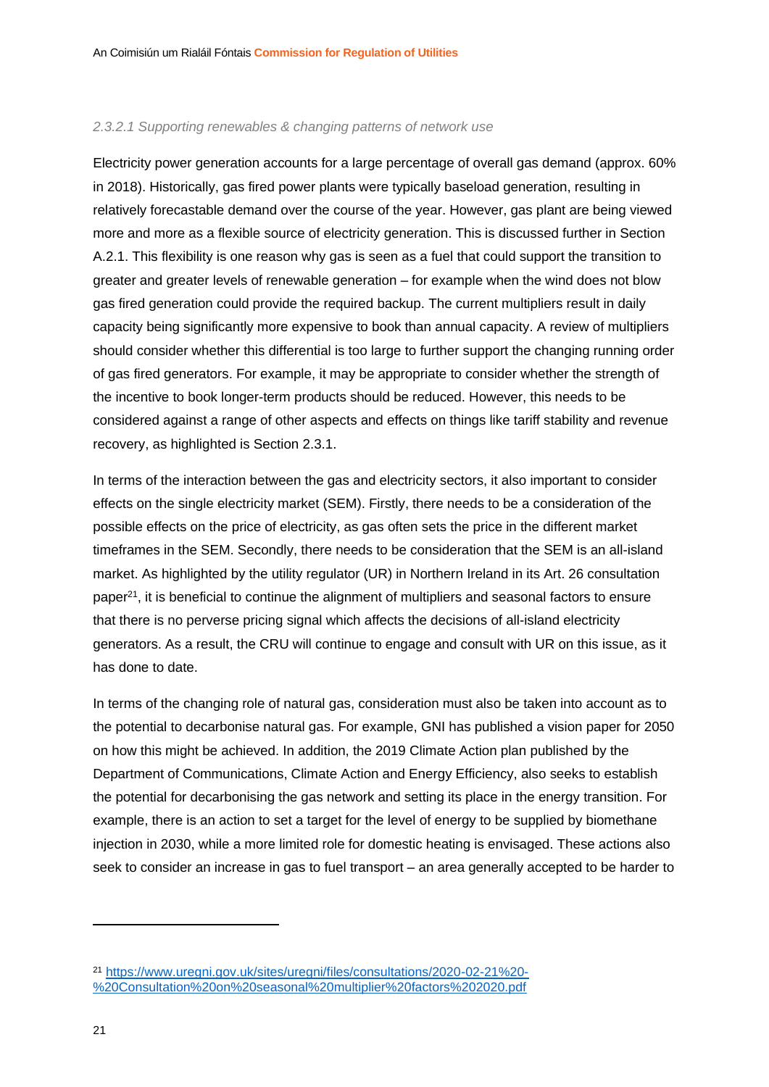#### *2.3.2.1 Supporting renewables & changing patterns of network use*

Electricity power generation accounts for a large percentage of overall gas demand (approx. 60% in 2018). Historically, gas fired power plants were typically baseload generation, resulting in relatively forecastable demand over the course of the year. However, gas plant are being viewed more and more as a flexible source of electricity generation. This is discussed further in Section [A.2.1.](#page-45-0) This flexibility is one reason why gas is seen as a fuel that could support the transition to greater and greater levels of renewable generation – for example when the wind does not blow gas fired generation could provide the required backup. The current multipliers result in daily capacity being significantly more expensive to book than annual capacity. A review of multipliers should consider whether this differential is too large to further support the changing running order of gas fired generators. For example, it may be appropriate to consider whether the strength of the incentive to book longer-term products should be reduced. However, this needs to be considered against a range of other aspects and effects on things like tariff stability and revenue recovery, as highlighted is Section [2.3.1.](#page-18-1)

In terms of the interaction between the gas and electricity sectors, it also important to consider effects on the single electricity market (SEM). Firstly, there needs to be a consideration of the possible effects on the price of electricity, as gas often sets the price in the different market timeframes in the SEM. Secondly, there needs to be consideration that the SEM is an all-island market. As highlighted by the utility regulator (UR) in Northern Ireland in its Art. 26 consultation paper $^{21}$ , it is beneficial to continue the alignment of multipliers and seasonal factors to ensure that there is no perverse pricing signal which affects the decisions of all-island electricity generators. As a result, the CRU will continue to engage and consult with UR on this issue, as it has done to date.

In terms of the changing role of natural gas, consideration must also be taken into account as to the potential to decarbonise natural gas. For example, GNI has published a vision paper for 2050 on how this might be achieved. In addition, the 2019 Climate Action plan published by the Department of Communications, Climate Action and Energy Efficiency, also seeks to establish the potential for decarbonising the gas network and setting its place in the energy transition. For example, there is an action to set a target for the level of energy to be supplied by biomethane injection in 2030, while a more limited role for domestic heating is envisaged. These actions also seek to consider an increase in gas to fuel transport – an area generally accepted to be harder to

<sup>21</sup> [https://www.uregni.gov.uk/sites/uregni/files/consultations/2020-02-21%20-](https://www.uregni.gov.uk/sites/uregni/files/consultations/2020-02-21%20-%20Consultation%20on%20seasonal%20multiplier%20factors%202020.pdf) [%20Consultation%20on%20seasonal%20multiplier%20factors%202020.pdf](https://www.uregni.gov.uk/sites/uregni/files/consultations/2020-02-21%20-%20Consultation%20on%20seasonal%20multiplier%20factors%202020.pdf)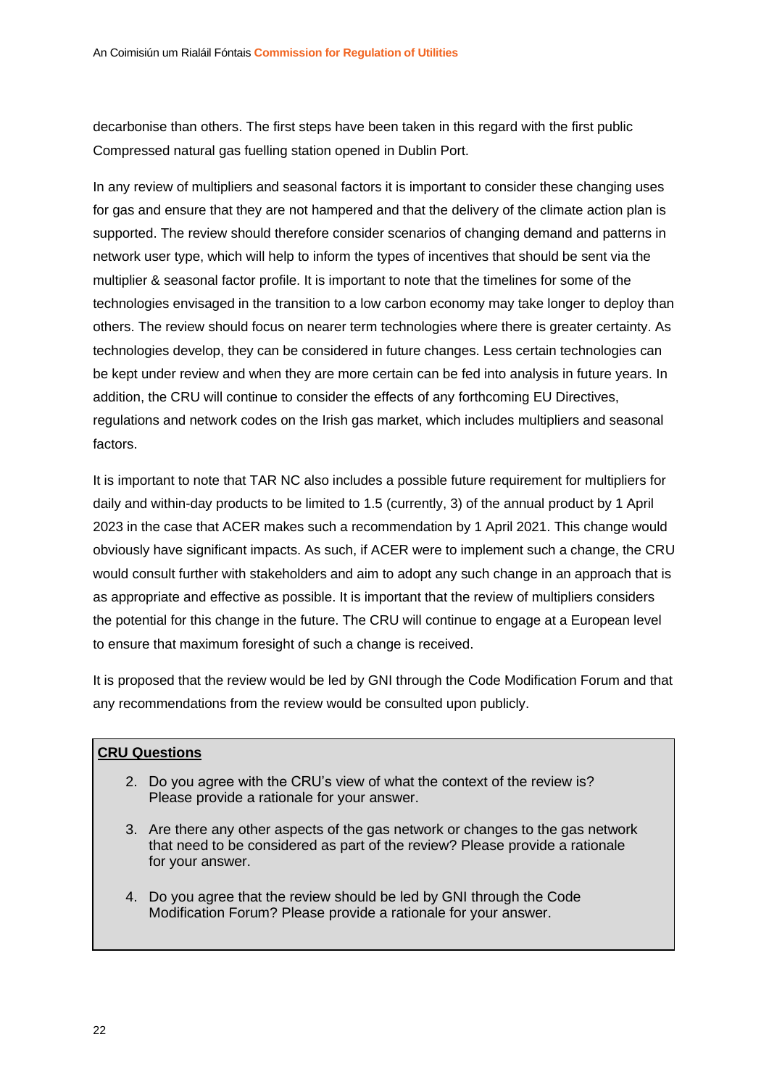decarbonise than others. The first steps have been taken in this regard with the first public Compressed natural gas fuelling station opened in Dublin Port.

In any review of multipliers and seasonal factors it is important to consider these changing uses for gas and ensure that they are not hampered and that the delivery of the climate action plan is supported. The review should therefore consider scenarios of changing demand and patterns in network user type, which will help to inform the types of incentives that should be sent via the multiplier & seasonal factor profile. It is important to note that the timelines for some of the technologies envisaged in the transition to a low carbon economy may take longer to deploy than others. The review should focus on nearer term technologies where there is greater certainty. As technologies develop, they can be considered in future changes. Less certain technologies can be kept under review and when they are more certain can be fed into analysis in future years. In addition, the CRU will continue to consider the effects of any forthcoming EU Directives, regulations and network codes on the Irish gas market, which includes multipliers and seasonal factors.

It is important to note that TAR NC also includes a possible future requirement for multipliers for daily and within-day products to be limited to 1.5 (currently, 3) of the annual product by 1 April 2023 in the case that ACER makes such a recommendation by 1 April 2021. This change would obviously have significant impacts. As such, if ACER were to implement such a change, the CRU would consult further with stakeholders and aim to adopt any such change in an approach that is as appropriate and effective as possible. It is important that the review of multipliers considers the potential for this change in the future. The CRU will continue to engage at a European level to ensure that maximum foresight of such a change is received.

It is proposed that the review would be led by GNI through the Code Modification Forum and that any recommendations from the review would be consulted upon publicly.

#### **CRU Questions**

- 2. Do you agree with the CRU's view of what the context of the review is? Please provide a rationale for your answer.
- 3. Are there any other aspects of the gas network or changes to the gas network that need to be considered as part of the review? Please provide a rationale for your answer.
- 4. Do you agree that the review should be led by GNI through the Code Modification Forum? Please provide a rationale for your answer.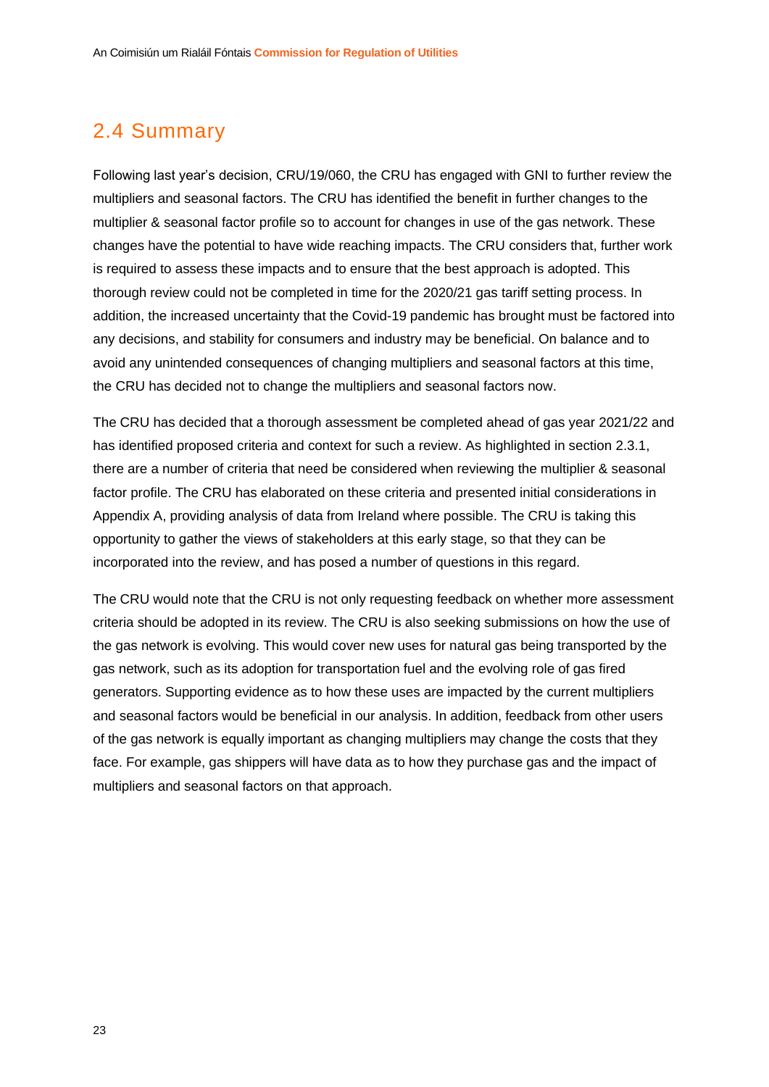### <span id="page-23-0"></span>2.4 Summary

Following last year's decision, CRU/19/060, the CRU has engaged with GNI to further review the multipliers and seasonal factors. The CRU has identified the benefit in further changes to the multiplier & seasonal factor profile so to account for changes in use of the gas network. These changes have the potential to have wide reaching impacts. The CRU considers that, further work is required to assess these impacts and to ensure that the best approach is adopted. This thorough review could not be completed in time for the 2020/21 gas tariff setting process. In addition, the increased uncertainty that the Covid-19 pandemic has brought must be factored into any decisions, and stability for consumers and industry may be beneficial. On balance and to avoid any unintended consequences of changing multipliers and seasonal factors at this time, the CRU has decided not to change the multipliers and seasonal factors now.

The CRU has decided that a thorough assessment be completed ahead of gas year 2021/22 and has identified proposed criteria and context for such a review. As highlighted in section [2.3.1,](#page-18-1) there are a number of criteria that need be considered when reviewing the multiplier & seasonal factor profile. The CRU has elaborated on these criteria and presented initial considerations in Appendix A, providing analysis of data from Ireland where possible. The CRU is taking this opportunity to gather the views of stakeholders at this early stage, so that they can be incorporated into the review, and has posed a number of questions in this regard.

The CRU would note that the CRU is not only requesting feedback on whether more assessment criteria should be adopted in its review. The CRU is also seeking submissions on how the use of the gas network is evolving. This would cover new uses for natural gas being transported by the gas network, such as its adoption for transportation fuel and the evolving role of gas fired generators. Supporting evidence as to how these uses are impacted by the current multipliers and seasonal factors would be beneficial in our analysis. In addition, feedback from other users of the gas network is equally important as changing multipliers may change the costs that they face. For example, gas shippers will have data as to how they purchase gas and the impact of multipliers and seasonal factors on that approach.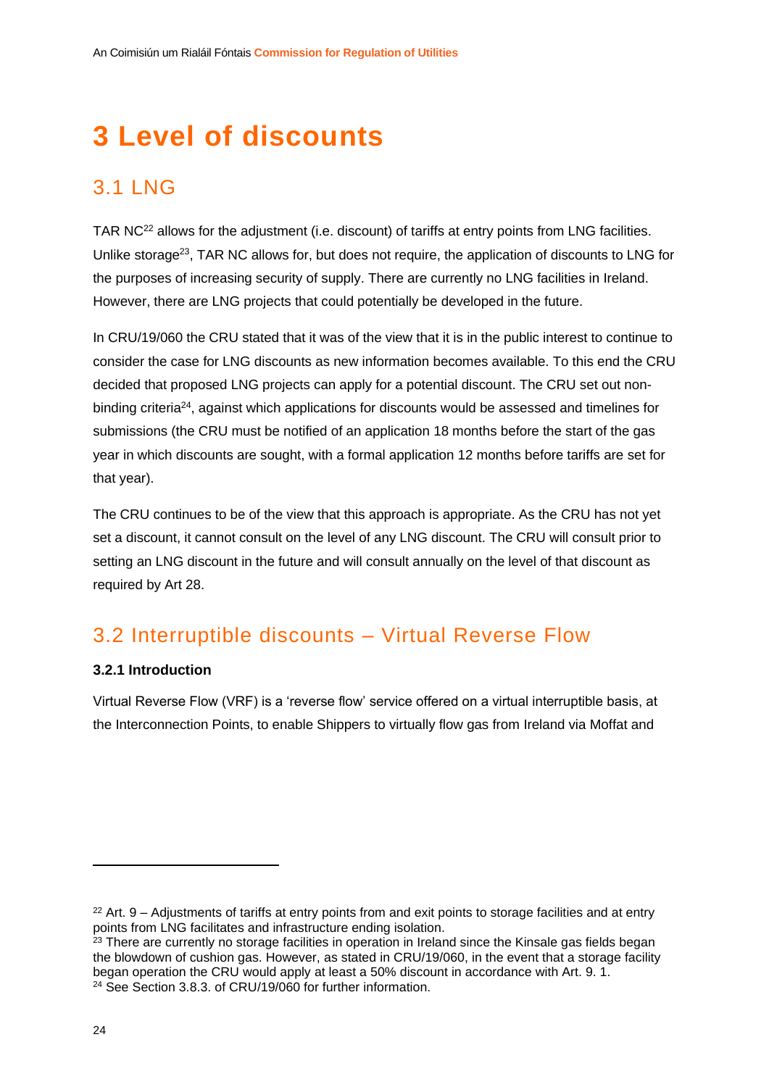## <span id="page-24-0"></span>**3 Level of discounts**

## <span id="page-24-1"></span>3.1 LNG

TAR NC<sup>22</sup> allows for the adjustment (i.e. discount) of tariffs at entry points from LNG facilities. Unlike storage<sup>23</sup>, TAR NC allows for, but does not require, the application of discounts to LNG for the purposes of increasing security of supply. There are currently no LNG facilities in Ireland. However, there are LNG projects that could potentially be developed in the future.

In CRU/19/060 the CRU stated that it was of the view that it is in the public interest to continue to consider the case for LNG discounts as new information becomes available. To this end the CRU decided that proposed LNG projects can apply for a potential discount. The CRU set out nonbinding criteria<sup>24</sup>, against which applications for discounts would be assessed and timelines for submissions (the CRU must be notified of an application 18 months before the start of the gas year in which discounts are sought, with a formal application 12 months before tariffs are set for that year).

The CRU continues to be of the view that this approach is appropriate. As the CRU has not yet set a discount, it cannot consult on the level of any LNG discount. The CRU will consult prior to setting an LNG discount in the future and will consult annually on the level of that discount as required by Art 28.

### <span id="page-24-2"></span>3.2 Interruptible discounts – Virtual Reverse Flow

#### <span id="page-24-3"></span>**3.2.1 Introduction**

Virtual Reverse Flow (VRF) is a 'reverse flow' service offered on a virtual interruptible basis, at the Interconnection Points, to enable Shippers to virtually flow gas from Ireland via Moffat and

 $22$  Art. 9 – Adjustments of tariffs at entry points from and exit points to storage facilities and at entry points from LNG facilitates and infrastructure ending isolation.

<sup>&</sup>lt;sup>23</sup> There are currently no storage facilities in operation in Ireland since the Kinsale gas fields began the blowdown of cushion gas. However, as stated in CRU/19/060, in the event that a storage facility began operation the CRU would apply at least a 50% discount in accordance with Art. 9. 1. <sup>24</sup> See Section 3.8.3. of CRU/19/060 for further information.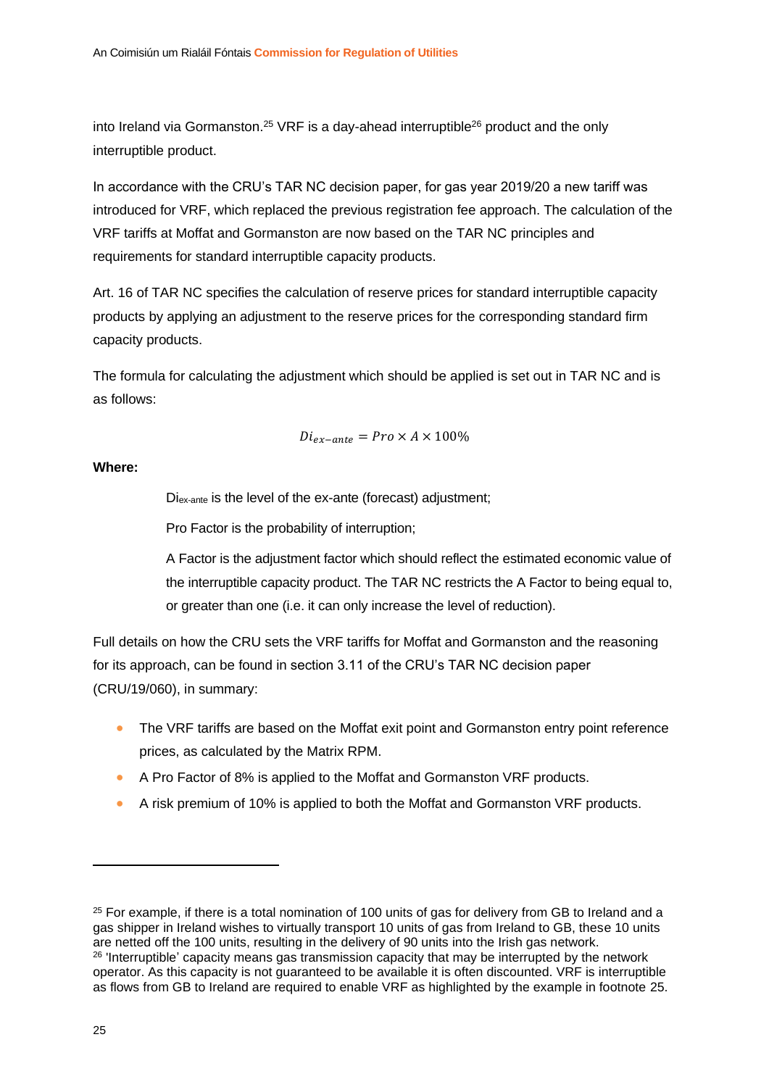<span id="page-25-0"></span>into Ireland via Gormanston.<sup>25</sup> VRF is a day-ahead interruptible<sup>26</sup> product and the only interruptible product.

In accordance with the CRU's TAR NC decision paper, for gas year 2019/20 a new tariff was introduced for VRF, which replaced the previous registration fee approach. The calculation of the VRF tariffs at Moffat and Gormanston are now based on the TAR NC principles and requirements for standard interruptible capacity products.

Art. 16 of TAR NC specifies the calculation of reserve prices for standard interruptible capacity products by applying an adjustment to the reserve prices for the corresponding standard firm capacity products.

The formula for calculating the adjustment which should be applied is set out in TAR NC and is as follows:

$$
Di_{ex-ante} = Pro \times A \times 100\%
$$

**Where:**

Diex-ante is the level of the ex-ante (forecast) adjustment;

Pro Factor is the probability of interruption;

A Factor is the adjustment factor which should reflect the estimated economic value of the interruptible capacity product. The TAR NC restricts the A Factor to being equal to, or greater than one (i.e. it can only increase the level of reduction).

Full details on how the CRU sets the VRF tariffs for Moffat and Gormanston and the reasoning for its approach, can be found in section 3.11 of the CRU's TAR NC decision paper (CRU/19/060), in summary:

- The VRF tariffs are based on the Moffat exit point and Gormanston entry point reference prices, as calculated by the Matrix RPM.
- A Pro Factor of 8% is applied to the Moffat and Gormanston VRF products.
- A risk premium of 10% is applied to both the Moffat and Gormanston VRF products.

<sup>&</sup>lt;sup>25</sup> For example, if there is a total nomination of 100 units of gas for delivery from GB to Ireland and a gas shipper in Ireland wishes to virtually transport 10 units of gas from Ireland to GB, these 10 units are netted off the 100 units, resulting in the delivery of 90 units into the Irish gas network. <sup>26</sup> 'Interruptible' capacity means gas transmission capacity that may be interrupted by the network operator. As this capacity is not guaranteed to be available it is often discounted. VRF is interruptible as flows from GB to Ireland are required to enable VRF as highlighted by the example in footnote [25.](#page-25-0)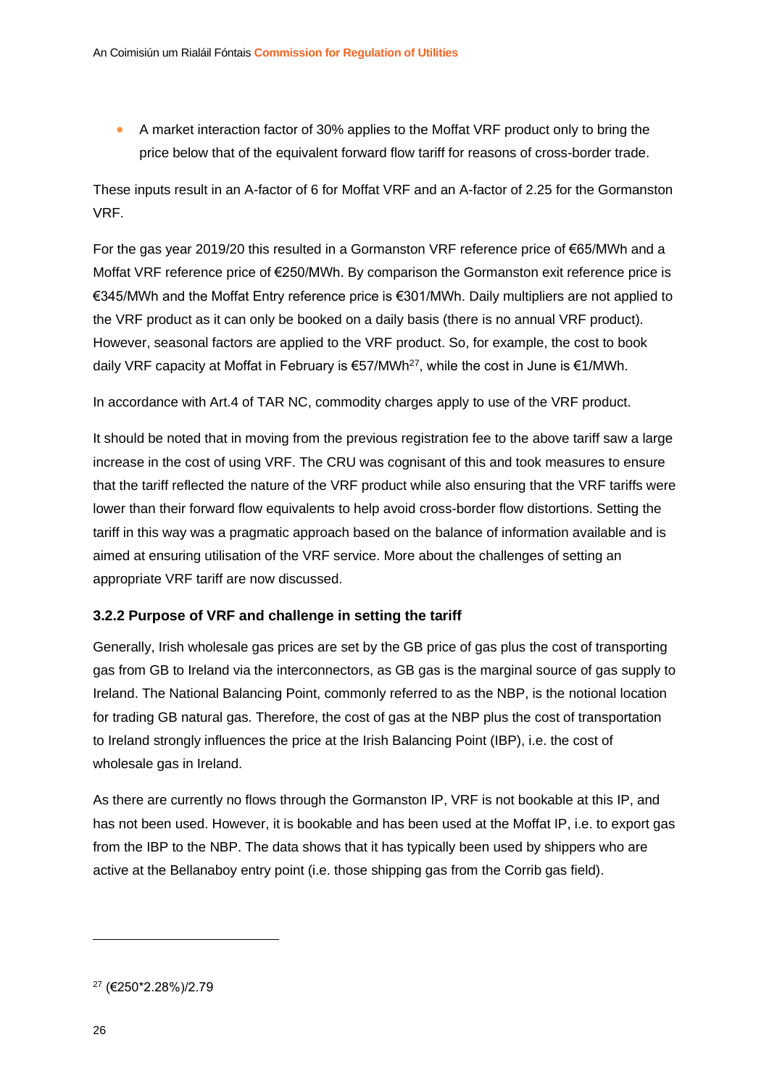• A market interaction factor of 30% applies to the Moffat VRF product only to bring the price below that of the equivalent forward flow tariff for reasons of cross-border trade.

These inputs result in an A-factor of 6 for Moffat VRF and an A-factor of 2.25 for the Gormanston VRF.

For the gas year 2019/20 this resulted in a Gormanston VRF reference price of €65/MWh and a Moffat VRF reference price of €250/MWh. By comparison the Gormanston exit reference price is €345/MWh and the Moffat Entry reference price is €301/MWh. Daily multipliers are not applied to the VRF product as it can only be booked on a daily basis (there is no annual VRF product). However, seasonal factors are applied to the VRF product. So, for example, the cost to book daily VRF capacity at Moffat in February is  $€57/MWh<sup>27</sup>$ , while the cost in June is  $€1/MWh$ .

In accordance with Art.4 of TAR NC, commodity charges apply to use of the VRF product.

It should be noted that in moving from the previous registration fee to the above tariff saw a large increase in the cost of using VRF. The CRU was cognisant of this and took measures to ensure that the tariff reflected the nature of the VRF product while also ensuring that the VRF tariffs were lower than their forward flow equivalents to help avoid cross-border flow distortions. Setting the tariff in this way was a pragmatic approach based on the balance of information available and is aimed at ensuring utilisation of the VRF service. More about the challenges of setting an appropriate VRF tariff are now discussed.

#### <span id="page-26-0"></span>**3.2.2 Purpose of VRF and challenge in setting the tariff**

Generally, Irish wholesale gas prices are set by the GB price of gas plus the cost of transporting gas from GB to Ireland via the interconnectors, as GB gas is the marginal source of gas supply to Ireland. The National Balancing Point, commonly referred to as the NBP, is the notional location for trading GB natural gas. Therefore, the cost of gas at the NBP plus the cost of transportation to Ireland strongly influences the price at the Irish Balancing Point (IBP), i.e. the cost of wholesale gas in Ireland.

As there are currently no flows through the Gormanston IP, VRF is not bookable at this IP, and has not been used. However, it is bookable and has been used at the Moffat IP, i.e. to export gas from the IBP to the NBP. The data shows that it has typically been used by shippers who are active at the Bellanaboy entry point (i.e. those shipping gas from the Corrib gas field).

<sup>27</sup> (€250\*2.28%)/2.79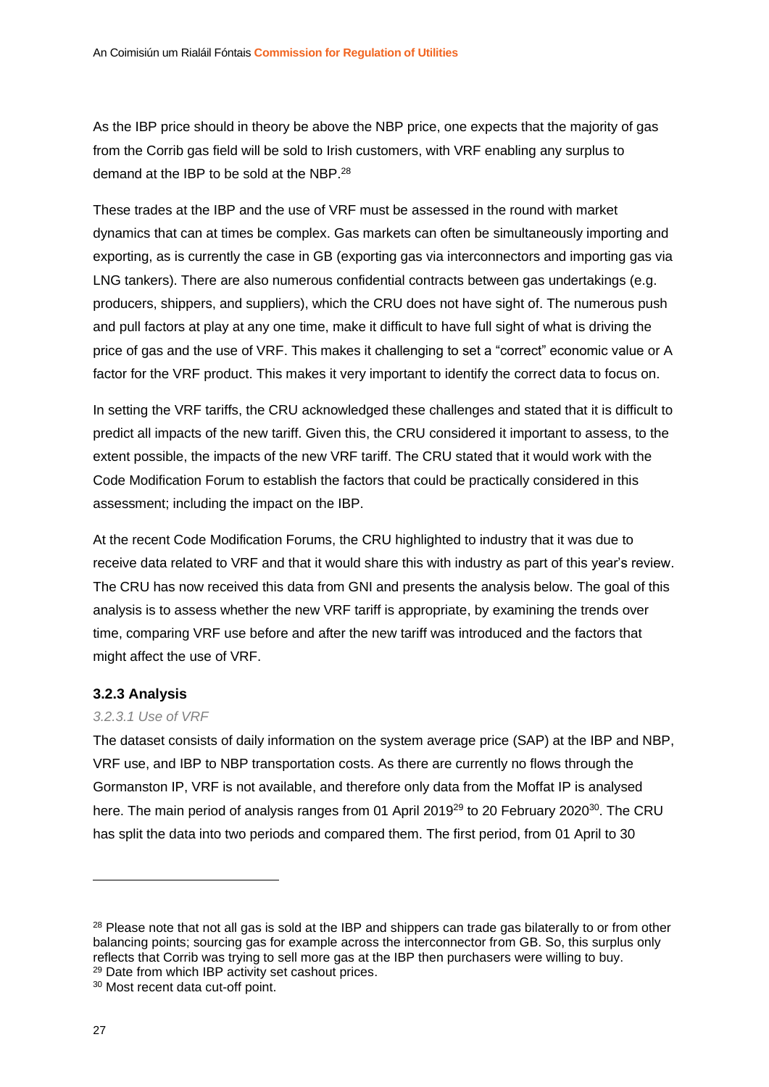As the IBP price should in theory be above the NBP price, one expects that the majority of gas from the Corrib gas field will be sold to Irish customers, with VRF enabling any surplus to demand at the IBP to be sold at the NBP.<sup>28</sup>

These trades at the IBP and the use of VRF must be assessed in the round with market dynamics that can at times be complex. Gas markets can often be simultaneously importing and exporting, as is currently the case in GB (exporting gas via interconnectors and importing gas via LNG tankers). There are also numerous confidential contracts between gas undertakings (e.g. producers, shippers, and suppliers), which the CRU does not have sight of. The numerous push and pull factors at play at any one time, make it difficult to have full sight of what is driving the price of gas and the use of VRF. This makes it challenging to set a "correct" economic value or A factor for the VRF product. This makes it very important to identify the correct data to focus on.

In setting the VRF tariffs, the CRU acknowledged these challenges and stated that it is difficult to predict all impacts of the new tariff. Given this, the CRU considered it important to assess, to the extent possible, the impacts of the new VRF tariff. The CRU stated that it would work with the Code Modification Forum to establish the factors that could be practically considered in this assessment; including the impact on the IBP.

At the recent Code Modification Forums, the CRU highlighted to industry that it was due to receive data related to VRF and that it would share this with industry as part of this year's review. The CRU has now received this data from GNI and presents the analysis below. The goal of this analysis is to assess whether the new VRF tariff is appropriate, by examining the trends over time, comparing VRF use before and after the new tariff was introduced and the factors that might affect the use of VRF.

#### <span id="page-27-0"></span>**3.2.3 Analysis**

#### *3.2.3.1 Use of VRF*

The dataset consists of daily information on the system average price (SAP) at the IBP and NBP, VRF use, and IBP to NBP transportation costs. As there are currently no flows through the Gormanston IP, VRF is not available, and therefore only data from the Moffat IP is analysed here. The main period of analysis ranges from 01 April 2019<sup>29</sup> to 20 February 2020<sup>30</sup>. The CRU has split the data into two periods and compared them. The first period, from 01 April to 30

<sup>&</sup>lt;sup>28</sup> Please note that not all gas is sold at the IBP and shippers can trade gas bilaterally to or from other balancing points; sourcing gas for example across the interconnector from GB. So, this surplus only reflects that Corrib was trying to sell more gas at the IBP then purchasers were willing to buy. <sup>29</sup> Date from which IBP activity set cashout prices.

<sup>30</sup> Most recent data cut-off point.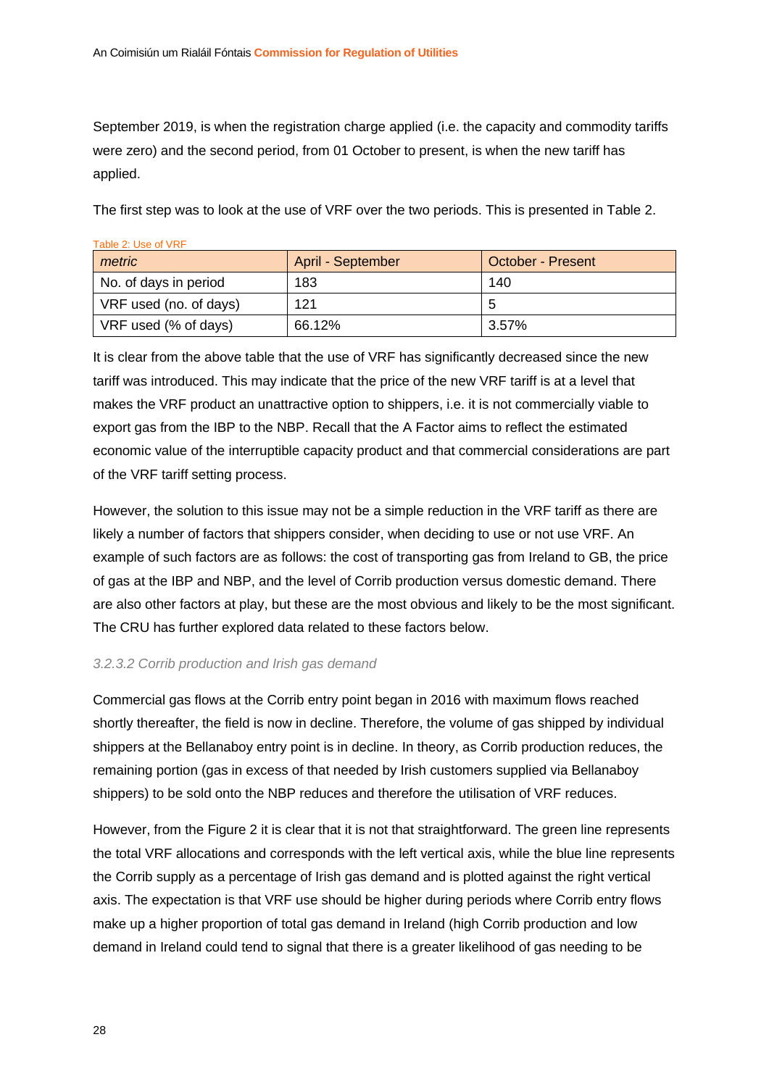<span id="page-28-0"></span>Table 2: Use of VRF

September 2019, is when the registration charge applied (i.e. the capacity and commodity tariffs were zero) and the second period, from 01 October to present, is when the new tariff has applied.

The first step was to look at the use of VRF over the two periods. This is presented in [Table 2.](#page-28-0)

| Table 2: Use of VRF    |                   |                   |  |  |
|------------------------|-------------------|-------------------|--|--|
| metric                 | April - September | October - Present |  |  |
| No. of days in period  | 183               | 140               |  |  |
| VRF used (no. of days) | 121               | 5                 |  |  |
| VRF used (% of days)   | 66.12%            | 3.57%             |  |  |

It is clear from the above table that the use of VRF has significantly decreased since the new tariff was introduced. This may indicate that the price of the new VRF tariff is at a level that makes the VRF product an unattractive option to shippers, i.e. it is not commercially viable to export gas from the IBP to the NBP. Recall that the A Factor aims to reflect the estimated economic value of the interruptible capacity product and that commercial considerations are part of the VRF tariff setting process.

However, the solution to this issue may not be a simple reduction in the VRF tariff as there are likely a number of factors that shippers consider, when deciding to use or not use VRF. An example of such factors are as follows: the cost of transporting gas from Ireland to GB, the price of gas at the IBP and NBP, and the level of Corrib production versus domestic demand. There are also other factors at play, but these are the most obvious and likely to be the most significant. The CRU has further explored data related to these factors below.

#### <span id="page-28-1"></span>*3.2.3.2 Corrib production and Irish gas demand*

Commercial gas flows at the Corrib entry point began in 2016 with maximum flows reached shortly thereafter, the field is now in decline. Therefore, the volume of gas shipped by individual shippers at the Bellanaboy entry point is in decline. In theory, as Corrib production reduces, the remaining portion (gas in excess of that needed by Irish customers supplied via Bellanaboy shippers) to be sold onto the NBP reduces and therefore the utilisation of VRF reduces.

However, from the [Figure 2](#page-29-0) it is clear that it is not that straightforward. The green line represents the total VRF allocations and corresponds with the left vertical axis, while the blue line represents the Corrib supply as a percentage of Irish gas demand and is plotted against the right vertical axis. The expectation is that VRF use should be higher during periods where Corrib entry flows make up a higher proportion of total gas demand in Ireland (high Corrib production and low demand in Ireland could tend to signal that there is a greater likelihood of gas needing to be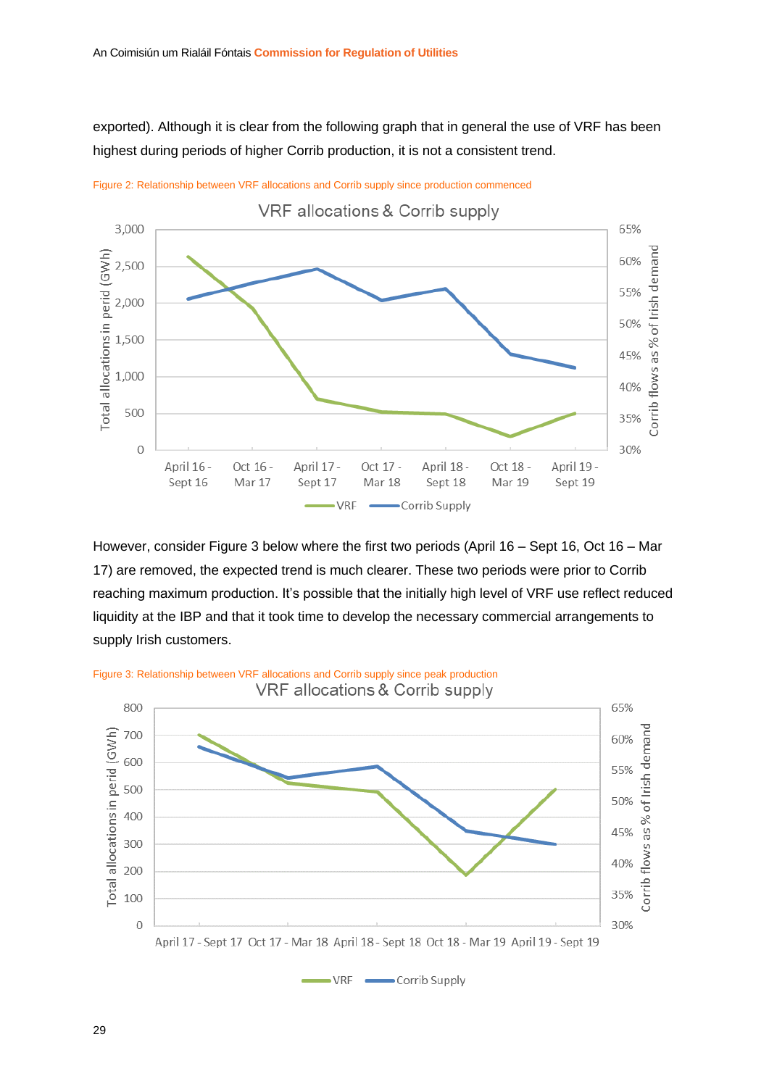exported). Although it is clear from the following graph that in general the use of VRF has been highest during periods of higher Corrib production, it is not a consistent trend.



<span id="page-29-0"></span>Figure 2: Relationship between VRF allocations and Corrib supply since production commenced

However, consider [Figure 3](#page-29-1) below where the first two periods (April 16 – Sept 16, Oct 16 – Mar 17) are removed, the expected trend is much clearer. These two periods were prior to Corrib reaching maximum production. It's possible that the initially high level of VRF use reflect reduced liquidity at the IBP and that it took time to develop the necessary commercial arrangements to supply Irish customers.



 $-VRF$   $\longrightarrow$  Corrib Supply

<span id="page-29-1"></span>Figure 3: Relationship between VRF allocations and Corrib supply since peak production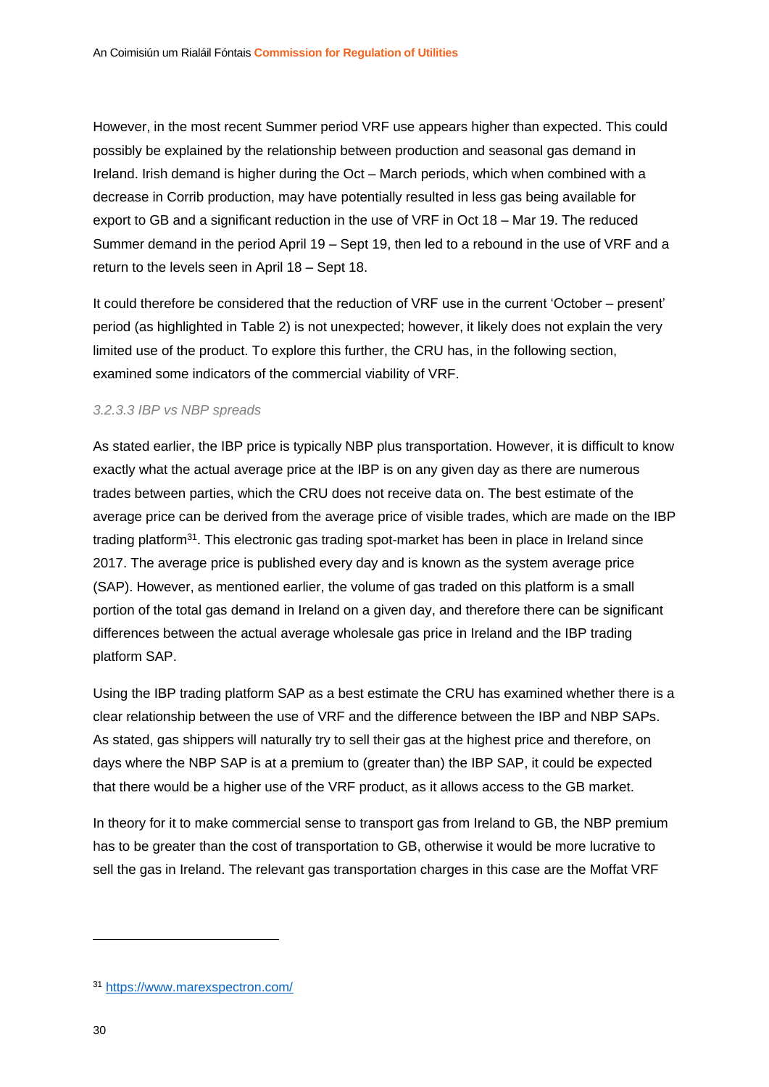However, in the most recent Summer period VRF use appears higher than expected. This could possibly be explained by the relationship between production and seasonal gas demand in Ireland. Irish demand is higher during the Oct – March periods, which when combined with a decrease in Corrib production, may have potentially resulted in less gas being available for export to GB and a significant reduction in the use of VRF in Oct 18 – Mar 19. The reduced Summer demand in the period April 19 – Sept 19, then led to a rebound in the use of VRF and a return to the levels seen in April 18 – Sept 18.

It could therefore be considered that the reduction of VRF use in the current 'October – present' period (as highlighted in [Table 2\)](#page-28-0) is not unexpected; however, it likely does not explain the very limited use of the product. To explore this further, the CRU has, in the following section, examined some indicators of the commercial viability of VRF.

#### *3.2.3.3 IBP vs NBP spreads*

As stated earlier, the IBP price is typically NBP plus transportation. However, it is difficult to know exactly what the actual average price at the IBP is on any given day as there are numerous trades between parties, which the CRU does not receive data on. The best estimate of the average price can be derived from the average price of visible trades, which are made on the IBP trading platform<sup>31</sup>. This electronic gas trading spot-market has been in place in Ireland since 2017. The average price is published every day and is known as the system average price (SAP). However, as mentioned earlier, the volume of gas traded on this platform is a small portion of the total gas demand in Ireland on a given day, and therefore there can be significant differences between the actual average wholesale gas price in Ireland and the IBP trading platform SAP.

Using the IBP trading platform SAP as a best estimate the CRU has examined whether there is a clear relationship between the use of VRF and the difference between the IBP and NBP SAPs. As stated, gas shippers will naturally try to sell their gas at the highest price and therefore, on days where the NBP SAP is at a premium to (greater than) the IBP SAP, it could be expected that there would be a higher use of the VRF product, as it allows access to the GB market.

In theory for it to make commercial sense to transport gas from Ireland to GB, the NBP premium has to be greater than the cost of transportation to GB, otherwise it would be more lucrative to sell the gas in Ireland. The relevant gas transportation charges in this case are the Moffat VRF

<sup>31</sup> <https://www.marexspectron.com/>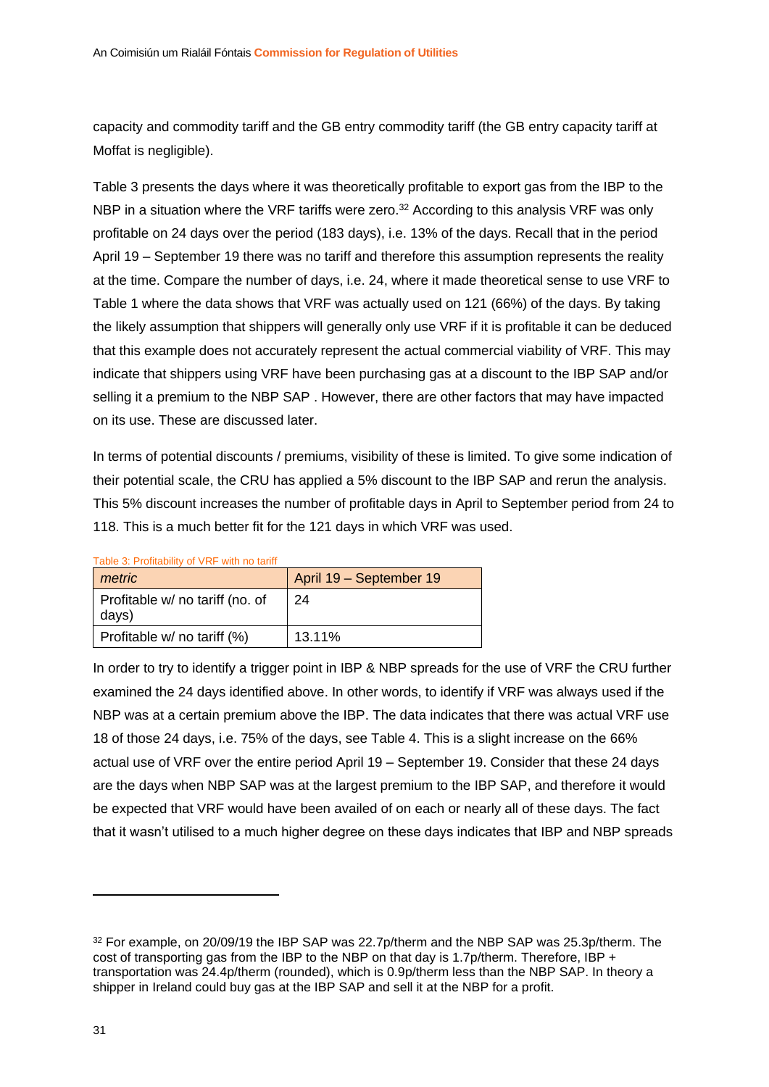capacity and commodity tariff and the GB entry commodity tariff (the GB entry capacity tariff at Moffat is negligible).

[Table 3](#page-31-0) presents the days where it was theoretically profitable to export gas from the IBP to the NBP in a situation where the VRF tariffs were zero.<sup>32</sup> According to this analysis VRF was only profitable on 24 days over the period (183 days), i.e. 13% of the days. Recall that in the period April 19 – September 19 there was no tariff and therefore this assumption represents the reality at the time. Compare the number of days, i.e. 24, where it made theoretical sense to use VRF to Table 1 where the data shows that VRF was actually used on 121 (66%) of the days. By taking the likely assumption that shippers will generally only use VRF if it is profitable it can be deduced that this example does not accurately represent the actual commercial viability of VRF. This may indicate that shippers using VRF have been purchasing gas at a discount to the IBP SAP and/or selling it a premium to the NBP SAP . However, there are other factors that may have impacted on its use. These are discussed later.

In terms of potential discounts / premiums, visibility of these is limited. To give some indication of their potential scale, the CRU has applied a 5% discount to the IBP SAP and rerun the analysis. This 5% discount increases the number of profitable days in April to September period from 24 to 118. This is a much better fit for the 121 days in which VRF was used.

| metric                                   | April 19 - September 19 |
|------------------------------------------|-------------------------|
| Profitable w/ no tariff (no. of<br>days) | 24                      |
| Profitable w/ no tariff (%)              | 13.11%                  |

<span id="page-31-0"></span>Table 3: Profitability of VRF with no tariff

In order to try to identify a trigger point in IBP & NBP spreads for the use of VRF the CRU further examined the 24 days identified above. In other words, to identify if VRF was always used if the NBP was at a certain premium above the IBP. The data indicates that there was actual VRF use 18 of those 24 days, i.e. 75% of the days, see [Table 4.](#page-32-0) This is a slight increase on the 66% actual use of VRF over the entire period April 19 – September 19. Consider that these 24 days are the days when NBP SAP was at the largest premium to the IBP SAP, and therefore it would be expected that VRF would have been availed of on each or nearly all of these days. The fact that it wasn't utilised to a much higher degree on these days indicates that IBP and NBP spreads

<sup>&</sup>lt;sup>32</sup> For example, on 20/09/19 the IBP SAP was 22.7p/therm and the NBP SAP was 25.3p/therm. The cost of transporting gas from the IBP to the NBP on that day is 1.7p/therm. Therefore, IBP + transportation was 24.4p/therm (rounded), which is 0.9p/therm less than the NBP SAP. In theory a shipper in Ireland could buy gas at the IBP SAP and sell it at the NBP for a profit.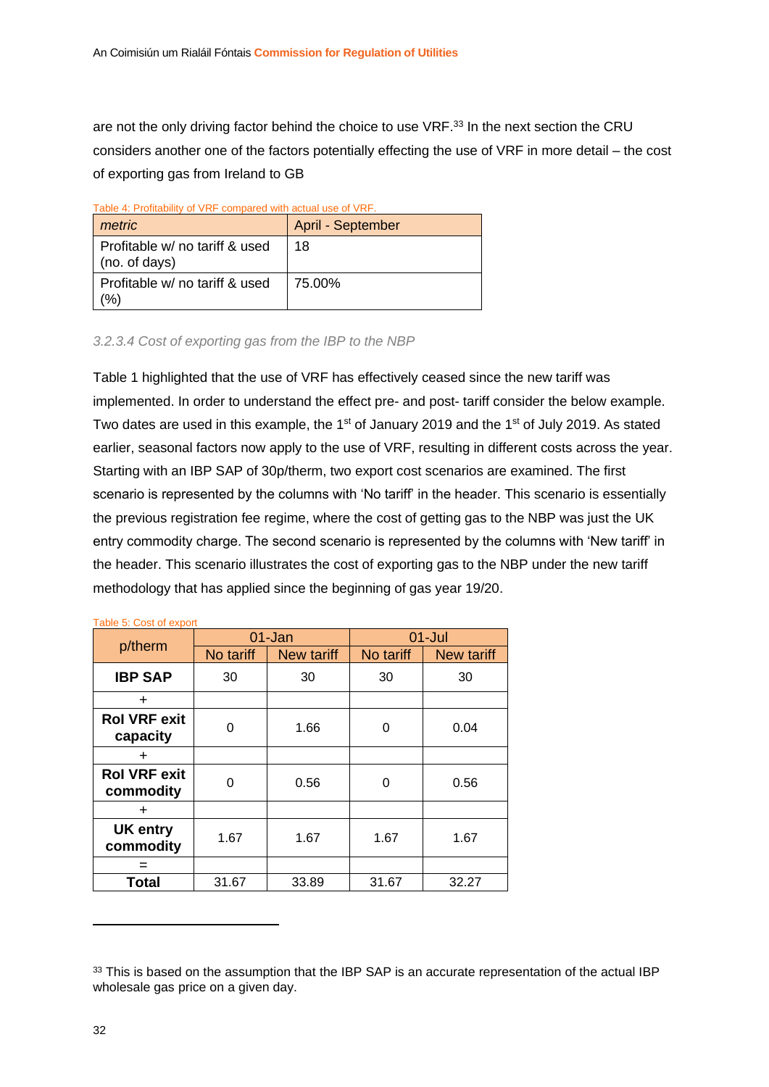are not the only driving factor behind the choice to use VRF.<sup>33</sup> In the next section the CRU considers another one of the factors potentially effecting the use of VRF in more detail – the cost of exporting gas from Ireland to GB

<span id="page-32-0"></span>

| Table 4: Profitability of VRF compared with actual use of VRF.<br>metric | April - September |
|--------------------------------------------------------------------------|-------------------|
| Profitable w/ no tariff & used<br>$ $ (no. of days)                      | 18                |
| Profitable w/ no tariff & used<br>(%)                                    | 75.00%            |

#### Table 4: Profitability of VRF compared with actual use of VRF.

#### *3.2.3.4 Cost of exporting gas from the IBP to the NBP*

Table 1 highlighted that the use of VRF has effectively ceased since the new tariff was implemented. In order to understand the effect pre- and post- tariff consider the below example. Two dates are used in this example, the 1<sup>st</sup> of January 2019 and the 1<sup>st</sup> of July 2019. As stated earlier, seasonal factors now apply to the use of VRF, resulting in different costs across the year. Starting with an IBP SAP of 30p/therm, two export cost scenarios are examined. The first scenario is represented by the columns with 'No tariff' in the header. This scenario is essentially the previous registration fee regime, where the cost of getting gas to the NBP was just the UK entry commodity charge. The second scenario is represented by the columns with 'New tariff' in the header. This scenario illustrates the cost of exporting gas to the NBP under the new tariff methodology that has applied since the beginning of gas year 19/20.

|                                  | 01-Jan    |            | $01 -$ Jul |                   |
|----------------------------------|-----------|------------|------------|-------------------|
| p/therm                          | No tariff | New tariff | No tariff  | <b>New tariff</b> |
| <b>IBP SAP</b>                   | 30        | 30         | 30         | 30                |
| $\div$                           |           |            |            |                   |
| <b>Rol VRF exit</b><br>capacity  | 0         | 1.66       | 0          | 0.04              |
| $\div$                           |           |            |            |                   |
| <b>Rol VRF exit</b><br>commodity | ∩         | 0.56       | ∩          | 0.56              |
| $\div$                           |           |            |            |                   |
| UK entry<br>commodity            | 1.67      | 1.67       | 1.67       | 1.67              |
|                                  |           |            |            |                   |
| <b>Total</b>                     | 31.67     | 33.89      | 31.67      | 32.27             |

#### Table 5: Cost of export

<sup>&</sup>lt;sup>33</sup> This is based on the assumption that the IBP SAP is an accurate representation of the actual IBP wholesale gas price on a given day.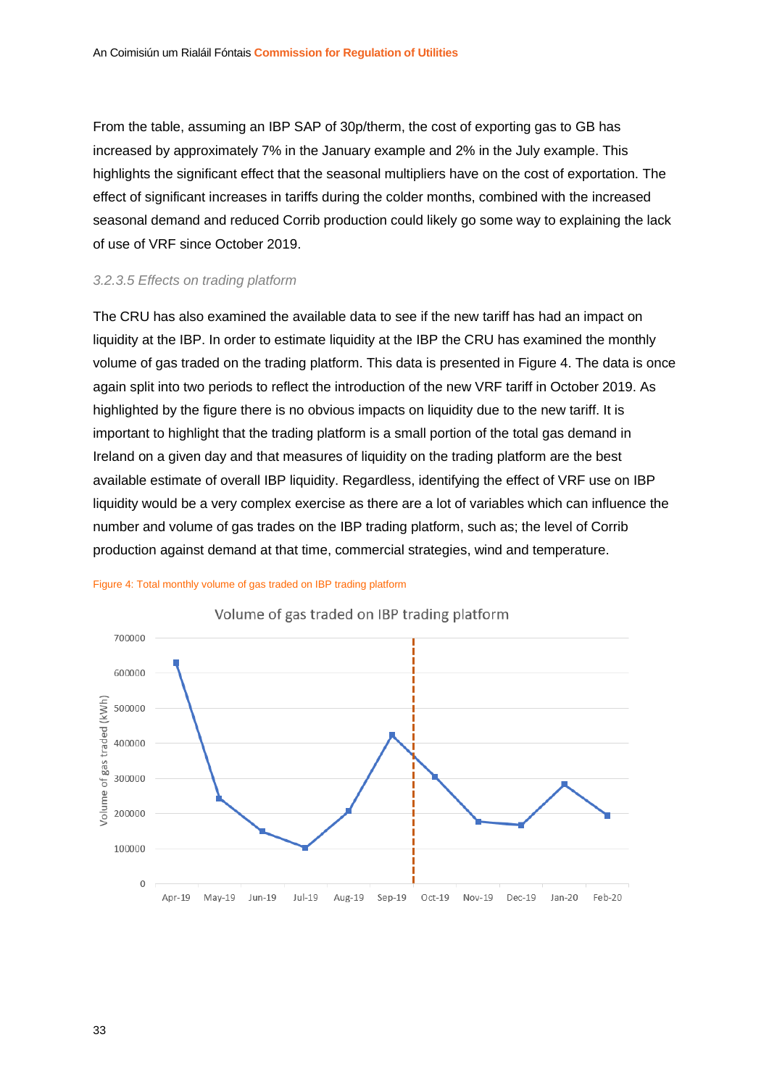From the table, assuming an IBP SAP of 30p/therm, the cost of exporting gas to GB has increased by approximately 7% in the January example and 2% in the July example. This highlights the significant effect that the seasonal multipliers have on the cost of exportation. The effect of significant increases in tariffs during the colder months, combined with the increased seasonal demand and reduced Corrib production could likely go some way to explaining the lack of use of VRF since October 2019.

#### *3.2.3.5 Effects on trading platform*

The CRU has also examined the available data to see if the new tariff has had an impact on liquidity at the IBP. In order to estimate liquidity at the IBP the CRU has examined the monthly volume of gas traded on the trading platform. This data is presented in [Figure 4.](#page-33-0) The data is once again split into two periods to reflect the introduction of the new VRF tariff in October 2019. As highlighted by the figure there is no obvious impacts on liquidity due to the new tariff. It is important to highlight that the trading platform is a small portion of the total gas demand in Ireland on a given day and that measures of liquidity on the trading platform are the best available estimate of overall IBP liquidity. Regardless, identifying the effect of VRF use on IBP liquidity would be a very complex exercise as there are a lot of variables which can influence the number and volume of gas trades on the IBP trading platform, such as; the level of Corrib production against demand at that time, commercial strategies, wind and temperature.



#### <span id="page-33-0"></span>Figure 4: Total monthly volume of gas traded on IBP trading platform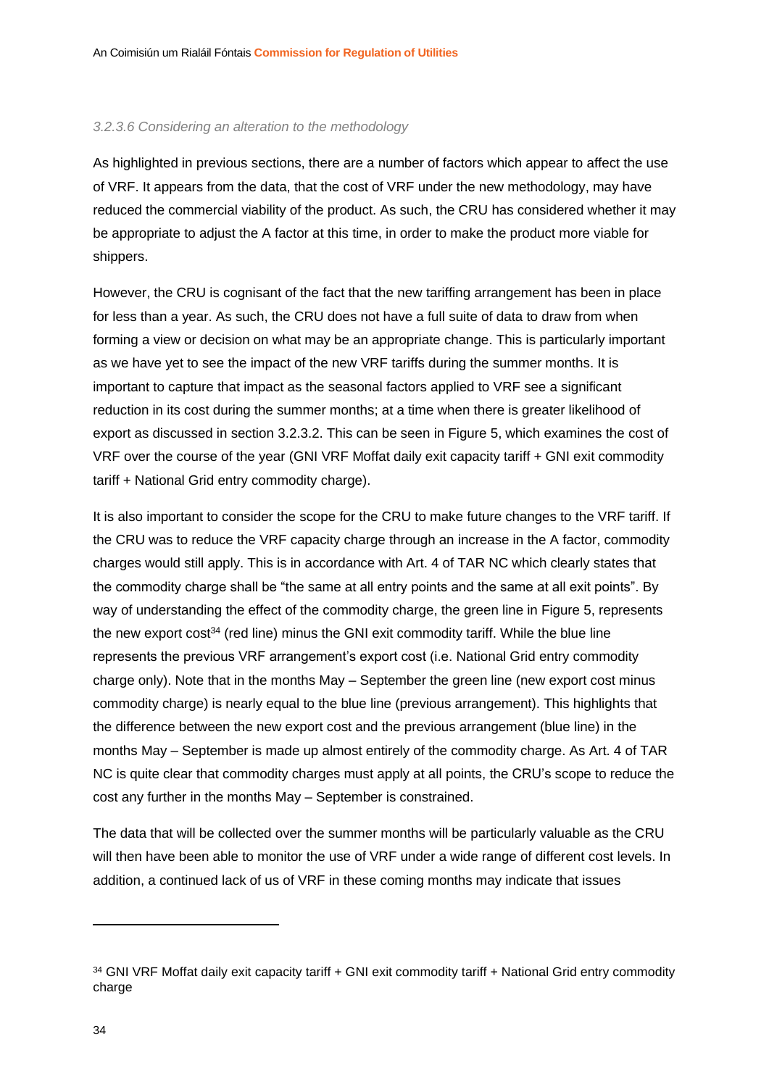#### *3.2.3.6 Considering an alteration to the methodology*

As highlighted in previous sections, there are a number of factors which appear to affect the use of VRF. It appears from the data, that the cost of VRF under the new methodology, may have reduced the commercial viability of the product. As such, the CRU has considered whether it may be appropriate to adjust the A factor at this time, in order to make the product more viable for shippers.

However, the CRU is cognisant of the fact that the new tariffing arrangement has been in place for less than a year. As such, the CRU does not have a full suite of data to draw from when forming a view or decision on what may be an appropriate change. This is particularly important as we have yet to see the impact of the new VRF tariffs during the summer months. It is important to capture that impact as the seasonal factors applied to VRF see a significant reduction in its cost during the summer months; at a time when there is greater likelihood of export as discussed in section [3.2.3.2.](#page-28-1) This can be seen in [Figure 5,](#page-35-1) which examines the cost of VRF over the course of the year (GNI VRF Moffat daily exit capacity tariff + GNI exit commodity tariff + National Grid entry commodity charge).

It is also important to consider the scope for the CRU to make future changes to the VRF tariff. If the CRU was to reduce the VRF capacity charge through an increase in the A factor, commodity charges would still apply. This is in accordance with Art. 4 of TAR NC which clearly states that the commodity charge shall be "the same at all entry points and the same at all exit points". By way of understanding the effect of the commodity charge, the green line in [Figure 5,](#page-35-1) represents the new export cost<sup>34</sup> (red line) minus the GNI exit commodity tariff. While the blue line represents the previous VRF arrangement's export cost (i.e. National Grid entry commodity charge only). Note that in the months May – September the green line (new export cost minus commodity charge) is nearly equal to the blue line (previous arrangement). This highlights that the difference between the new export cost and the previous arrangement (blue line) in the months May – September is made up almost entirely of the commodity charge. As Art. 4 of TAR NC is quite clear that commodity charges must apply at all points, the CRU's scope to reduce the cost any further in the months May – September is constrained.

The data that will be collected over the summer months will be particularly valuable as the CRU will then have been able to monitor the use of VRF under a wide range of different cost levels. In addition, a continued lack of us of VRF in these coming months may indicate that issues

<sup>34</sup> GNI VRF Moffat daily exit capacity tariff + GNI exit commodity tariff + National Grid entry commodity charge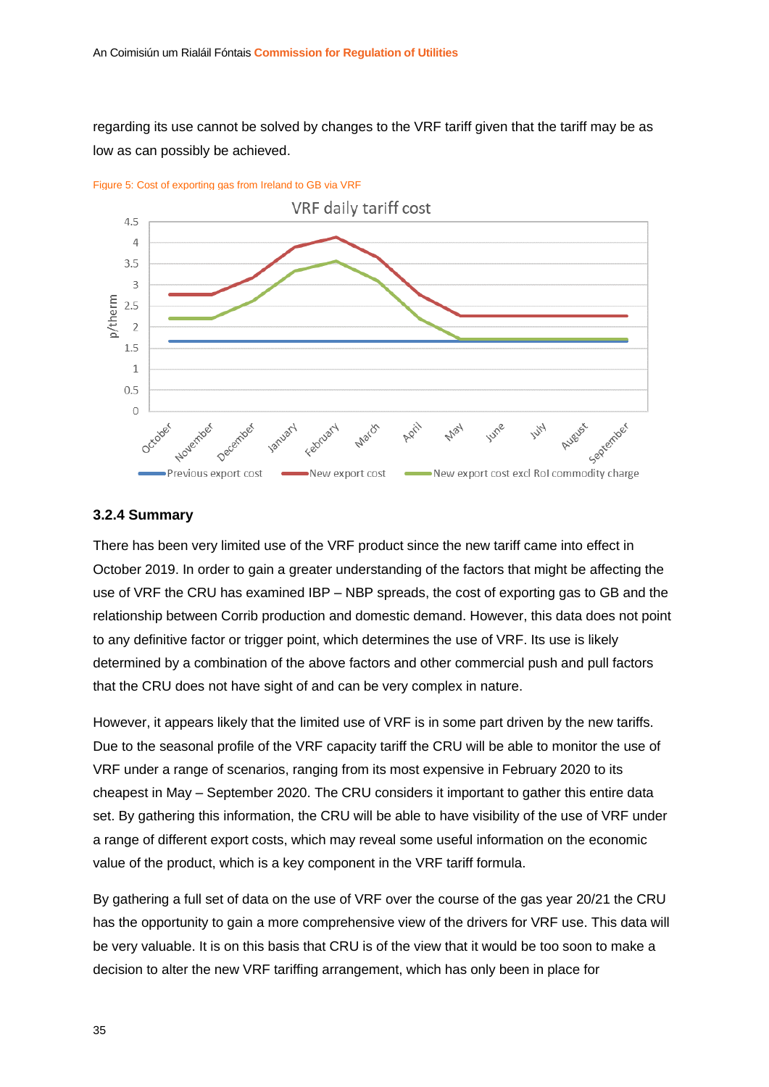regarding its use cannot be solved by changes to the VRF tariff given that the tariff may be as low as can possibly be achieved.



<span id="page-35-1"></span>Figure 5: Cost of exporting gas from Ireland to GB via VRF

#### <span id="page-35-0"></span>**3.2.4 Summary**

There has been very limited use of the VRF product since the new tariff came into effect in October 2019. In order to gain a greater understanding of the factors that might be affecting the use of VRF the CRU has examined IBP – NBP spreads, the cost of exporting gas to GB and the relationship between Corrib production and domestic demand. However, this data does not point to any definitive factor or trigger point, which determines the use of VRF. Its use is likely determined by a combination of the above factors and other commercial push and pull factors that the CRU does not have sight of and can be very complex in nature.

However, it appears likely that the limited use of VRF is in some part driven by the new tariffs. Due to the seasonal profile of the VRF capacity tariff the CRU will be able to monitor the use of VRF under a range of scenarios, ranging from its most expensive in February 2020 to its cheapest in May – September 2020. The CRU considers it important to gather this entire data set. By gathering this information, the CRU will be able to have visibility of the use of VRF under a range of different export costs, which may reveal some useful information on the economic value of the product, which is a key component in the VRF tariff formula.

By gathering a full set of data on the use of VRF over the course of the gas year 20/21 the CRU has the opportunity to gain a more comprehensive view of the drivers for VRF use. This data will be very valuable. It is on this basis that CRU is of the view that it would be too soon to make a decision to alter the new VRF tariffing arrangement, which has only been in place for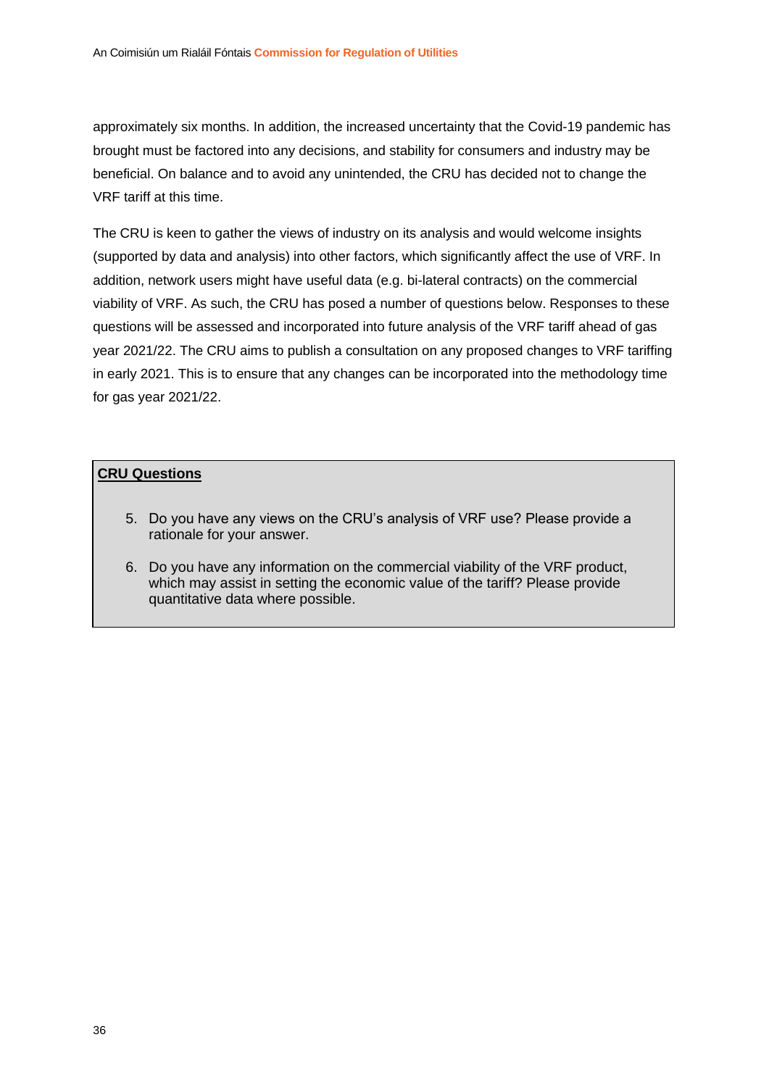approximately six months. In addition, the increased uncertainty that the Covid-19 pandemic has brought must be factored into any decisions, and stability for consumers and industry may be beneficial. On balance and to avoid any unintended, the CRU has decided not to change the VRF tariff at this time.

The CRU is keen to gather the views of industry on its analysis and would welcome insights (supported by data and analysis) into other factors, which significantly affect the use of VRF. In addition, network users might have useful data (e.g. bi-lateral contracts) on the commercial viability of VRF. As such, the CRU has posed a number of questions below. Responses to these questions will be assessed and incorporated into future analysis of the VRF tariff ahead of gas year 2021/22. The CRU aims to publish a consultation on any proposed changes to VRF tariffing in early 2021. This is to ensure that any changes can be incorporated into the methodology time for gas year 2021/22.

#### **CRU Questions**

- 5. Do you have any views on the CRU's analysis of VRF use? Please provide a rationale for your answer.
- 6. Do you have any information on the commercial viability of the VRF product, which may assist in setting the economic value of the tariff? Please provide quantitative data where possible.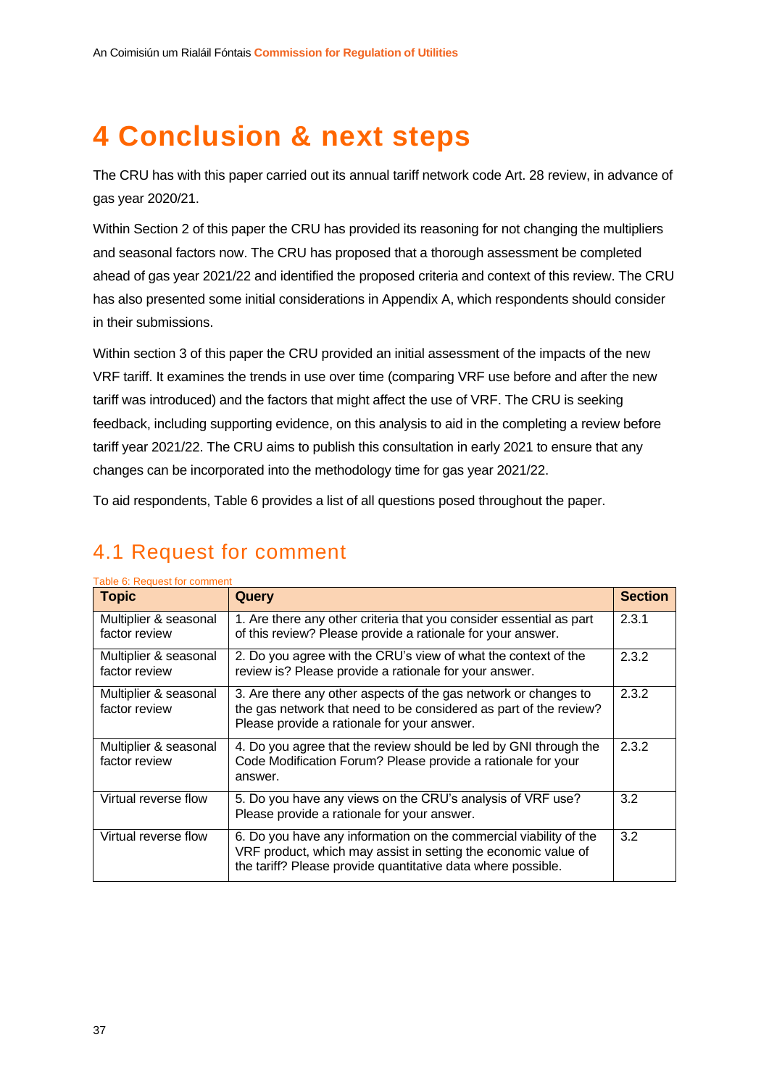## <span id="page-37-0"></span>**4 Conclusion & next steps**

The CRU has with this paper carried out its annual tariff network code Art. 28 review, in advance of gas year 2020/21.

Within Section 2 of this paper the CRU has provided its reasoning for not changing the multipliers and seasonal factors now. The CRU has proposed that a thorough assessment be completed ahead of gas year 2021/22 and identified the proposed criteria and context of this review. The CRU has also presented some initial considerations in Appendix A, which respondents should consider in their submissions.

Within section 3 of this paper the CRU provided an initial assessment of the impacts of the new VRF tariff. It examines the trends in use over time (comparing VRF use before and after the new tariff was introduced) and the factors that might affect the use of VRF. The CRU is seeking feedback, including supporting evidence, on this analysis to aid in the completing a review before tariff year 2021/22. The CRU aims to publish this consultation in early 2021 to ensure that any changes can be incorporated into the methodology time for gas year 2021/22.

To aid respondents, [Table 6](#page-37-2) provides a list of all questions posed throughout the paper.

### <span id="page-37-1"></span>4.1 Request for comment

| <b>Topic</b>                           | Query                                                                                                                                                                                               | <b>Section</b> |
|----------------------------------------|-----------------------------------------------------------------------------------------------------------------------------------------------------------------------------------------------------|----------------|
| Multiplier & seasonal<br>factor review | 1. Are there any other criteria that you consider essential as part<br>of this review? Please provide a rationale for your answer.                                                                  | 2.3.1          |
| Multiplier & seasonal<br>factor review | 2. Do you agree with the CRU's view of what the context of the<br>review is? Please provide a rationale for your answer.                                                                            | 2.3.2          |
| Multiplier & seasonal<br>factor review | 3. Are there any other aspects of the gas network or changes to<br>the gas network that need to be considered as part of the review?<br>Please provide a rationale for your answer.                 | 2.3.2          |
| Multiplier & seasonal<br>factor review | 4. Do you agree that the review should be led by GNI through the<br>Code Modification Forum? Please provide a rationale for your<br>answer.                                                         | 2.3.2          |
| Virtual reverse flow                   | 5. Do you have any views on the CRU's analysis of VRF use?<br>Please provide a rationale for your answer.                                                                                           | 3.2            |
| Virtual reverse flow                   | 6. Do you have any information on the commercial viability of the<br>VRF product, which may assist in setting the economic value of<br>the tariff? Please provide quantitative data where possible. | 3.2            |

#### <span id="page-37-2"></span>Table 6: Request for comment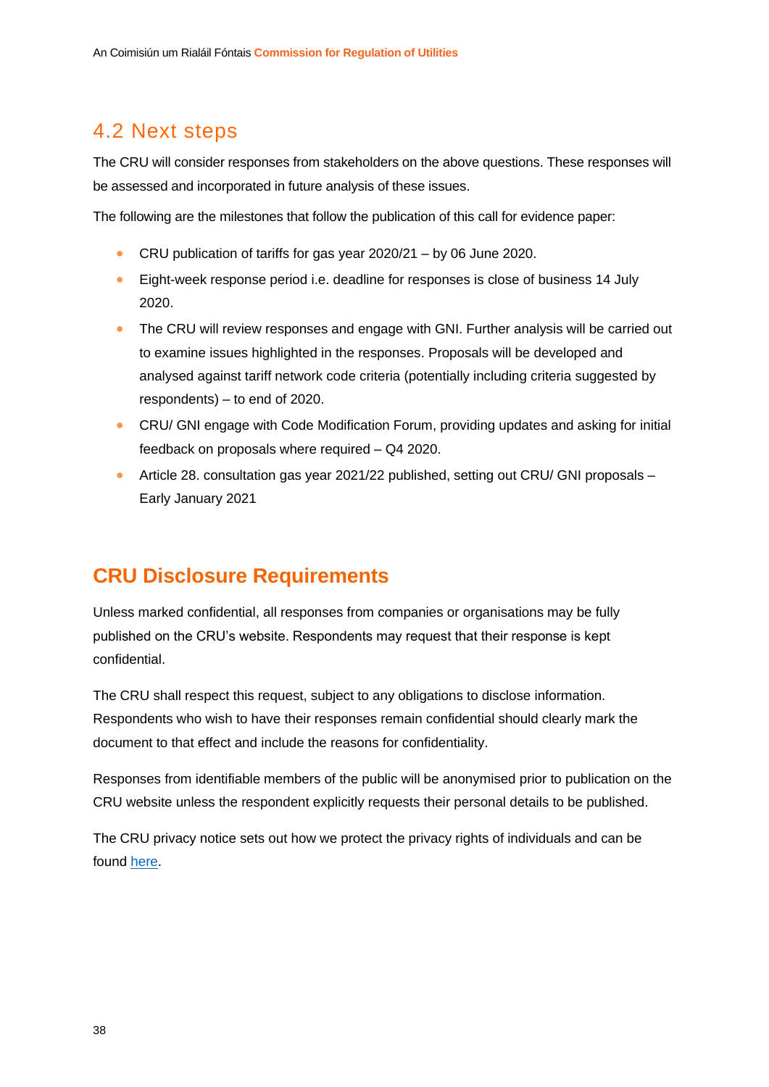### <span id="page-38-0"></span>4.2 Next steps

The CRU will consider responses from stakeholders on the above questions. These responses will be assessed and incorporated in future analysis of these issues.

The following are the milestones that follow the publication of this call for evidence paper:

- CRU publication of tariffs for gas year 2020/21 by 06 June 2020.
- Eight-week response period i.e. deadline for responses is close of business 14 July 2020.
- The CRU will review responses and engage with GNI. Further analysis will be carried out to examine issues highlighted in the responses. Proposals will be developed and analysed against tariff network code criteria (potentially including criteria suggested by respondents) – to end of 2020.
- CRU/ GNI engage with Code Modification Forum, providing updates and asking for initial feedback on proposals where required – Q4 2020.
- Article 28. consultation gas year 2021/22 published, setting out CRU/ GNI proposals Early January 2021

### **CRU Disclosure Requirements**

Unless marked confidential, all responses from companies or organisations may be fully published on the CRU's website. Respondents may request that their response is kept confidential.

The CRU shall respect this request, subject to any obligations to disclose information. Respondents who wish to have their responses remain confidential should clearly mark the document to that effect and include the reasons for confidentiality.

Responses from identifiable members of the public will be anonymised prior to publication on the CRU website unless the respondent explicitly requests their personal details to be published.

The CRU privacy notice sets out how we protect the privacy rights of individuals and can be found [here.](https://www.cru.ie/privacy-statement/)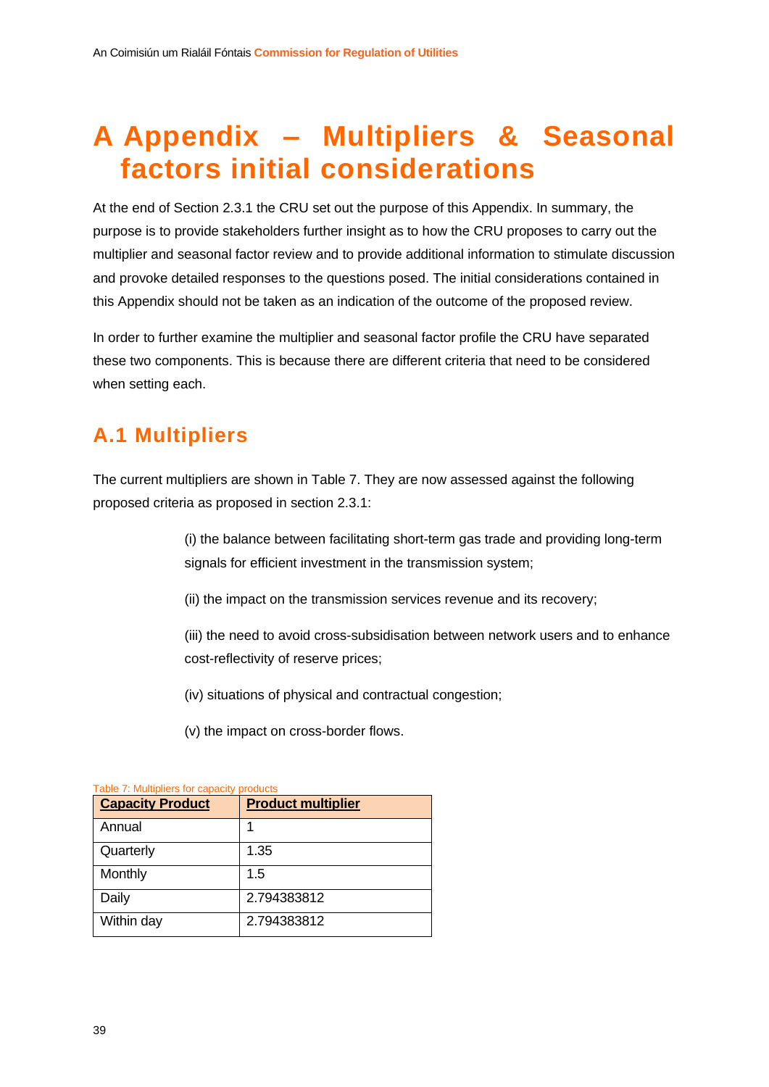## <span id="page-39-0"></span>**A Appendix – Multipliers & Seasonal factors initial considerations**

At the end of Section [2.3.1](#page-18-1) the CRU set out the purpose of this Appendix. In summary, the purpose is to provide stakeholders further insight as to how the CRU proposes to carry out the multiplier and seasonal factor review and to provide additional information to stimulate discussion and provoke detailed responses to the questions posed. The initial considerations contained in this Appendix should not be taken as an indication of the outcome of the proposed review.

In order to further examine the multiplier and seasonal factor profile the CRU have separated these two components. This is because there are different criteria that need to be considered when setting each.

## <span id="page-39-1"></span>**A.1 Multipliers**

The current multipliers are shown in [Table 7.](#page-39-2) They are now assessed against the following proposed criteria as proposed in section [2.3.1:](#page-18-1)

> (i) the balance between facilitating short-term gas trade and providing long-term signals for efficient investment in the transmission system;

(ii) the impact on the transmission services revenue and its recovery;

(iii) the need to avoid cross-subsidisation between network users and to enhance cost-reflectivity of reserve prices;

(iv) situations of physical and contractual congestion;

(v) the impact on cross-border flows.

| Table 1. Multipliers for capacity products<br><b>Capacity Product</b> | <b>Product multiplier</b> |
|-----------------------------------------------------------------------|---------------------------|
| Annual                                                                |                           |
| Quarterly                                                             | 1.35                      |
| Monthly                                                               | 1.5                       |
| Daily                                                                 | 2.794383812               |
| Within day                                                            | 2.794383812               |

#### <span id="page-39-2"></span>Table 7: Multipliers for capacity products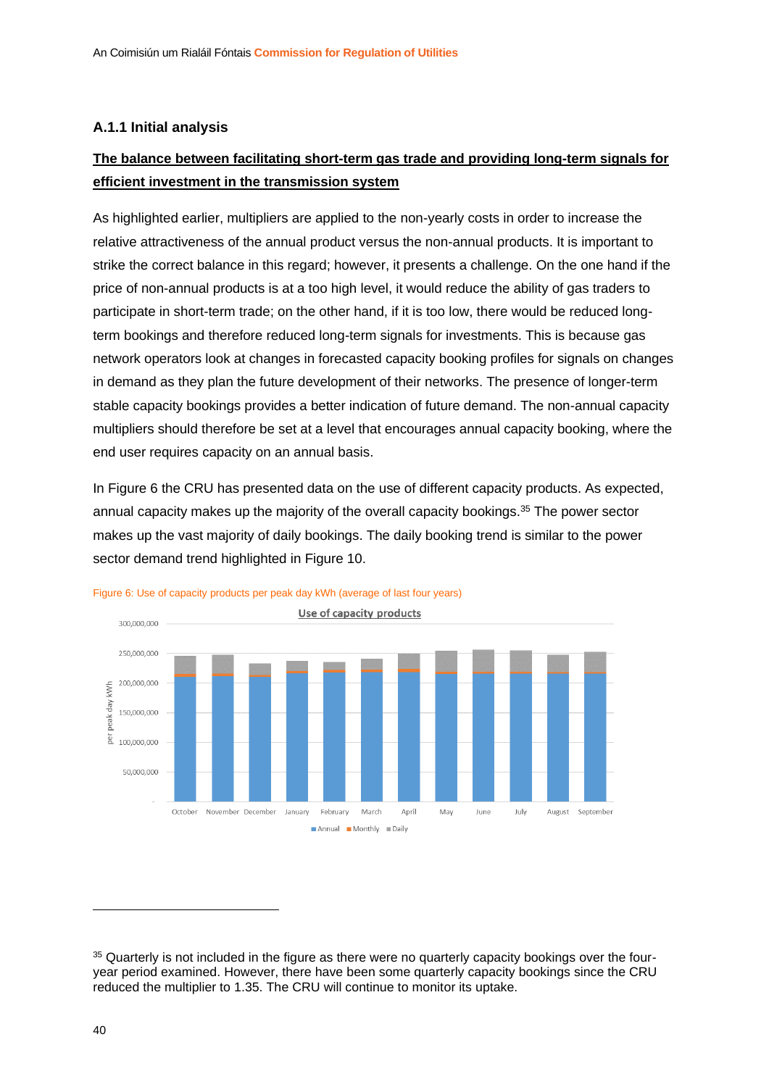#### <span id="page-40-0"></span>**A.1.1 Initial analysis**

#### **The balance between facilitating short-term gas trade and providing long-term signals for efficient investment in the transmission system**

As highlighted earlier, multipliers are applied to the non-yearly costs in order to increase the relative attractiveness of the annual product versus the non-annual products. It is important to strike the correct balance in this regard; however, it presents a challenge. On the one hand if the price of non-annual products is at a too high level, it would reduce the ability of gas traders to participate in short-term trade; on the other hand, if it is too low, there would be reduced longterm bookings and therefore reduced long-term signals for investments. This is because gas network operators look at changes in forecasted capacity booking profiles for signals on changes in demand as they plan the future development of their networks. The presence of longer-term stable capacity bookings provides a better indication of future demand. The non-annual capacity multipliers should therefore be set at a level that encourages annual capacity booking, where the end user requires capacity on an annual basis.

In [Figure 6](#page-40-1) the CRU has presented data on the use of different capacity products. As expected, annual capacity makes up the majority of the overall capacity bookings.<sup>35</sup> The power sector makes up the vast majority of daily bookings. The daily booking trend is similar to the power sector demand trend highlighted in [Figure 10.](#page-47-0)



<span id="page-40-1"></span>

<sup>&</sup>lt;sup>35</sup> Quarterly is not included in the figure as there were no quarterly capacity bookings over the fouryear period examined. However, there have been some quarterly capacity bookings since the CRU reduced the multiplier to 1.35. The CRU will continue to monitor its uptake.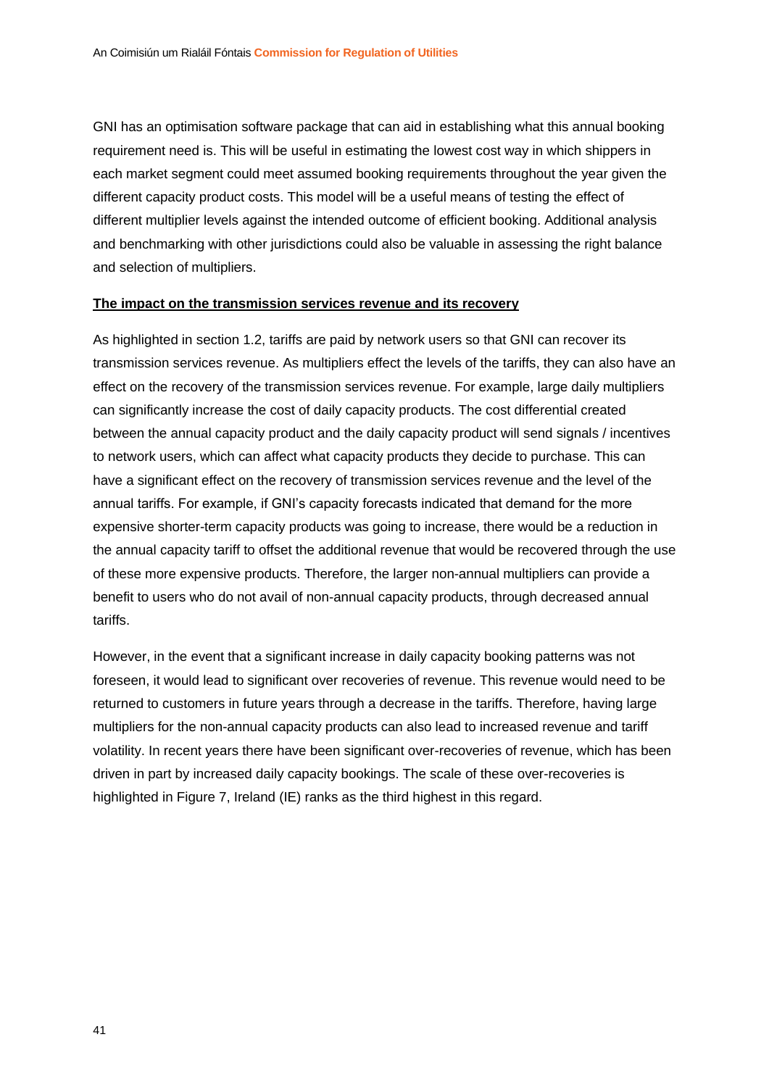GNI has an optimisation software package that can aid in establishing what this annual booking requirement need is. This will be useful in estimating the lowest cost way in which shippers in each market segment could meet assumed booking requirements throughout the year given the different capacity product costs. This model will be a useful means of testing the effect of different multiplier levels against the intended outcome of efficient booking. Additional analysis and benchmarking with other jurisdictions could also be valuable in assessing the right balance and selection of multipliers.

#### **The impact on the transmission services revenue and its recovery**

As highlighted in section 1.2, tariffs are paid by network users so that GNI can recover its transmission services revenue. As multipliers effect the levels of the tariffs, they can also have an effect on the recovery of the transmission services revenue. For example, large daily multipliers can significantly increase the cost of daily capacity products. The cost differential created between the annual capacity product and the daily capacity product will send signals / incentives to network users, which can affect what capacity products they decide to purchase. This can have a significant effect on the recovery of transmission services revenue and the level of the annual tariffs. For example, if GNI's capacity forecasts indicated that demand for the more expensive shorter-term capacity products was going to increase, there would be a reduction in the annual capacity tariff to offset the additional revenue that would be recovered through the use of these more expensive products. Therefore, the larger non-annual multipliers can provide a benefit to users who do not avail of non-annual capacity products, through decreased annual tariffs.

However, in the event that a significant increase in daily capacity booking patterns was not foreseen, it would lead to significant over recoveries of revenue. This revenue would need to be returned to customers in future years through a decrease in the tariffs. Therefore, having large multipliers for the non-annual capacity products can also lead to increased revenue and tariff volatility. In recent years there have been significant over-recoveries of revenue, which has been driven in part by increased daily capacity bookings. The scale of these over-recoveries is highlighted in [Figure 7,](#page-42-0) Ireland (IE) ranks as the third highest in this regard.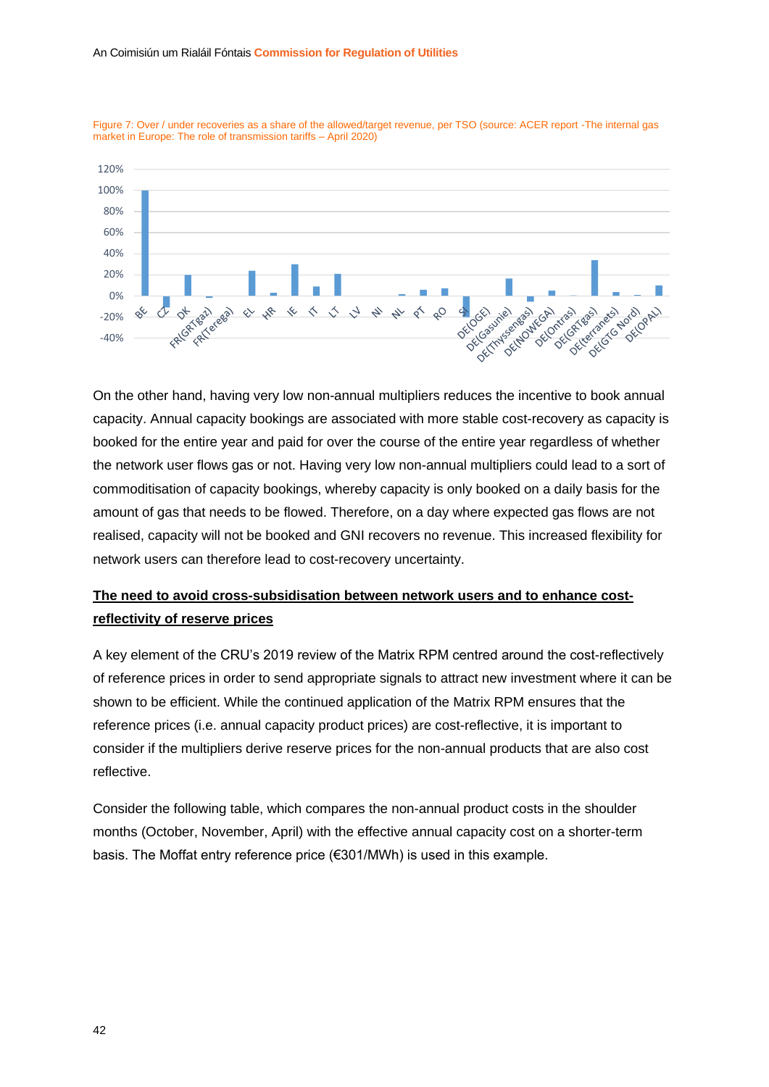

<span id="page-42-0"></span>

On the other hand, having very low non-annual multipliers reduces the incentive to book annual capacity. Annual capacity bookings are associated with more stable cost-recovery as capacity is booked for the entire year and paid for over the course of the entire year regardless of whether the network user flows gas or not. Having very low non-annual multipliers could lead to a sort of commoditisation of capacity bookings, whereby capacity is only booked on a daily basis for the amount of gas that needs to be flowed. Therefore, on a day where expected gas flows are not realised, capacity will not be booked and GNI recovers no revenue. This increased flexibility for network users can therefore lead to cost-recovery uncertainty.

#### **The need to avoid cross-subsidisation between network users and to enhance costreflectivity of reserve prices**

A key element of the CRU's 2019 review of the Matrix RPM centred around the cost-reflectively of reference prices in order to send appropriate signals to attract new investment where it can be shown to be efficient. While the continued application of the Matrix RPM ensures that the reference prices (i.e. annual capacity product prices) are cost-reflective, it is important to consider if the multipliers derive reserve prices for the non-annual products that are also cost reflective.

Consider the following table, which compares the non-annual product costs in the shoulder months (October, November, April) with the effective annual capacity cost on a shorter-term basis. The Moffat entry reference price (€301/MWh) is used in this example.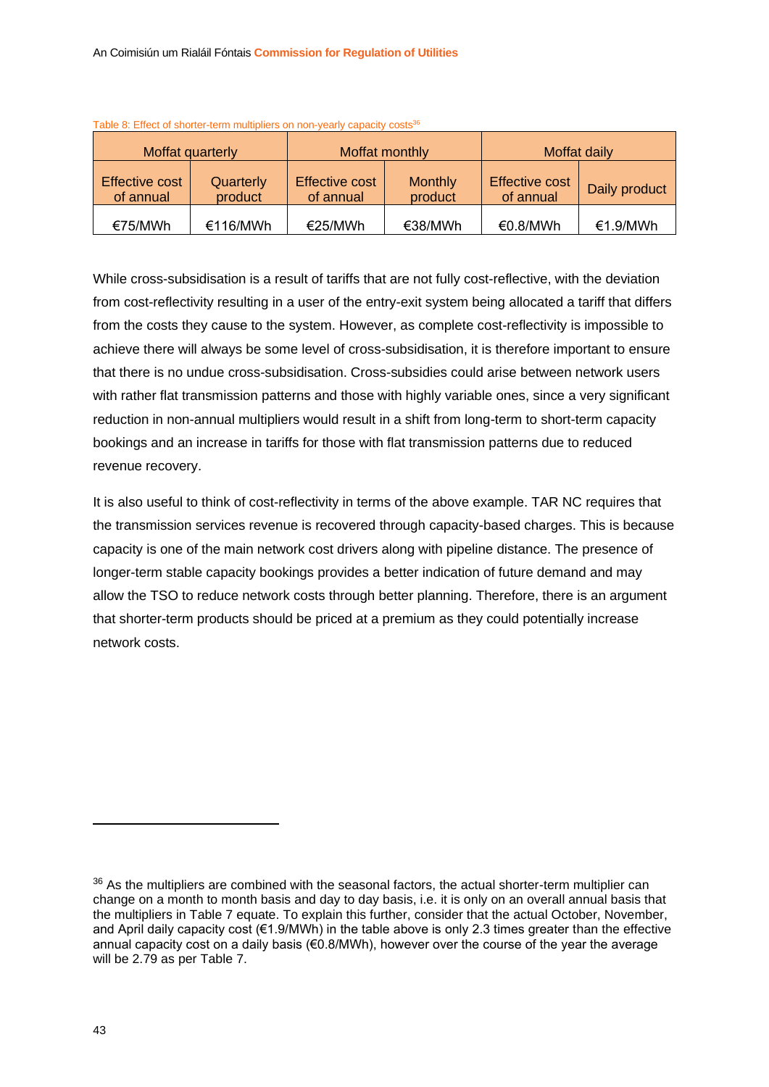| Moffat quarterly            |                      | Moffat monthly                     |                           | Moffat daily                       |               |
|-----------------------------|----------------------|------------------------------------|---------------------------|------------------------------------|---------------|
| Effective cost<br>of annual | Quarterly<br>product | <b>Effective cost</b><br>of annual | <b>Monthly</b><br>product | <b>Effective cost</b><br>of annual | Daily product |
| €75/MWh                     | €116/MWh             | €25/MWh                            | €38/MWh                   | €0.8/MWh                           | €1.9/MWh      |

Table 8: Effect of shorter-term multipliers on non-yearly capacity costs<sup>36</sup>

While cross-subsidisation is a result of tariffs that are not fully cost-reflective, with the deviation from cost-reflectivity resulting in a user of the entry-exit system being allocated a tariff that differs from the costs they cause to the system. However, as complete cost-reflectivity is impossible to achieve there will always be some level of cross-subsidisation, it is therefore important to ensure that there is no undue cross-subsidisation. Cross-subsidies could arise between network users with rather flat transmission patterns and those with highly variable ones, since a very significant reduction in non-annual multipliers would result in a shift from long-term to short-term capacity bookings and an increase in tariffs for those with flat transmission patterns due to reduced revenue recovery.

It is also useful to think of cost-reflectivity in terms of the above example. TAR NC requires that the transmission services revenue is recovered through capacity-based charges. This is because capacity is one of the main network cost drivers along with pipeline distance. The presence of longer-term stable capacity bookings provides a better indication of future demand and may allow the TSO to reduce network costs through better planning. Therefore, there is an argument that shorter-term products should be priced at a premium as they could potentially increase network costs.

 $36$  As the multipliers are combined with the seasonal factors, the actual shorter-term multiplier can change on a month to month basis and day to day basis, i.e. it is only on an overall annual basis that the multipliers in [Table 7](#page-39-2) equate. To explain this further, consider that the actual October, November, and April daily capacity cost (€1.9/MWh) in the table above is only 2.3 times greater than the effective annual capacity cost on a daily basis (€0.8/MWh), however over the course of the year the average will be 2.79 as per [Table 7.](#page-39-2)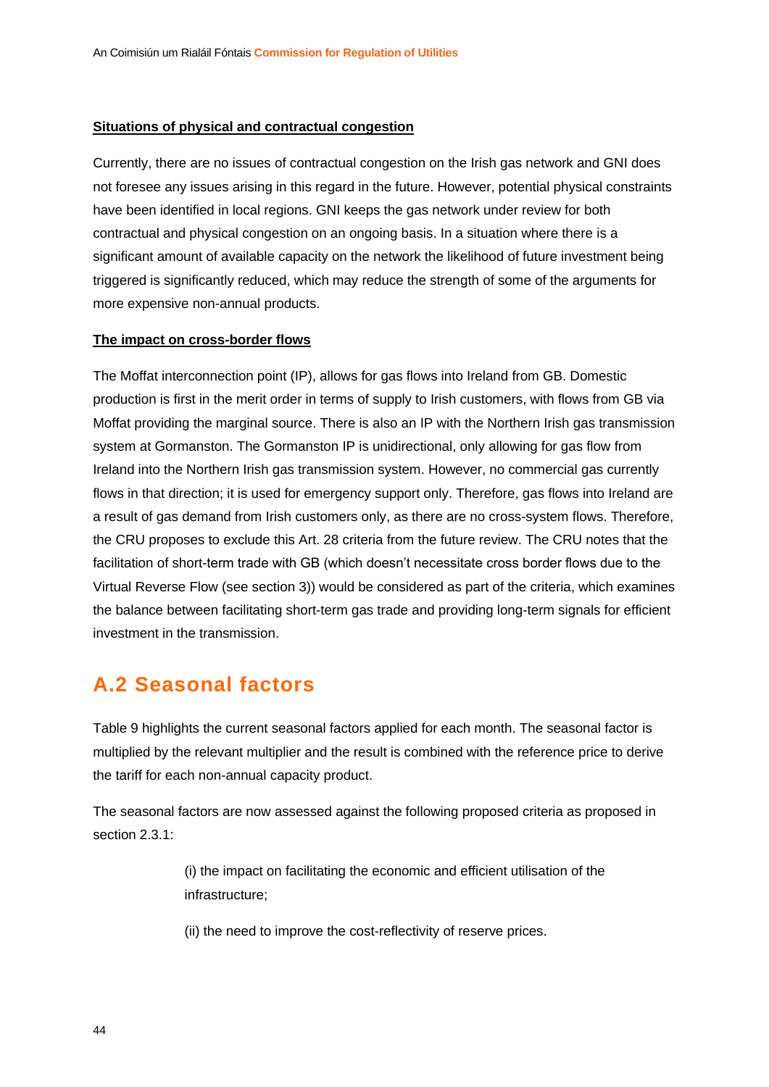#### **Situations of physical and contractual congestion**

Currently, there are no issues of contractual congestion on the Irish gas network and GNI does not foresee any issues arising in this regard in the future. However, potential physical constraints have been identified in local regions. GNI keeps the gas network under review for both contractual and physical congestion on an ongoing basis. In a situation where there is a significant amount of available capacity on the network the likelihood of future investment being triggered is significantly reduced, which may reduce the strength of some of the arguments for more expensive non-annual products.

#### **The impact on cross-border flows**

The Moffat interconnection point (IP), allows for gas flows into Ireland from GB. Domestic production is first in the merit order in terms of supply to Irish customers, with flows from GB via Moffat providing the marginal source. There is also an IP with the Northern Irish gas transmission system at Gormanston. The Gormanston IP is unidirectional, only allowing for gas flow from Ireland into the Northern Irish gas transmission system. However, no commercial gas currently flows in that direction; it is used for emergency support only. Therefore, gas flows into Ireland are a result of gas demand from Irish customers only, as there are no cross-system flows. Therefore, the CRU proposes to exclude this Art. 28 criteria from the future review. The CRU notes that the facilitation of short-term trade with GB (which doesn't necessitate cross border flows due to the Virtual Reverse Flow (see section 3)) would be considered as part of the criteria, which examines the balance between facilitating short-term gas trade and providing long-term signals for efficient investment in the transmission.

### <span id="page-44-0"></span>**A.2 Seasonal factors**

[Table 9](#page-45-1) highlights the current seasonal factors applied for each month. The seasonal factor is multiplied by the relevant multiplier and the result is combined with the reference price to derive the tariff for each non-annual capacity product.

The seasonal factors are now assessed against the following proposed criteria as proposed in section [2.3.1:](#page-18-1)

> (i) the impact on facilitating the economic and efficient utilisation of the infrastructure;

(ii) the need to improve the cost-reflectivity of reserve prices.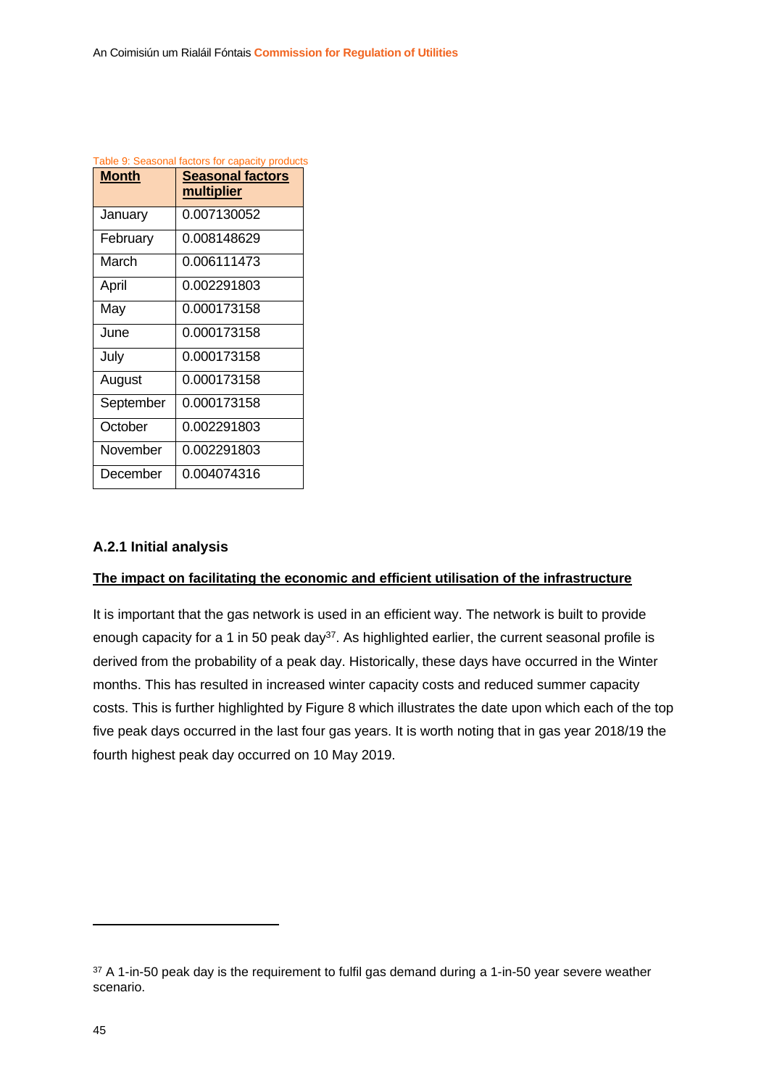<span id="page-45-1"></span>

| Table 9: Seasonal factors for capacity products |                                              |  |  |
|-------------------------------------------------|----------------------------------------------|--|--|
| Month                                           | <b>Seasonal factors</b><br><u>multiplier</u> |  |  |
| January                                         | 0.007130052                                  |  |  |
| February                                        | 0.008148629                                  |  |  |
| March                                           | 0.006111473                                  |  |  |
| April                                           | 0.002291803                                  |  |  |
| May                                             | 0.000173158                                  |  |  |
| June                                            | 0.000173158                                  |  |  |
| July                                            | 0.000173158                                  |  |  |
| August                                          | 0.000173158                                  |  |  |
| September                                       | 0.000173158                                  |  |  |
| October                                         | 0.002291803                                  |  |  |
| November                                        | 0.002291803                                  |  |  |
| December                                        | 0.004074316                                  |  |  |

#### <span id="page-45-0"></span>**A.2.1 Initial analysis**

#### **The impact on facilitating the economic and efficient utilisation of the infrastructure**

It is important that the gas network is used in an efficient way. The network is built to provide enough capacity for a 1 in 50 peak day<sup>37</sup>. As highlighted earlier, the current seasonal profile is derived from the probability of a peak day. Historically, these days have occurred in the Winter months. This has resulted in increased winter capacity costs and reduced summer capacity costs. This is further highlighted by [Figure 8](#page-46-0) which illustrates the date upon which each of the top five peak days occurred in the last four gas years. It is worth noting that in gas year 2018/19 the fourth highest peak day occurred on 10 May 2019.

 $37$  A 1-in-50 peak day is the requirement to fulfil gas demand during a 1-in-50 year severe weather scenario.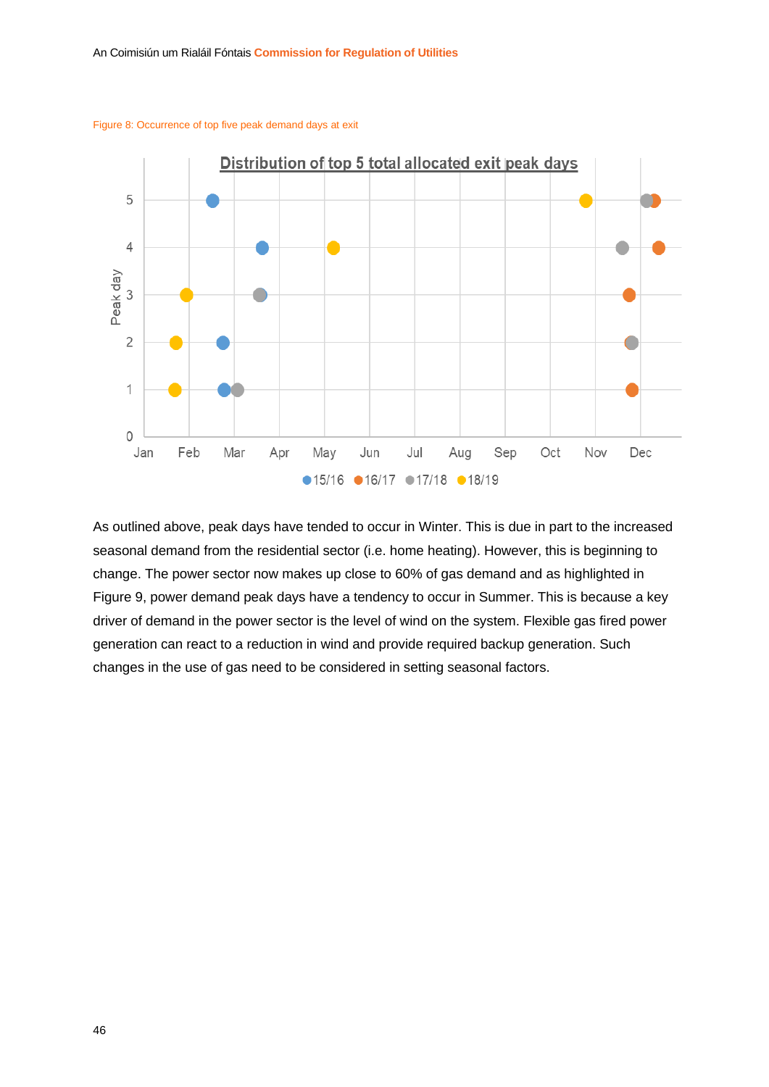

<span id="page-46-0"></span>Figure 8: Occurrence of top five peak demand days at exit

As outlined above, peak days have tended to occur in Winter. This is due in part to the increased seasonal demand from the residential sector (i.e. home heating). However, this is beginning to change. The power sector now makes up close to 60% of gas demand and as highlighted in [Figure 9,](#page-47-1) power demand peak days have a tendency to occur in Summer. This is because a key driver of demand in the power sector is the level of wind on the system. Flexible gas fired power generation can react to a reduction in wind and provide required backup generation. Such changes in the use of gas need to be considered in setting seasonal factors.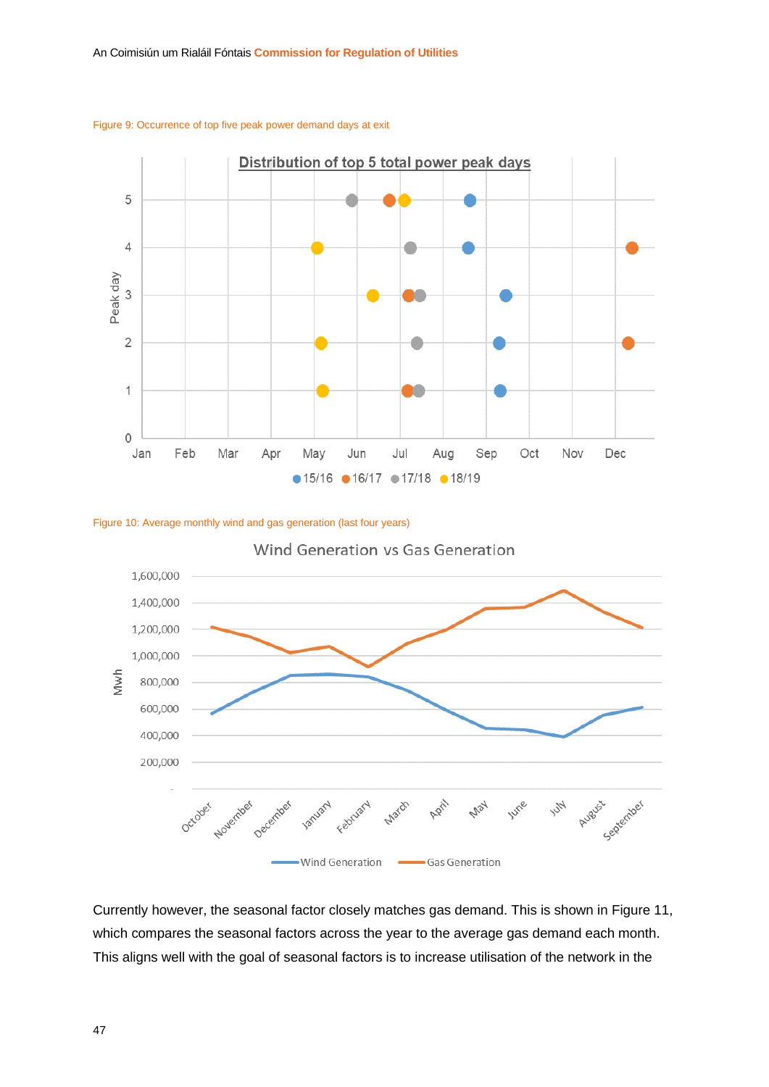

<span id="page-47-1"></span>

<span id="page-47-0"></span>



Currently however, the seasonal factor closely matches gas demand. This is shown in [Figure 11,](#page-48-0) which compares the seasonal factors across the year to the average gas demand each month. This aligns well with the goal of seasonal factors is to increase utilisation of the network in the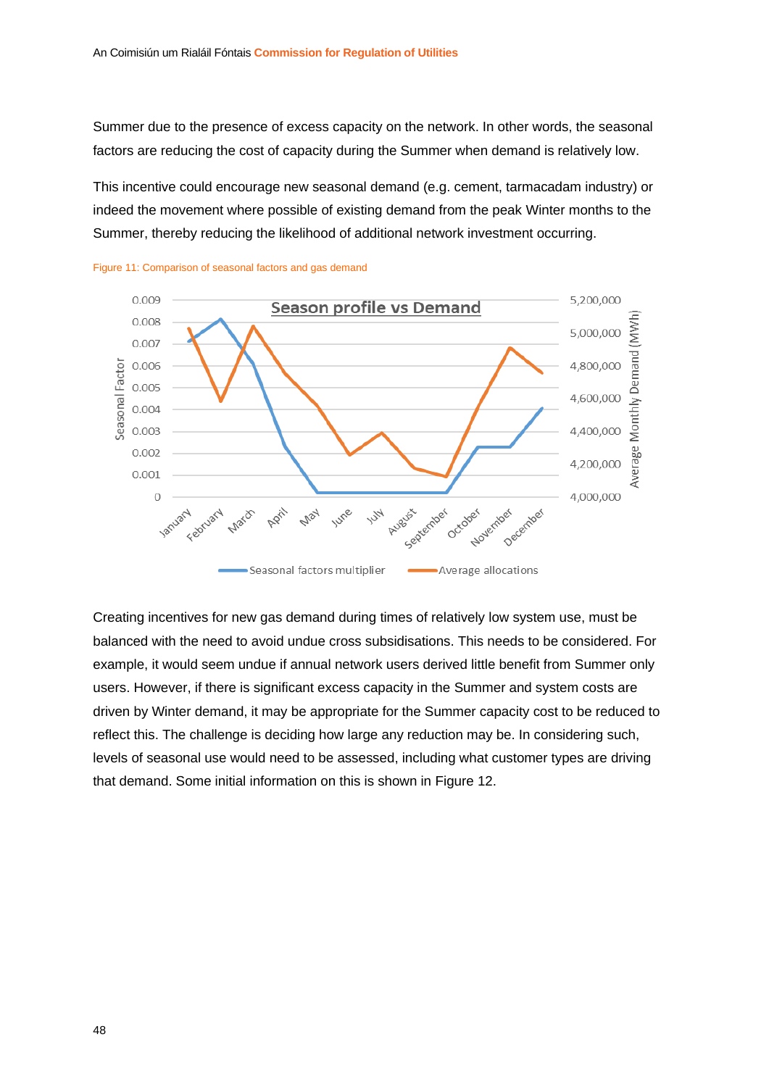Summer due to the presence of excess capacity on the network. In other words, the seasonal factors are reducing the cost of capacity during the Summer when demand is relatively low.

This incentive could encourage new seasonal demand (e.g. cement, tarmacadam industry) or indeed the movement where possible of existing demand from the peak Winter months to the Summer, thereby reducing the likelihood of additional network investment occurring.



<span id="page-48-0"></span>

Creating incentives for new gas demand during times of relatively low system use, must be balanced with the need to avoid undue cross subsidisations. This needs to be considered. For example, it would seem undue if annual network users derived little benefit from Summer only users. However, if there is significant excess capacity in the Summer and system costs are driven by Winter demand, it may be appropriate for the Summer capacity cost to be reduced to reflect this. The challenge is deciding how large any reduction may be. In considering such, levels of seasonal use would need to be assessed, including what customer types are driving that demand. Some initial information on this is shown in [Figure 12.](#page-49-0)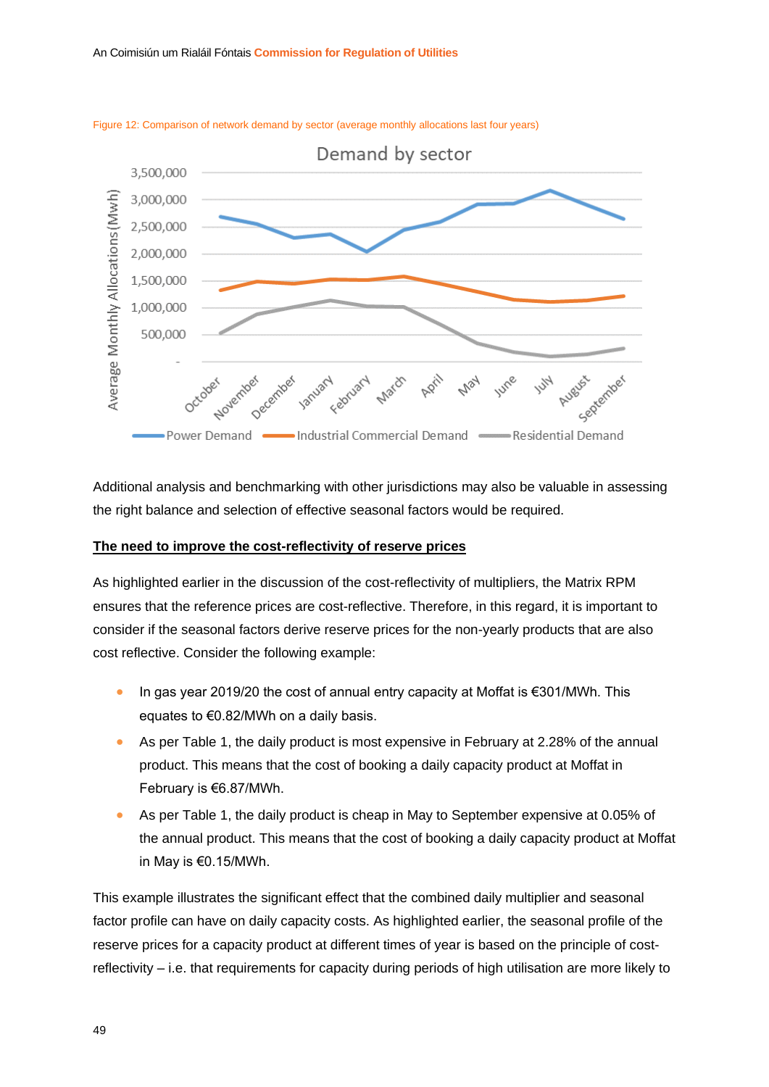

<span id="page-49-0"></span>Figure 12: Comparison of network demand by sector (average monthly allocations last four years)

Additional analysis and benchmarking with other jurisdictions may also be valuable in assessing the right balance and selection of effective seasonal factors would be required.

#### **The need to improve the cost-reflectivity of reserve prices**

As highlighted earlier in the discussion of the cost-reflectivity of multipliers, the Matrix RPM ensures that the reference prices are cost-reflective. Therefore, in this regard, it is important to consider if the seasonal factors derive reserve prices for the non-yearly products that are also cost reflective. Consider the following example:

- In gas year 2019/20 the cost of annual entry capacity at Moffat is €301/MWh. This equates to €0.82/MWh on a daily basis.
- As per [Table 1,](#page-14-1) the daily product is most expensive in February at 2.28% of the annual product. This means that the cost of booking a daily capacity product at Moffat in February is €6.87/MWh.
- As per [Table 1,](#page-14-1) the daily product is cheap in May to September expensive at 0.05% of the annual product. This means that the cost of booking a daily capacity product at Moffat in May is €0.15/MWh.

This example illustrates the significant effect that the combined daily multiplier and seasonal factor profile can have on daily capacity costs. As highlighted earlier, the seasonal profile of the reserve prices for a capacity product at different times of year is based on the principle of costreflectivity – i.e. that requirements for capacity during periods of high utilisation are more likely to